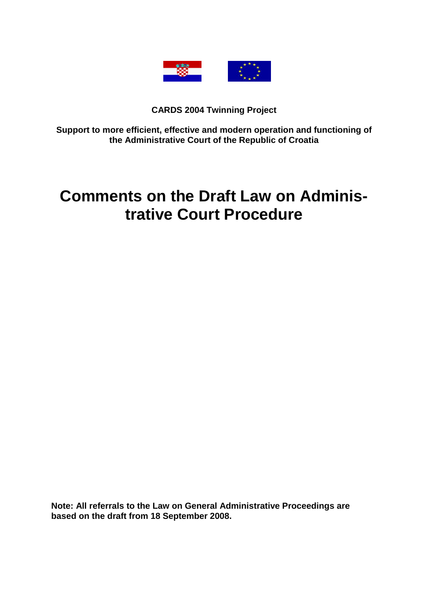

# **CARDS 2004 Twinning Project**

**Support to more efficient, effective and modern operation and functioning of the Administrative Court of the Republic of Croatia** 

# **Comments on the Draft Law on Administrative Court Procedure**

**Note: All referrals to the Law on General Administrative Proceedings are based on the draft from 18 September 2008.**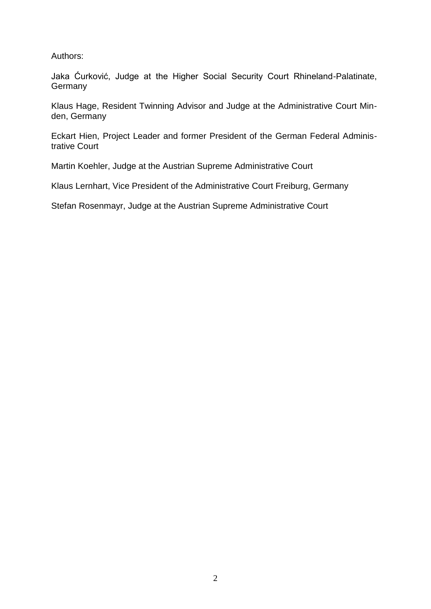Authors:

Jaka Ćurković, Judge at the Higher Social Security Court Rhineland-Palatinate, **Germany** 

Klaus Hage, Resident Twinning Advisor and Judge at the Administrative Court Minden, Germany

Eckart Hien, Project Leader and former President of the German Federal Administrative Court

Martin Koehler, Judge at the Austrian Supreme Administrative Court

Klaus Lernhart, Vice President of the Administrative Court Freiburg, Germany

Stefan Rosenmayr, Judge at the Austrian Supreme Administrative Court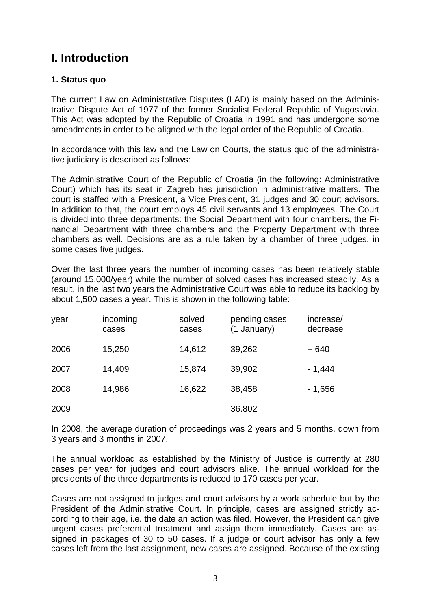# **I. Introduction**

# **1. Status quo**

The current Law on Administrative Disputes (LAD) is mainly based on the Administrative Dispute Act of 1977 of the former Socialist Federal Republic of Yugoslavia. This Act was adopted by the Republic of Croatia in 1991 and has undergone some amendments in order to be aligned with the legal order of the Republic of Croatia.

In accordance with this law and the Law on Courts, the status quo of the administrative judiciary is described as follows:

The Administrative Court of the Republic of Croatia (in the following: Administrative Court) which has its seat in Zagreb has jurisdiction in administrative matters. The court is staffed with a President, a Vice President, 31 judges and 30 court advisors. In addition to that, the court employs 45 civil servants and 13 employees. The Court is divided into three departments: the Social Department with four chambers, the Financial Department with three chambers and the Property Department with three chambers as well. Decisions are as a rule taken by a chamber of three judges, in some cases five judges.

Over the last three years the number of incoming cases has been relatively stable (around 15,000/year) while the number of solved cases has increased steadily. As a result, in the last two years the Administrative Court was able to reduce its backlog by about 1,500 cases a year. This is shown in the following table:

| year | incoming<br>cases | solved<br>cases | pending cases<br>(1 January) | increase/<br>decrease |
|------|-------------------|-----------------|------------------------------|-----------------------|
| 2006 | 15,250            | 14,612          | 39,262                       | $+640$                |
| 2007 | 14,409            | 15,874          | 39,902                       | $-1,444$              |
| 2008 | 14,986            | 16,622          | 38,458                       | - 1,656               |
| 2009 |                   |                 | 36.802                       |                       |

In 2008, the average duration of proceedings was 2 years and 5 months, down from 3 years and 3 months in 2007.

The annual workload as established by the Ministry of Justice is currently at 280 cases per year for judges and court advisors alike. The annual workload for the presidents of the three departments is reduced to 170 cases per year.

Cases are not assigned to judges and court advisors by a work schedule but by the President of the Administrative Court. In principle, cases are assigned strictly according to their age, i.e. the date an action was filed. However, the President can give urgent cases preferential treatment and assign them immediately. Cases are assigned in packages of 30 to 50 cases. If a judge or court advisor has only a few cases left from the last assignment, new cases are assigned. Because of the existing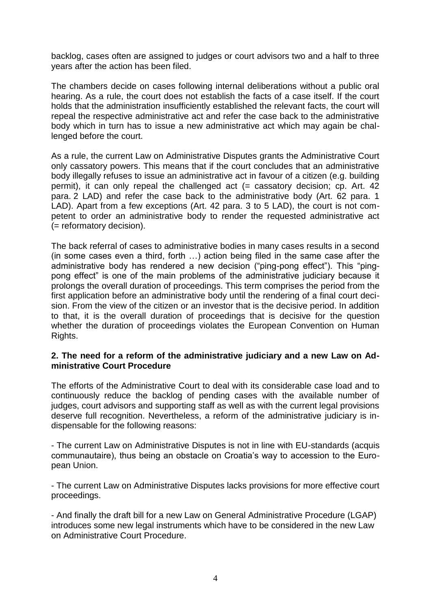backlog, cases often are assigned to judges or court advisors two and a half to three years after the action has been filed.

The chambers decide on cases following internal deliberations without a public oral hearing. As a rule, the court does not establish the facts of a case itself. If the court holds that the administration insufficiently established the relevant facts, the court will repeal the respective administrative act and refer the case back to the administrative body which in turn has to issue a new administrative act which may again be challenged before the court.

As a rule, the current Law on Administrative Disputes grants the Administrative Court only cassatory powers. This means that if the court concludes that an administrative body illegally refuses to issue an administrative act in favour of a citizen (e.g. building permit), it can only repeal the challenged act (= cassatory decision; cp. Art. 42 para. 2 LAD) and refer the case back to the administrative body (Art. 62 para. 1 LAD). Apart from a few exceptions (Art. 42 para. 3 to 5 LAD), the court is not competent to order an administrative body to render the requested administrative act (= reformatory decision).

The back referral of cases to administrative bodies in many cases results in a second (in some cases even a third, forth …) action being filed in the same case after the administrative body has rendered a new decision ("ping-pong effect"). This "pingpong effect" is one of the main problems of the administrative judiciary because it prolongs the overall duration of proceedings. This term comprises the period from the first application before an administrative body until the rendering of a final court decision. From the view of the citizen or an investor that is the decisive period. In addition to that, it is the overall duration of proceedings that is decisive for the question whether the duration of proceedings violates the European Convention on Human Rights.

#### **2. The need for a reform of the administrative judiciary and a new Law on Administrative Court Procedure**

The efforts of the Administrative Court to deal with its considerable case load and to continuously reduce the backlog of pending cases with the available number of judges, court advisors and supporting staff as well as with the current legal provisions deserve full recognition. Nevertheless, a reform of the administrative judiciary is indispensable for the following reasons:

- The current Law on Administrative Disputes is not in line with EU-standards (acquis communautaire), thus being an obstacle on Croatia's way to accession to the European Union.

- The current Law on Administrative Disputes lacks provisions for more effective court proceedings.

- And finally the draft bill for a new Law on General Administrative Procedure (LGAP) introduces some new legal instruments which have to be considered in the new Law on Administrative Court Procedure.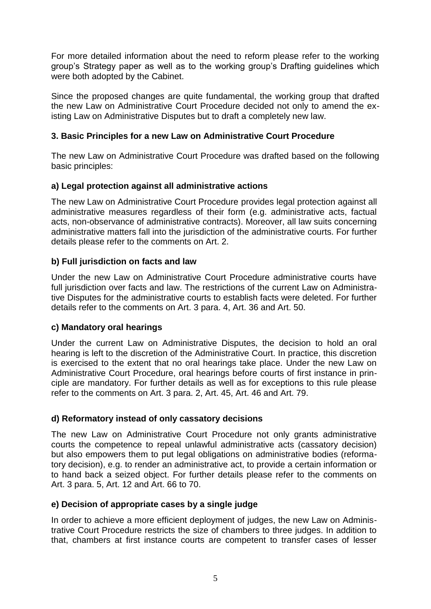For more detailed information about the need to reform please refer to the working group's Strategy paper as well as to the working group's Drafting guidelines which were both adopted by the Cabinet.

Since the proposed changes are quite fundamental, the working group that drafted the new Law on Administrative Court Procedure decided not only to amend the existing Law on Administrative Disputes but to draft a completely new law.

# **3. Basic Principles for a new Law on Administrative Court Procedure**

The new Law on Administrative Court Procedure was drafted based on the following basic principles:

# **a) Legal protection against all administrative actions**

The new Law on Administrative Court Procedure provides legal protection against all administrative measures regardless of their form (e.g. administrative acts, factual acts, non-observance of administrative contracts). Moreover, all law suits concerning administrative matters fall into the jurisdiction of the administrative courts. For further details please refer to the comments on Art. 2.

# **b) Full jurisdiction on facts and law**

Under the new Law on Administrative Court Procedure administrative courts have full jurisdiction over facts and law. The restrictions of the current Law on Administrative Disputes for the administrative courts to establish facts were deleted. For further details refer to the comments on Art. 3 para. 4, Art. 36 and Art. 50.

# **c) Mandatory oral hearings**

Under the current Law on Administrative Disputes, the decision to hold an oral hearing is left to the discretion of the Administrative Court. In practice, this discretion is exercised to the extent that no oral hearings take place. Under the new Law on Administrative Court Procedure, oral hearings before courts of first instance in principle are mandatory. For further details as well as for exceptions to this rule please refer to the comments on Art. 3 para. 2, Art. 45, Art. 46 and Art. 79.

# **d) Reformatory instead of only cassatory decisions**

The new Law on Administrative Court Procedure not only grants administrative courts the competence to repeal unlawful administrative acts (cassatory decision) but also empowers them to put legal obligations on administrative bodies (reformatory decision), e.g. to render an administrative act, to provide a certain information or to hand back a seized object. For further details please refer to the comments on Art. 3 para. 5, Art. 12 and Art. 66 to 70.

# **e) Decision of appropriate cases by a single judge**

In order to achieve a more efficient deployment of judges, the new Law on Administrative Court Procedure restricts the size of chambers to three judges. In addition to that, chambers at first instance courts are competent to transfer cases of lesser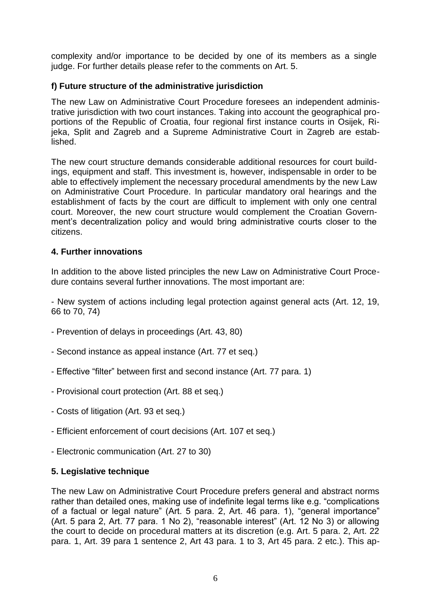complexity and/or importance to be decided by one of its members as a single judge. For further details please refer to the comments on Art. 5.

#### **f) Future structure of the administrative jurisdiction**

The new Law on Administrative Court Procedure foresees an independent administrative jurisdiction with two court instances. Taking into account the geographical proportions of the Republic of Croatia, four regional first instance courts in Osijek, Rijeka, Split and Zagreb and a Supreme Administrative Court in Zagreb are established.

The new court structure demands considerable additional resources for court buildings, equipment and staff. This investment is, however, indispensable in order to be able to effectively implement the necessary procedural amendments by the new Law on Administrative Court Procedure. In particular mandatory oral hearings and the establishment of facts by the court are difficult to implement with only one central court. Moreover, the new court structure would complement the Croatian Government's decentralization policy and would bring administrative courts closer to the citizens.

# **4. Further innovations**

In addition to the above listed principles the new Law on Administrative Court Procedure contains several further innovations. The most important are:

- New system of actions including legal protection against general acts (Art. 12, 19, 66 to 70, 74)

- Prevention of delays in proceedings (Art. 43, 80)
- Second instance as appeal instance (Art. 77 et seq.)
- Effective "filter" between first and second instance (Art. 77 para. 1)
- Provisional court protection (Art. 88 et seq.)
- Costs of litigation (Art. 93 et seq.)
- Efficient enforcement of court decisions (Art. 107 et seq.)
- Electronic communication (Art. 27 to 30)

# **5. Legislative technique**

The new Law on Administrative Court Procedure prefers general and abstract norms rather than detailed ones, making use of indefinite legal terms like e.g. "complications of a factual or legal nature" (Art. 5 para. 2, Art. 46 para. 1), "general importance" (Art. 5 para 2, Art. 77 para. 1 No 2), "reasonable interest" (Art. 12 No 3) or allowing the court to decide on procedural matters at its discretion (e.g. Art. 5 para. 2, Art. 22 para. 1, Art. 39 para 1 sentence 2, Art 43 para. 1 to 3, Art 45 para. 2 etc.). This ap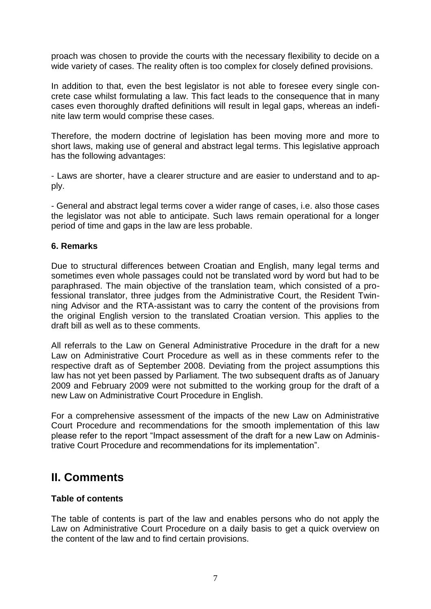proach was chosen to provide the courts with the necessary flexibility to decide on a wide variety of cases. The reality often is too complex for closely defined provisions.

In addition to that, even the best legislator is not able to foresee every single concrete case whilst formulating a law. This fact leads to the consequence that in many cases even thoroughly drafted definitions will result in legal gaps, whereas an indefinite law term would comprise these cases.

Therefore, the modern doctrine of legislation has been moving more and more to short laws, making use of general and abstract legal terms. This legislative approach has the following advantages:

- Laws are shorter, have a clearer structure and are easier to understand and to apply.

- General and abstract legal terms cover a wider range of cases, i.e. also those cases the legislator was not able to anticipate. Such laws remain operational for a longer period of time and gaps in the law are less probable.

#### **6. Remarks**

Due to structural differences between Croatian and English, many legal terms and sometimes even whole passages could not be translated word by word but had to be paraphrased. The main objective of the translation team, which consisted of a professional translator, three judges from the Administrative Court, the Resident Twinning Advisor and the RTA-assistant was to carry the content of the provisions from the original English version to the translated Croatian version. This applies to the draft bill as well as to these comments.

All referrals to the Law on General Administrative Procedure in the draft for a new Law on Administrative Court Procedure as well as in these comments refer to the respective draft as of September 2008. Deviating from the project assumptions this law has not yet been passed by Parliament. The two subsequent drafts as of January 2009 and February 2009 were not submitted to the working group for the draft of a new Law on Administrative Court Procedure in English.

For a comprehensive assessment of the impacts of the new Law on Administrative Court Procedure and recommendations for the smooth implementation of this law please refer to the report "Impact assessment of the draft for a new Law on Administrative Court Procedure and recommendations for its implementation".

# **II. Comments**

#### **Table of contents**

The table of contents is part of the law and enables persons who do not apply the Law on Administrative Court Procedure on a daily basis to get a quick overview on the content of the law and to find certain provisions.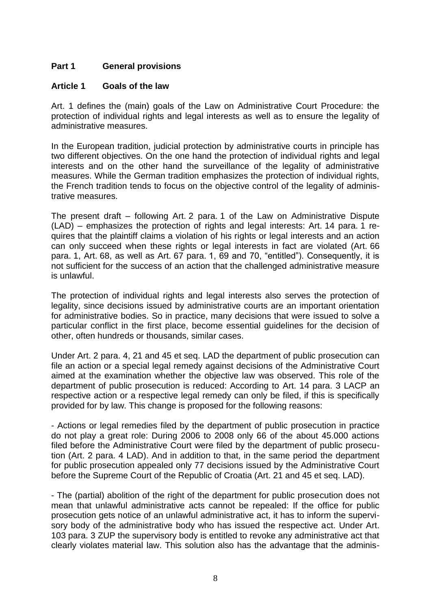# **Part 1 General provisions**

#### **Article 1 Goals of the law**

Art. 1 defines the (main) goals of the Law on Administrative Court Procedure: the protection of individual rights and legal interests as well as to ensure the legality of administrative measures.

In the European tradition, judicial protection by administrative courts in principle has two different objectives. On the one hand the protection of individual rights and legal interests and on the other hand the surveillance of the legality of administrative measures. While the German tradition emphasizes the protection of individual rights, the French tradition tends to focus on the objective control of the legality of administrative measures.

The present draft – following Art. 2 para. 1 of the Law on Administrative Dispute (LAD) – emphasizes the protection of rights and legal interests: Art. 14 para. 1 requires that the plaintiff claims a violation of his rights or legal interests and an action can only succeed when these rights or legal interests in fact are violated (Art. 66 para. 1, Art. 68, as well as Art. 67 para. 1, 69 and 70, "entitled"). Consequently, it is not sufficient for the success of an action that the challenged administrative measure is unlawful.

The protection of individual rights and legal interests also serves the protection of legality, since decisions issued by administrative courts are an important orientation for administrative bodies. So in practice, many decisions that were issued to solve a particular conflict in the first place, become essential guidelines for the decision of other, often hundreds or thousands, similar cases.

Under Art. 2 para. 4, 21 and 45 et seq. LAD the department of public prosecution can file an action or a special legal remedy against decisions of the Administrative Court aimed at the examination whether the objective law was observed. This role of the department of public prosecution is reduced: According to Art. 14 para. 3 LACP an respective action or a respective legal remedy can only be filed, if this is specifically provided for by law. This change is proposed for the following reasons:

- Actions or legal remedies filed by the department of public prosecution in practice do not play a great role: During 2006 to 2008 only 66 of the about 45.000 actions filed before the Administrative Court were filed by the department of public prosecution (Art. 2 para. 4 LAD). And in addition to that, in the same period the department for public prosecution appealed only 77 decisions issued by the Administrative Court before the Supreme Court of the Republic of Croatia (Art. 21 and 45 et seq. LAD).

- The (partial) abolition of the right of the department for public prosecution does not mean that unlawful administrative acts cannot be repealed: If the office for public prosecution gets notice of an unlawful administrative act, it has to inform the supervisory body of the administrative body who has issued the respective act. Under Art. 103 para. 3 ZUP the supervisory body is entitled to revoke any administrative act that clearly violates material law. This solution also has the advantage that the adminis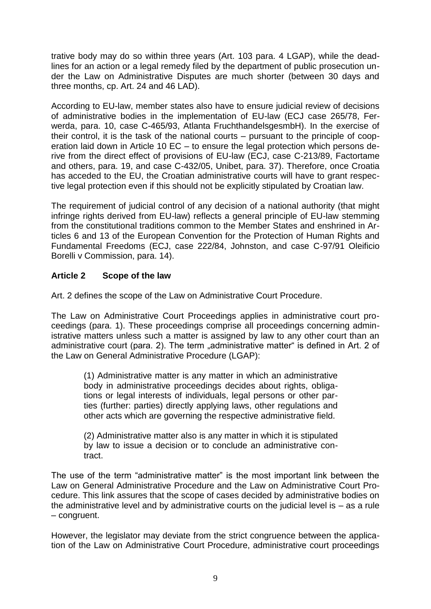trative body may do so within three years (Art. 103 para. 4 LGAP), while the deadlines for an action or a legal remedy filed by the department of public prosecution under the Law on Administrative Disputes are much shorter (between 30 days and three months, cp. Art. 24 and 46 LAD).

According to EU-law, member states also have to ensure judicial review of decisions of administrative bodies in the implementation of EU-law (ECJ case 265/78, Ferwerda, para. 10, case C-465/93, Atlanta FruchthandelsgesmbH). In the exercise of their control, it is the task of the national courts – pursuant to the principle of cooperation laid down in Article 10 EC – to ensure the legal protection which persons derive from the direct effect of provisions of EU-law (ECJ, case C-213/89, Factortame and others, para. 19, and case C-432/05, Unibet, para. 37). Therefore, once Croatia has acceded to the EU, the Croatian administrative courts will have to grant respective legal protection even if this should not be explicitly stipulated by Croatian law.

The requirement of judicial control of any decision of a national authority (that might infringe rights derived from EU-law) reflects a general principle of EU-law stemming from the constitutional traditions common to the Member States and enshrined in Articles 6 and 13 of the European Convention for the Protection of Human Rights and Fundamental Freedoms (ECJ, case 222/84, Johnston, and case C-97/91 Oleificio Borelli v Commission, para. 14).

# **Article 2 Scope of the law**

Art. 2 defines the scope of the Law on Administrative Court Procedure.

The Law on Administrative Court Proceedings applies in administrative court proceedings (para. 1). These proceedings comprise all proceedings concerning administrative matters unless such a matter is assigned by law to any other court than an administrative court (para. 2). The term "administrative matter" is defined in Art. 2 of the Law on General Administrative Procedure (LGAP):

(1) Administrative matter is any matter in which an administrative body in administrative proceedings decides about rights, obligations or legal interests of individuals, legal persons or other parties (further: parties) directly applying laws, other regulations and other acts which are governing the respective administrative field.

(2) Administrative matter also is any matter in which it is stipulated by law to issue a decision or to conclude an administrative contract.

The use of the term "administrative matter" is the most important link between the Law on General Administrative Procedure and the Law on Administrative Court Procedure. This link assures that the scope of cases decided by administrative bodies on the administrative level and by administrative courts on the judicial level is – as a rule – congruent.

However, the legislator may deviate from the strict congruence between the application of the Law on Administrative Court Procedure, administrative court proceedings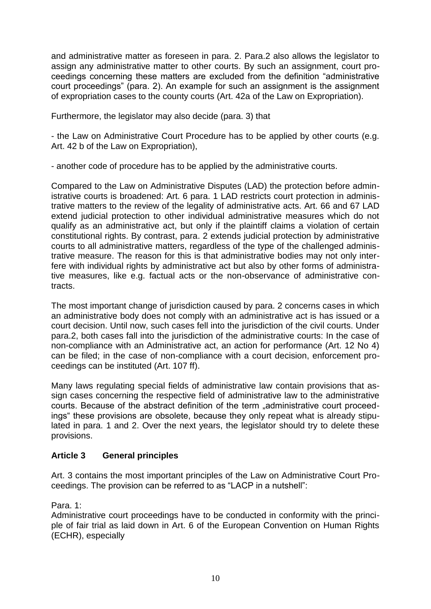and administrative matter as foreseen in para. 2. Para.2 also allows the legislator to assign any administrative matter to other courts. By such an assignment, court proceedings concerning these matters are excluded from the definition "administrative court proceedings" (para. 2). An example for such an assignment is the assignment of expropriation cases to the county courts (Art. 42a of the Law on Expropriation).

Furthermore, the legislator may also decide (para. 3) that

- the Law on Administrative Court Procedure has to be applied by other courts (e.g. Art. 42 b of the Law on Expropriation),

- another code of procedure has to be applied by the administrative courts.

Compared to the Law on Administrative Disputes (LAD) the protection before administrative courts is broadened: Art. 6 para. 1 LAD restricts court protection in administrative matters to the review of the legality of administrative acts. Art. 66 and 67 LAD extend judicial protection to other individual administrative measures which do not qualify as an administrative act, but only if the plaintiff claims a violation of certain constitutional rights. By contrast, para. 2 extends judicial protection by administrative courts to all administrative matters, regardless of the type of the challenged administrative measure. The reason for this is that administrative bodies may not only interfere with individual rights by administrative act but also by other forms of administrative measures, like e.g. factual acts or the non-observance of administrative contracts.

The most important change of jurisdiction caused by para. 2 concerns cases in which an administrative body does not comply with an administrative act is has issued or a court decision. Until now, such cases fell into the jurisdiction of the civil courts. Under para.2, both cases fall into the jurisdiction of the administrative courts: In the case of non-compliance with an Administrative act, an action for performance (Art. 12 No 4) can be filed; in the case of non-compliance with a court decision, enforcement proceedings can be instituted (Art. 107 ff).

Many laws regulating special fields of administrative law contain provisions that assign cases concerning the respective field of administrative law to the administrative courts. Because of the abstract definition of the term "administrative court proceedings" these provisions are obsolete, because they only repeat what is already stipulated in para. 1 and 2. Over the next years, the legislator should try to delete these provisions.

# **Article 3 General principles**

Art. 3 contains the most important principles of the Law on Administrative Court Proceedings. The provision can be referred to as "LACP in a nutshell":

Para. 1:

Administrative court proceedings have to be conducted in conformity with the principle of fair trial as laid down in Art. 6 of the European Convention on Human Rights (ECHR), especially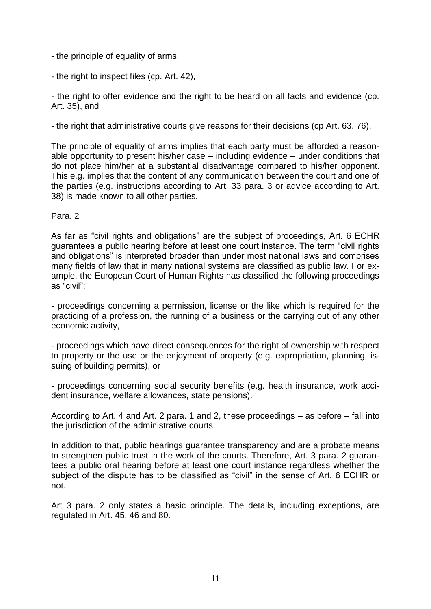- the principle of equality of arms,
- the right to inspect files (cp. Art. 42),

- the right to offer evidence and the right to be heard on all facts and evidence (cp. Art. 35), and

- the right that administrative courts give reasons for their decisions (cp Art. 63, 76).

The principle of equality of arms implies that each party must be afforded a reasonable opportunity to present his/her case – including evidence – under conditions that do not place him/her at a substantial disadvantage compared to his/her opponent. This e.g. implies that the content of any communication between the court and one of the parties (e.g. instructions according to Art. 33 para. 3 or advice according to Art. 38) is made known to all other parties.

Para. 2

As far as "civil rights and obligations" are the subject of proceedings, Art. 6 ECHR guarantees a public hearing before at least one court instance. The term "civil rights and obligations" is interpreted broader than under most national laws and comprises many fields of law that in many national systems are classified as public law. For example, the European Court of Human Rights has classified the following proceedings as "civil":

- proceedings concerning a permission, license or the like which is required for the practicing of a profession, the running of a business or the carrying out of any other economic activity,

- proceedings which have direct consequences for the right of ownership with respect to property or the use or the enjoyment of property (e.g. expropriation, planning, issuing of building permits), or

- proceedings concerning social security benefits (e.g. health insurance, work accident insurance, welfare allowances, state pensions).

According to Art. 4 and Art. 2 para. 1 and 2, these proceedings – as before – fall into the jurisdiction of the administrative courts.

In addition to that, public hearings guarantee transparency and are a probate means to strengthen public trust in the work of the courts. Therefore, Art. 3 para. 2 guarantees a public oral hearing before at least one court instance regardless whether the subject of the dispute has to be classified as "civil" in the sense of Art. 6 ECHR or not.

Art 3 para. 2 only states a basic principle. The details, including exceptions, are regulated in Art. 45, 46 and 80.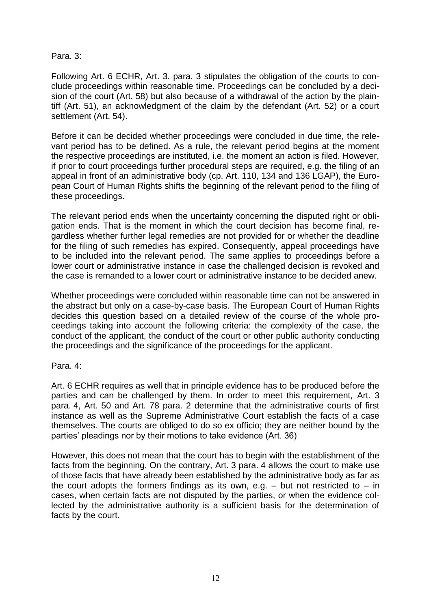#### Para. 3:

Following Art. 6 ECHR, Art. 3. para. 3 stipulates the obligation of the courts to conclude proceedings within reasonable time. Proceedings can be concluded by a decision of the court (Art. 58) but also because of a withdrawal of the action by the plaintiff (Art. 51), an acknowledgment of the claim by the defendant (Art. 52) or a court settlement (Art. 54).

Before it can be decided whether proceedings were concluded in due time, the relevant period has to be defined. As a rule, the relevant period begins at the moment the respective proceedings are instituted, i.e. the moment an action is filed. However, if prior to court proceedings further procedural steps are required, e.g. the filing of an appeal in front of an administrative body (cp. Art. 110, 134 and 136 LGAP), the European Court of Human Rights shifts the beginning of the relevant period to the filing of these proceedings.

The relevant period ends when the uncertainty concerning the disputed right or obligation ends. That is the moment in which the court decision has become final, regardless whether further legal remedies are not provided for or whether the deadline for the filing of such remedies has expired. Consequently, appeal proceedings have to be included into the relevant period. The same applies to proceedings before a lower court or administrative instance in case the challenged decision is revoked and the case is remanded to a lower court or administrative instance to be decided anew.

Whether proceedings were concluded within reasonable time can not be answered in the abstract but only on a case-by-case basis. The European Court of Human Rights decides this question based on a detailed review of the course of the whole proceedings taking into account the following criteria: the complexity of the case, the conduct of the applicant, the conduct of the court or other public authority conducting the proceedings and the significance of the proceedings for the applicant.

Para. 4:

Art. 6 ECHR requires as well that in principle evidence has to be produced before the parties and can be challenged by them. In order to meet this requirement, Art. 3 para. 4, Art. 50 and Art. 78 para. 2 determine that the administrative courts of first instance as well as the Supreme Administrative Court establish the facts of a case themselves. The courts are obliged to do so ex officio; they are neither bound by the parties' pleadings nor by their motions to take evidence (Art. 36)

However, this does not mean that the court has to begin with the establishment of the facts from the beginning. On the contrary, Art. 3 para. 4 allows the court to make use of those facts that have already been established by the administrative body as far as the court adopts the formers findings as its own, e.g.  $-$  but not restricted to  $-$  in cases, when certain facts are not disputed by the parties, or when the evidence collected by the administrative authority is a sufficient basis for the determination of facts by the court.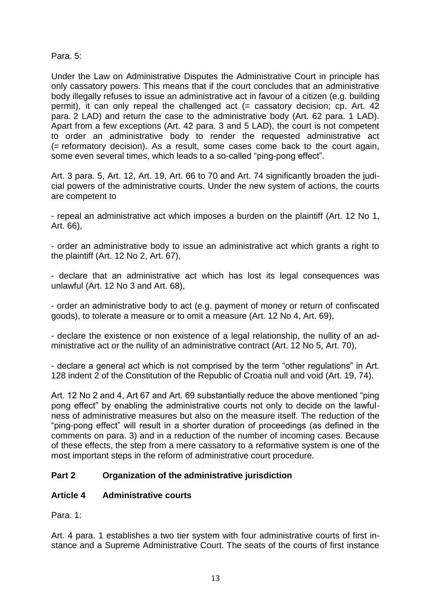Para. 5:

Under the Law on Administrative Disputes the Administrative Court in principle has only cassatory powers. This means that if the court concludes that an administrative body illegally refuses to issue an administrative act in favour of a citizen (e.g. building permit), it can only repeal the challenged act (= cassatory decision; cp. Art. 42 para. 2 LAD) and return the case to the administrative body (Art. 62 para. 1 LAD). Apart from a few exceptions (Art. 42 para. 3 and 5 LAD), the court is not competent to order an administrative body to render the requested administrative act (= reformatory decision). As a result, some cases come back to the court again, some even several times, which leads to a so-called "ping-pong effect".

Art. 3 para. 5, Art. 12, Art. 19, Art. 66 to 70 and Art. 74 significantly broaden the judicial powers of the administrative courts. Under the new system of actions, the courts are competent to

- repeal an administrative act which imposes a burden on the plaintiff (Art. 12 No 1, Art. 66),

- order an administrative body to issue an administrative act which grants a right to the plaintiff (Art. 12 No 2, Art. 67),

- declare that an administrative act which has lost its legal consequences was unlawful (Art. 12 No 3 and Art. 68),

- order an administrative body to act (e.g. payment of money or return of confiscated goods), to tolerate a measure or to omit a measure (Art. 12 No 4, Art. 69),

- declare the existence or non existence of a legal relationship, the nullity of an administrative act or the nullity of an administrative contract (Art. 12 No 5, Art. 70),

- declare a general act which is not comprised by the term "other regulations" in Art. 128 indent 2 of the Constitution of the Republic of Croatia null and void (Art. 19, 74).

Art. 12 No 2 and 4, Art 67 and Art. 69 substantially reduce the above mentioned "ping pong effect" by enabling the administrative courts not only to decide on the lawfulness of administrative measures but also on the measure itself. The reduction of the "ping-pong effect" will result in a shorter duration of proceedings (as defined in the comments on para. 3) and in a reduction of the number of incoming cases. Because of these effects, the step from a mere cassatory to a reformative system is one of the most important steps in the reform of administrative court procedure.

# **Part 2 Organization of the administrative jurisdiction**

# **Article 4 Administrative courts**

Para. 1:

Art. 4 para. 1 establishes a two tier system with four administrative courts of first instance and a Supreme Administrative Court. The seats of the courts of first instance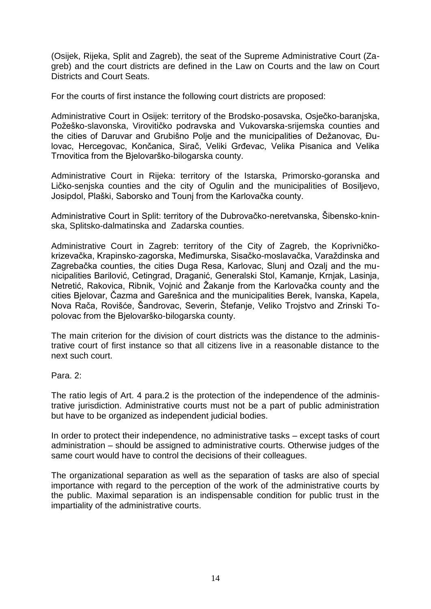(Osijek, Rijeka, Split and Zagreb), the seat of the Supreme Administrative Court (Zagreb) and the court districts are defined in the Law on Courts and the law on Court Districts and Court Seats.

For the courts of first instance the following court districts are proposed:

Administrative Court in Osijek: territory of the Brodsko-posavska, Osječko-baranjska, Požeško-slavonska, Virovitičko podravska and Vukovarska-srijemska counties and the cities of Daruvar and Grubišno Polje and the municipalities of Dežanovac, Đulovac, Hercegovac, Končanica, Sirač, Veliki Grđevac, Velika Pisanica and Velika Trnovitica from the Bjelovarško-bilogarska county.

Administrative Court in Rijeka: territory of the Istarska, Primorsko-goranska and Ličko-senjska counties and the city of Ogulin and the municipalities of Bosiljevo, Josipdol, Plaški, Saborsko and Tounj from the Karlovačka county.

Administrative Court in Split: territory of the Dubrovačko-neretvanska, Šibensko-kninska, Splitsko-dalmatinska and Zadarska counties.

Administrative Court in Zagreb: territory of the City of Zagreb, the Koprivničkokrizevačka, Krapinsko-zagorska, Međimurska, Sisačko-moslavačka, Varaždinska and Zagrebačka counties, the cities Duga Resa, Karlovac, Slunj and Ozalj and the municipalities Barilović, Cetingrad, Draganić, Generalski Stol, Kamanje, Krnjak, Lasinja, Netretić, Rakovica, Ribnik, Vojnić and Žakanje from the Karlovačka county and the cities Bjelovar, Čazma and Garešnica and the municipalities Berek, Ivanska, Kapela, Nova Rača, Rovišće, Šandrovac, Severin, Štefanje, Veliko Trojstvo and Zrinski Topolovac from the Bjelovarško-bilogarska county.

The main criterion for the division of court districts was the distance to the administrative court of first instance so that all citizens live in a reasonable distance to the next such court.

Para. 2:

The ratio legis of Art. 4 para.2 is the protection of the independence of the administrative jurisdiction. Administrative courts must not be a part of public administration but have to be organized as independent judicial bodies.

In order to protect their independence, no administrative tasks – except tasks of court administration – should be assigned to administrative courts. Otherwise judges of the same court would have to control the decisions of their colleagues.

The organizational separation as well as the separation of tasks are also of special importance with regard to the perception of the work of the administrative courts by the public. Maximal separation is an indispensable condition for public trust in the impartiality of the administrative courts.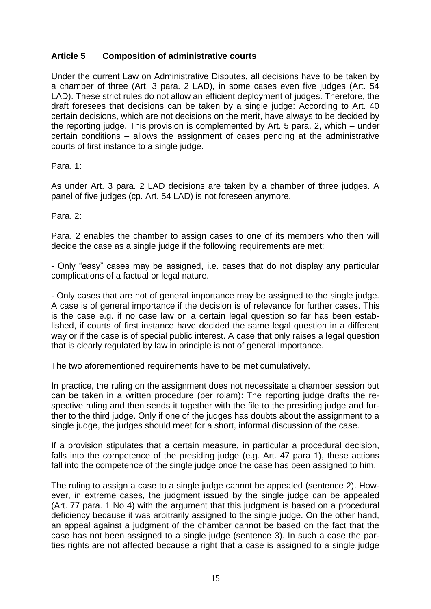# **Article 5 Composition of administrative courts**

Under the current Law on Administrative Disputes, all decisions have to be taken by a chamber of three (Art. 3 para. 2 LAD), in some cases even five judges (Art. 54 LAD). These strict rules do not allow an efficient deployment of judges. Therefore, the draft foresees that decisions can be taken by a single judge: According to Art. 40 certain decisions, which are not decisions on the merit, have always to be decided by the reporting judge. This provision is complemented by Art. 5 para. 2, which – under certain conditions – allows the assignment of cases pending at the administrative courts of first instance to a single judge.

Para. 1:

As under Art. 3 para. 2 LAD decisions are taken by a chamber of three judges. A panel of five judges (cp. Art. 54 LAD) is not foreseen anymore.

Para. 2:

Para. 2 enables the chamber to assign cases to one of its members who then will decide the case as a single judge if the following requirements are met:

- Only "easy" cases may be assigned, i.e. cases that do not display any particular complications of a factual or legal nature.

- Only cases that are not of general importance may be assigned to the single judge. A case is of general importance if the decision is of relevance for further cases. This is the case e.g. if no case law on a certain legal question so far has been established, if courts of first instance have decided the same legal question in a different way or if the case is of special public interest. A case that only raises a legal question that is clearly regulated by law in principle is not of general importance.

The two aforementioned requirements have to be met cumulatively.

In practice, the ruling on the assignment does not necessitate a chamber session but can be taken in a written procedure (per rolam): The reporting judge drafts the respective ruling and then sends it together with the file to the presiding judge and further to the third judge. Only if one of the judges has doubts about the assignment to a single judge, the judges should meet for a short, informal discussion of the case.

If a provision stipulates that a certain measure, in particular a procedural decision, falls into the competence of the presiding judge (e.g. Art. 47 para 1), these actions fall into the competence of the single judge once the case has been assigned to him.

The ruling to assign a case to a single judge cannot be appealed (sentence 2). However, in extreme cases, the judgment issued by the single judge can be appealed (Art. 77 para. 1 No 4) with the argument that this judgment is based on a procedural deficiency because it was arbitrarily assigned to the single judge. On the other hand, an appeal against a judgment of the chamber cannot be based on the fact that the case has not been assigned to a single judge (sentence 3). In such a case the parties rights are not affected because a right that a case is assigned to a single judge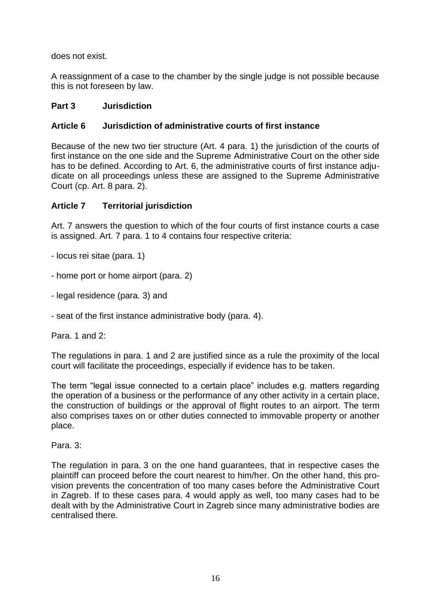does not exist.

A reassignment of a case to the chamber by the single judge is not possible because this is not foreseen by law.

# **Part 3 Jurisdiction**

# **Article 6 Jurisdiction of administrative courts of first instance**

Because of the new two tier structure (Art. 4 para. 1) the jurisdiction of the courts of first instance on the one side and the Supreme Administrative Court on the other side has to be defined. According to Art. 6, the administrative courts of first instance adjudicate on all proceedings unless these are assigned to the Supreme Administrative Court (cp. Art. 8 para. 2).

# **Article 7 Territorial jurisdiction**

Art. 7 answers the question to which of the four courts of first instance courts a case is assigned. Art. 7 para. 1 to 4 contains four respective criteria:

- locus rei sitae (para. 1)

- home port or home airport (para. 2)

- legal residence (para. 3) and

- seat of the first instance administrative body (para. 4).

Para. 1 and 2:

The regulations in para. 1 and 2 are justified since as a rule the proximity of the local court will facilitate the proceedings, especially if evidence has to be taken.

The term "legal issue connected to a certain place" includes e.g. matters regarding the operation of a business or the performance of any other activity in a certain place, the construction of buildings or the approval of flight routes to an airport. The term also comprises taxes on or other duties connected to immovable property or another place.

Para. 3:

The regulation in para. 3 on the one hand guarantees, that in respective cases the plaintiff can proceed before the court nearest to him/her. On the other hand, this provision prevents the concentration of too many cases before the Administrative Court in Zagreb. If to these cases para. 4 would apply as well, too many cases had to be dealt with by the Administrative Court in Zagreb since many administrative bodies are centralised there.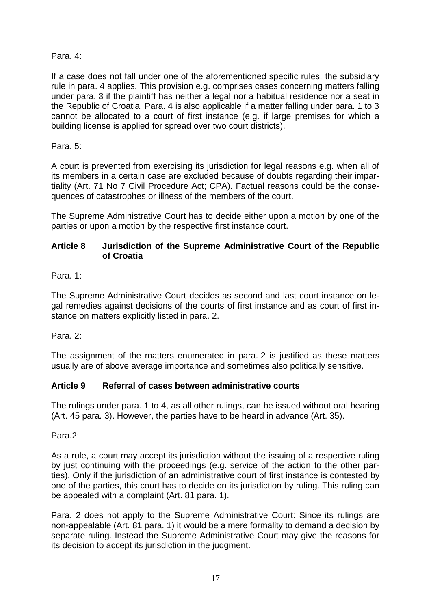Para. 4:

If a case does not fall under one of the aforementioned specific rules, the subsidiary rule in para. 4 applies. This provision e.g. comprises cases concerning matters falling under para. 3 if the plaintiff has neither a legal nor a habitual residence nor a seat in the Republic of Croatia. Para. 4 is also applicable if a matter falling under para. 1 to 3 cannot be allocated to a court of first instance (e.g. if large premises for which a building license is applied for spread over two court districts).

Para. 5:

A court is prevented from exercising its jurisdiction for legal reasons e.g. when all of its members in a certain case are excluded because of doubts regarding their impartiality (Art. 71 No 7 Civil Procedure Act; CPA). Factual reasons could be the consequences of catastrophes or illness of the members of the court.

The Supreme Administrative Court has to decide either upon a motion by one of the parties or upon a motion by the respective first instance court.

# **Article 8 Jurisdiction of the Supreme Administrative Court of the Republic of Croatia**

Para. 1:

The Supreme Administrative Court decides as second and last court instance on legal remedies against decisions of the courts of first instance and as court of first instance on matters explicitly listed in para. 2.

Para. 2:

The assignment of the matters enumerated in para. 2 is justified as these matters usually are of above average importance and sometimes also politically sensitive.

# **Article 9 Referral of cases between administrative courts**

The rulings under para. 1 to 4, as all other rulings, can be issued without oral hearing (Art. 45 para. 3). However, the parties have to be heard in advance (Art. 35).

Para.2:

As a rule, a court may accept its jurisdiction without the issuing of a respective ruling by just continuing with the proceedings (e.g. service of the action to the other parties). Only if the jurisdiction of an administrative court of first instance is contested by one of the parties, this court has to decide on its jurisdiction by ruling. This ruling can be appealed with a complaint (Art. 81 para. 1).

Para. 2 does not apply to the Supreme Administrative Court: Since its rulings are non-appealable (Art. 81 para. 1) it would be a mere formality to demand a decision by separate ruling. Instead the Supreme Administrative Court may give the reasons for its decision to accept its jurisdiction in the judgment.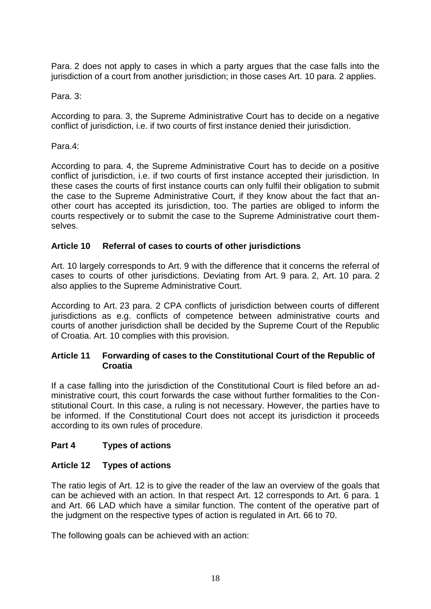Para. 2 does not apply to cases in which a party argues that the case falls into the jurisdiction of a court from another jurisdiction; in those cases Art. 10 para. 2 applies.

Para. 3:

According to para. 3, the Supreme Administrative Court has to decide on a negative conflict of jurisdiction, i.e. if two courts of first instance denied their jurisdiction.

Para.4:

According to para. 4, the Supreme Administrative Court has to decide on a positive conflict of jurisdiction, i.e. if two courts of first instance accepted their jurisdiction. In these cases the courts of first instance courts can only fulfil their obligation to submit the case to the Supreme Administrative Court, if they know about the fact that another court has accepted its jurisdiction, too. The parties are obliged to inform the courts respectively or to submit the case to the Supreme Administrative court themselves.

# **Article 10 Referral of cases to courts of other jurisdictions**

Art. 10 largely corresponds to Art. 9 with the difference that it concerns the referral of cases to courts of other jurisdictions. Deviating from Art. 9 para. 2, Art. 10 para. 2 also applies to the Supreme Administrative Court.

According to Art. 23 para. 2 CPA conflicts of jurisdiction between courts of different jurisdictions as e.g. conflicts of competence between administrative courts and courts of another jurisdiction shall be decided by the Supreme Court of the Republic of Croatia. Art. 10 complies with this provision.

# **Article 11 Forwarding of cases to the Constitutional Court of the Republic of Croatia**

If a case falling into the jurisdiction of the Constitutional Court is filed before an administrative court, this court forwards the case without further formalities to the Constitutional Court. In this case, a ruling is not necessary. However, the parties have to be informed. If the Constitutional Court does not accept its jurisdiction it proceeds according to its own rules of procedure.

# **Part 4 Types of actions**

# **Article 12 Types of actions**

The ratio legis of Art. 12 is to give the reader of the law an overview of the goals that can be achieved with an action. In that respect Art. 12 corresponds to Art. 6 para. 1 and Art. 66 LAD which have a similar function. The content of the operative part of the judgment on the respective types of action is regulated in Art. 66 to 70.

The following goals can be achieved with an action: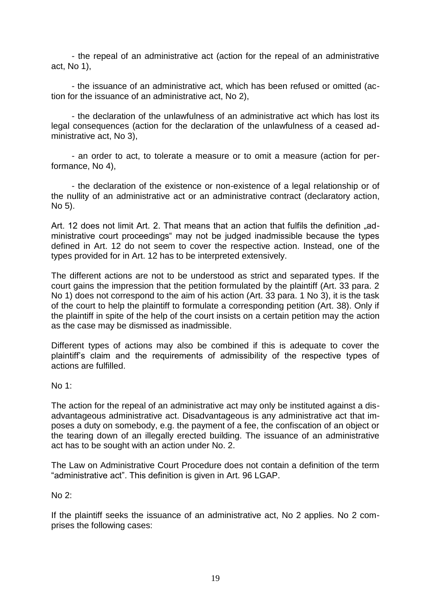- the repeal of an administrative act (action for the repeal of an administrative act, No 1),

- the issuance of an administrative act, which has been refused or omitted (action for the issuance of an administrative act, No 2),

- the declaration of the unlawfulness of an administrative act which has lost its legal consequences (action for the declaration of the unlawfulness of a ceased administrative act, No 3),

- an order to act, to tolerate a measure or to omit a measure (action for performance, No 4),

- the declaration of the existence or non-existence of a legal relationship or of the nullity of an administrative act or an administrative contract (declaratory action, No 5).

Art. 12 does not limit Art. 2. That means that an action that fulfils the definition "administrative court proceedings" may not be judged inadmissible because the types defined in Art. 12 do not seem to cover the respective action. Instead, one of the types provided for in Art. 12 has to be interpreted extensively.

The different actions are not to be understood as strict and separated types. If the court gains the impression that the petition formulated by the plaintiff (Art. 33 para. 2 No 1) does not correspond to the aim of his action (Art. 33 para. 1 No 3), it is the task of the court to help the plaintiff to formulate a corresponding petition (Art. 38). Only if the plaintiff in spite of the help of the court insists on a certain petition may the action as the case may be dismissed as inadmissible.

Different types of actions may also be combined if this is adequate to cover the plaintiff's claim and the requirements of admissibility of the respective types of actions are fulfilled.

No 1:

The action for the repeal of an administrative act may only be instituted against a disadvantageous administrative act. Disadvantageous is any administrative act that imposes a duty on somebody, e.g. the payment of a fee, the confiscation of an object or the tearing down of an illegally erected building. The issuance of an administrative act has to be sought with an action under No. 2.

The Law on Administrative Court Procedure does not contain a definition of the term "administrative act". This definition is given in Art. 96 LGAP.

No 2:

If the plaintiff seeks the issuance of an administrative act, No 2 applies. No 2 comprises the following cases: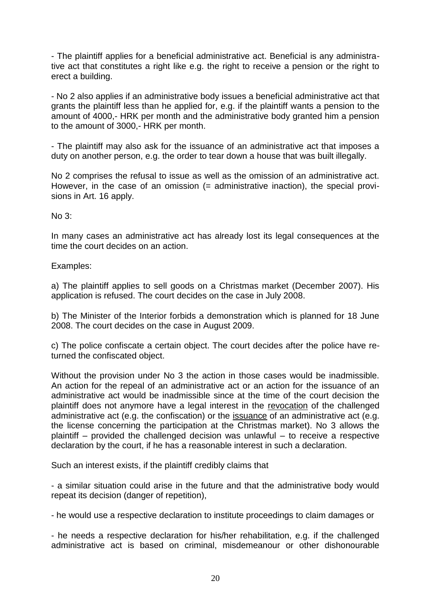- The plaintiff applies for a beneficial administrative act. Beneficial is any administrative act that constitutes a right like e.g. the right to receive a pension or the right to erect a building.

- No 2 also applies if an administrative body issues a beneficial administrative act that grants the plaintiff less than he applied for, e.g. if the plaintiff wants a pension to the amount of 4000,- HRK per month and the administrative body granted him a pension to the amount of 3000,- HRK per month.

- The plaintiff may also ask for the issuance of an administrative act that imposes a duty on another person, e.g. the order to tear down a house that was built illegally.

No 2 comprises the refusal to issue as well as the omission of an administrative act. However, in the case of an omission (= administrative inaction), the special provisions in Art. 16 apply.

No 3:

In many cases an administrative act has already lost its legal consequences at the time the court decides on an action.

Examples:

a) The plaintiff applies to sell goods on a Christmas market (December 2007). His application is refused. The court decides on the case in July 2008.

b) The Minister of the Interior forbids a demonstration which is planned for 18 June 2008. The court decides on the case in August 2009.

c) The police confiscate a certain object. The court decides after the police have returned the confiscated object.

Without the provision under No 3 the action in those cases would be inadmissible. An action for the repeal of an administrative act or an action for the issuance of an administrative act would be inadmissible since at the time of the court decision the plaintiff does not anymore have a legal interest in the revocation of the challenged administrative act (e.g. the confiscation) or the issuance of an administrative act (e.g. the license concerning the participation at the Christmas market). No 3 allows the plaintiff – provided the challenged decision was unlawful – to receive a respective declaration by the court, if he has a reasonable interest in such a declaration.

Such an interest exists, if the plaintiff credibly claims that

- a similar situation could arise in the future and that the administrative body would repeat its decision (danger of repetition),

- he would use a respective declaration to institute proceedings to claim damages or

- he needs a respective declaration for his/her rehabilitation, e.g. if the challenged administrative act is based on criminal, misdemeanour or other dishonourable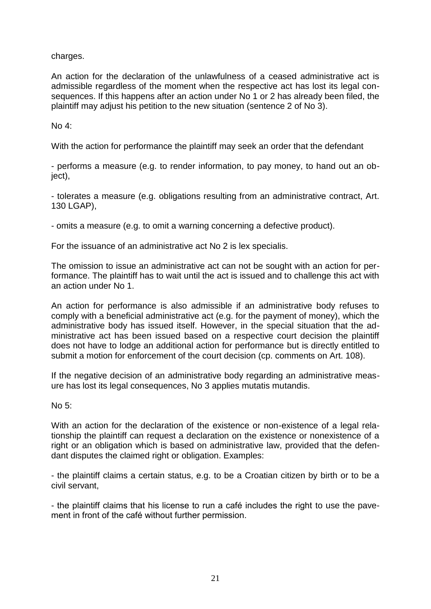charges.

An action for the declaration of the unlawfulness of a ceased administrative act is admissible regardless of the moment when the respective act has lost its legal consequences. If this happens after an action under No 1 or 2 has already been filed, the plaintiff may adjust his petition to the new situation (sentence 2 of No 3).

No 4:

With the action for performance the plaintiff may seek an order that the defendant

- performs a measure (e.g. to render information, to pay money, to hand out an object),

- tolerates a measure (e.g. obligations resulting from an administrative contract, Art. 130 LGAP),

- omits a measure (e.g. to omit a warning concerning a defective product).

For the issuance of an administrative act No 2 is lex specialis.

The omission to issue an administrative act can not be sought with an action for performance. The plaintiff has to wait until the act is issued and to challenge this act with an action under No 1.

An action for performance is also admissible if an administrative body refuses to comply with a beneficial administrative act (e.g. for the payment of money), which the administrative body has issued itself. However, in the special situation that the administrative act has been issued based on a respective court decision the plaintiff does not have to lodge an additional action for performance but is directly entitled to submit a motion for enforcement of the court decision (cp. comments on Art. 108).

If the negative decision of an administrative body regarding an administrative measure has lost its legal consequences, No 3 applies mutatis mutandis.

No 5:

With an action for the declaration of the existence or non-existence of a legal relationship the plaintiff can request a declaration on the existence or nonexistence of a right or an obligation which is based on administrative law, provided that the defendant disputes the claimed right or obligation. Examples:

- the plaintiff claims a certain status, e.g. to be a Croatian citizen by birth or to be a civil servant,

- the plaintiff claims that his license to run a café includes the right to use the pavement in front of the café without further permission.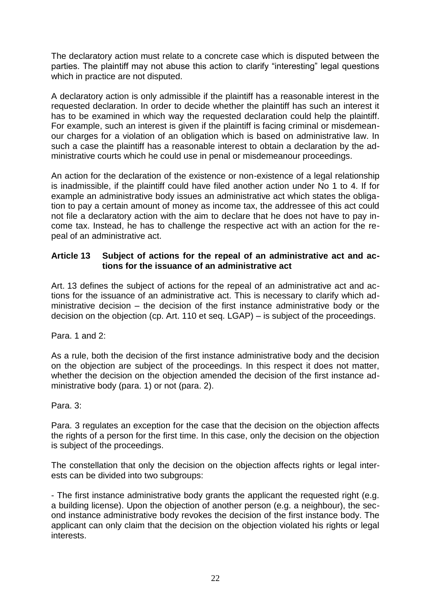The declaratory action must relate to a concrete case which is disputed between the parties. The plaintiff may not abuse this action to clarify "interesting" legal questions which in practice are not disputed.

A declaratory action is only admissible if the plaintiff has a reasonable interest in the requested declaration. In order to decide whether the plaintiff has such an interest it has to be examined in which way the requested declaration could help the plaintiff. For example, such an interest is given if the plaintiff is facing criminal or misdemeanour charges for a violation of an obligation which is based on administrative law. In such a case the plaintiff has a reasonable interest to obtain a declaration by the administrative courts which he could use in penal or misdemeanour proceedings.

An action for the declaration of the existence or non-existence of a legal relationship is inadmissible, if the plaintiff could have filed another action under No 1 to 4. If for example an administrative body issues an administrative act which states the obligation to pay a certain amount of money as income tax, the addressee of this act could not file a declaratory action with the aim to declare that he does not have to pay income tax. Instead, he has to challenge the respective act with an action for the repeal of an administrative act.

#### **Article 13 Subject of actions for the repeal of an administrative act and actions for the issuance of an administrative act**

Art. 13 defines the subject of actions for the repeal of an administrative act and actions for the issuance of an administrative act. This is necessary to clarify which administrative decision – the decision of the first instance administrative body or the decision on the objection (cp. Art. 110 et seq. LGAP) – is subject of the proceedings.

Para. 1 and 2:

As a rule, both the decision of the first instance administrative body and the decision on the objection are subject of the proceedings. In this respect it does not matter, whether the decision on the objection amended the decision of the first instance administrative body (para. 1) or not (para. 2).

Para. 3:

Para. 3 regulates an exception for the case that the decision on the objection affects the rights of a person for the first time. In this case, only the decision on the objection is subject of the proceedings.

The constellation that only the decision on the objection affects rights or legal interests can be divided into two subgroups:

- The first instance administrative body grants the applicant the requested right (e.g. a building license). Upon the objection of another person (e.g. a neighbour), the second instance administrative body revokes the decision of the first instance body. The applicant can only claim that the decision on the objection violated his rights or legal interests.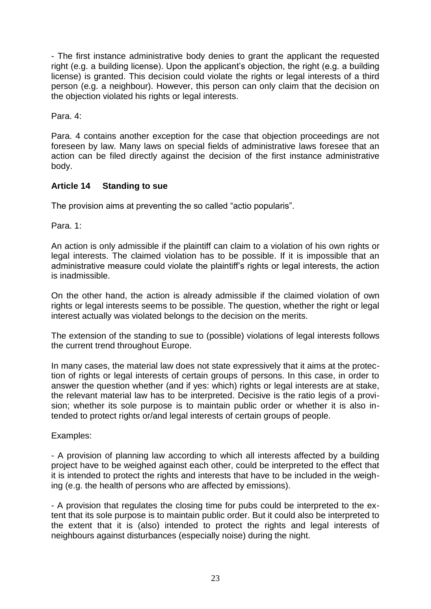- The first instance administrative body denies to grant the applicant the requested right (e.g. a building license). Upon the applicant's objection, the right (e.g. a building license) is granted. This decision could violate the rights or legal interests of a third person (e.g. a neighbour). However, this person can only claim that the decision on the objection violated his rights or legal interests.

Para. 4:

Para. 4 contains another exception for the case that objection proceedings are not foreseen by law. Many laws on special fields of administrative laws foresee that an action can be filed directly against the decision of the first instance administrative body.

# **Article 14 Standing to sue**

The provision aims at preventing the so called "actio popularis".

Para. 1:

An action is only admissible if the plaintiff can claim to a violation of his own rights or legal interests. The claimed violation has to be possible. If it is impossible that an administrative measure could violate the plaintiff's rights or legal interests, the action is inadmissible.

On the other hand, the action is already admissible if the claimed violation of own rights or legal interests seems to be possible. The question, whether the right or legal interest actually was violated belongs to the decision on the merits.

The extension of the standing to sue to (possible) violations of legal interests follows the current trend throughout Europe.

In many cases, the material law does not state expressively that it aims at the protection of rights or legal interests of certain groups of persons. In this case, in order to answer the question whether (and if yes: which) rights or legal interests are at stake, the relevant material law has to be interpreted. Decisive is the ratio legis of a provision; whether its sole purpose is to maintain public order or whether it is also intended to protect rights or/and legal interests of certain groups of people.

# Examples:

- A provision of planning law according to which all interests affected by a building project have to be weighed against each other, could be interpreted to the effect that it is intended to protect the rights and interests that have to be included in the weighing (e.g. the health of persons who are affected by emissions).

- A provision that regulates the closing time for pubs could be interpreted to the extent that its sole purpose is to maintain public order. But it could also be interpreted to the extent that it is (also) intended to protect the rights and legal interests of neighbours against disturbances (especially noise) during the night.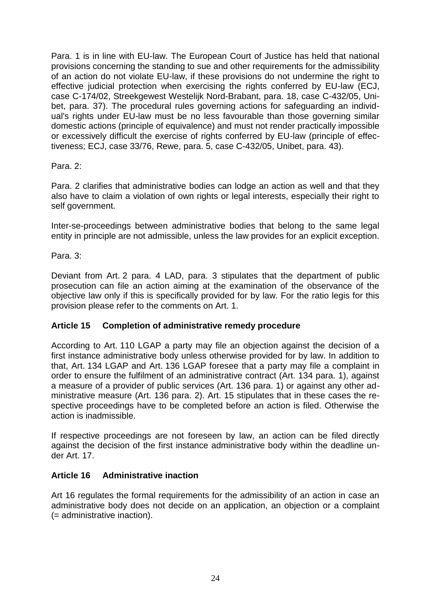Para. 1 is in line with EU-law. The European Court of Justice has held that national provisions concerning the standing to sue and other requirements for the admissibility of an action do not violate EU-law, if these provisions do not undermine the right to effective judicial protection when exercising the rights conferred by EU-law (ECJ, case C-174/02, Streekgewest Westelijk Nord-Brabant, para. 18, case C-432/05, Unibet, para. 37). The procedural rules governing actions for safeguarding an individual's rights under EU-law must be no less favourable than those governing similar domestic actions (principle of equivalence) and must not render practically impossible or excessively difficult the exercise of rights conferred by EU-law (principle of effectiveness; ECJ, case 33/76, Rewe, para. 5, case C-432/05, Unibet, para. 43).

Para. 2:

Para. 2 clarifies that administrative bodies can lodge an action as well and that they also have to claim a violation of own rights or legal interests, especially their right to self government.

Inter-se-proceedings between administrative bodies that belong to the same legal entity in principle are not admissible, unless the law provides for an explicit exception.

Para. 3:

Deviant from Art. 2 para. 4 LAD, para. 3 stipulates that the department of public prosecution can file an action aiming at the examination of the observance of the objective law only if this is specifically provided for by law. For the ratio legis for this provision please refer to the comments on Art. 1.

#### **Article 15 Completion of administrative remedy procedure**

According to Art. 110 LGAP a party may file an objection against the decision of a first instance administrative body unless otherwise provided for by law. In addition to that, Art. 134 LGAP and Art. 136 LGAP foresee that a party may file a complaint in order to ensure the fulfilment of an administrative contract (Art. 134 para. 1), against a measure of a provider of public services (Art. 136 para. 1) or against any other administrative measure (Art. 136 para. 2). Art. 15 stipulates that in these cases the respective proceedings have to be completed before an action is filed. Otherwise the action is inadmissible.

If respective proceedings are not foreseen by law, an action can be filed directly against the decision of the first instance administrative body within the deadline under Art. 17.

#### **Article 16 Administrative inaction**

Art 16 regulates the formal requirements for the admissibility of an action in case an administrative body does not decide on an application, an objection or a complaint (= administrative inaction).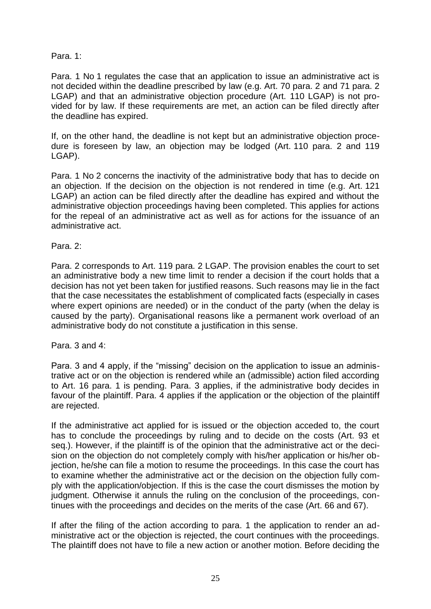Para. 1:

Para. 1 No 1 regulates the case that an application to issue an administrative act is not decided within the deadline prescribed by law (e.g. Art. 70 para. 2 and 71 para. 2 LGAP) and that an administrative objection procedure (Art. 110 LGAP) is not provided for by law. If these requirements are met, an action can be filed directly after the deadline has expired.

If, on the other hand, the deadline is not kept but an administrative objection procedure is foreseen by law, an objection may be lodged (Art. 110 para. 2 and 119 LGAP).

Para. 1 No 2 concerns the inactivity of the administrative body that has to decide on an objection. If the decision on the objection is not rendered in time (e.g. Art. 121 LGAP) an action can be filed directly after the deadline has expired and without the administrative objection proceedings having been completed. This applies for actions for the repeal of an administrative act as well as for actions for the issuance of an administrative act.

Para. 2:

Para. 2 corresponds to Art. 119 para. 2 LGAP. The provision enables the court to set an administrative body a new time limit to render a decision if the court holds that a decision has not yet been taken for justified reasons. Such reasons may lie in the fact that the case necessitates the establishment of complicated facts (especially in cases where expert opinions are needed) or in the conduct of the party (when the delay is caused by the party). Organisational reasons like a permanent work overload of an administrative body do not constitute a justification in this sense.

Para. 3 and 4:

Para. 3 and 4 apply, if the "missing" decision on the application to issue an administrative act or on the objection is rendered while an (admissible) action filed according to Art. 16 para. 1 is pending. Para. 3 applies, if the administrative body decides in favour of the plaintiff. Para. 4 applies if the application or the objection of the plaintiff are rejected.

If the administrative act applied for is issued or the objection acceded to, the court has to conclude the proceedings by ruling and to decide on the costs (Art. 93 et seq.). However, if the plaintiff is of the opinion that the administrative act or the decision on the objection do not completely comply with his/her application or his/her objection, he/she can file a motion to resume the proceedings. In this case the court has to examine whether the administrative act or the decision on the objection fully comply with the application/objection. If this is the case the court dismisses the motion by judgment. Otherwise it annuls the ruling on the conclusion of the proceedings, continues with the proceedings and decides on the merits of the case (Art. 66 and 67).

If after the filing of the action according to para. 1 the application to render an administrative act or the objection is rejected, the court continues with the proceedings. The plaintiff does not have to file a new action or another motion. Before deciding the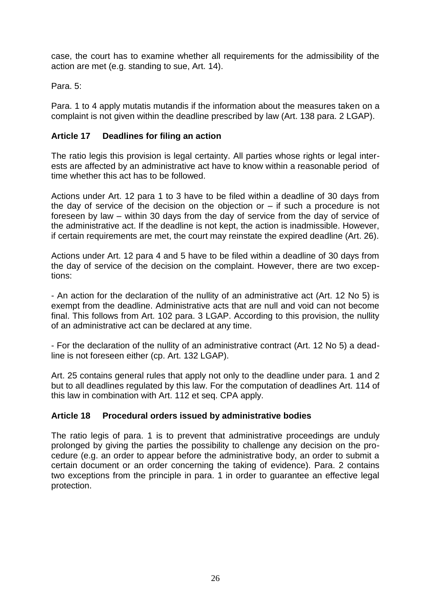case, the court has to examine whether all requirements for the admissibility of the action are met (e.g. standing to sue, Art. 14).

Para. 5:

Para. 1 to 4 apply mutatis mutandis if the information about the measures taken on a complaint is not given within the deadline prescribed by law (Art. 138 para. 2 LGAP).

# **Article 17 Deadlines for filing an action**

The ratio legis this provision is legal certainty. All parties whose rights or legal interests are affected by an administrative act have to know within a reasonable period of time whether this act has to be followed.

Actions under Art. 12 para 1 to 3 have to be filed within a deadline of 30 days from the day of service of the decision on the objection or – if such a procedure is not foreseen by law – within 30 days from the day of service from the day of service of the administrative act. If the deadline is not kept, the action is inadmissible. However, if certain requirements are met, the court may reinstate the expired deadline (Art. 26).

Actions under Art. 12 para 4 and 5 have to be filed within a deadline of 30 days from the day of service of the decision on the complaint. However, there are two exceptions:

- An action for the declaration of the nullity of an administrative act (Art. 12 No 5) is exempt from the deadline. Administrative acts that are null and void can not become final. This follows from Art. 102 para. 3 LGAP. According to this provision, the nullity of an administrative act can be declared at any time.

- For the declaration of the nullity of an administrative contract (Art. 12 No 5) a deadline is not foreseen either (cp. Art. 132 LGAP).

Art. 25 contains general rules that apply not only to the deadline under para. 1 and 2 but to all deadlines regulated by this law. For the computation of deadlines Art. 114 of this law in combination with Art. 112 et seq. CPA apply.

# **Article 18 Procedural orders issued by administrative bodies**

The ratio legis of para. 1 is to prevent that administrative proceedings are unduly prolonged by giving the parties the possibility to challenge any decision on the procedure (e.g. an order to appear before the administrative body, an order to submit a certain document or an order concerning the taking of evidence). Para. 2 contains two exceptions from the principle in para. 1 in order to guarantee an effective legal protection.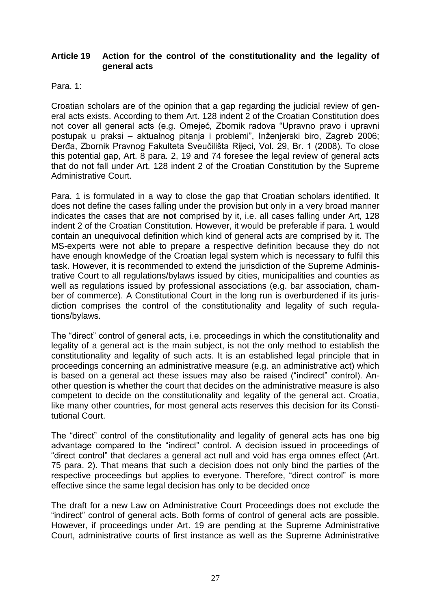#### **Article 19 Action for the control of the constitutionality and the legality of general acts**

Para. 1:

Croatian scholars are of the opinion that a gap regarding the judicial review of general acts exists. According to them Art. 128 indent 2 of the Croatian Constitution does not cover all general acts (e.g. Omejeć, Zbornik radova "Upravno pravo i upravni postupak u praksi – aktualnog pitanja i problemi", Inženjerski biro, Zagreb 2006; Đerđa, Zbornik Pravnog Fakulteta Sveučilišta Rijeci, Vol. 29, Br. 1 (2008). To close this potential gap, Art. 8 para. 2, 19 and 74 foresee the legal review of general acts that do not fall under Art. 128 indent 2 of the Croatian Constitution by the Supreme Administrative Court.

Para. 1 is formulated in a way to close the gap that Croatian scholars identified. It does not define the cases falling under the provision but only in a very broad manner indicates the cases that are **not** comprised by it, i.e. all cases falling under Art, 128 indent 2 of the Croatian Constitution. However, it would be preferable if para. 1 would contain an unequivocal definition which kind of general acts are comprised by it. The MS-experts were not able to prepare a respective definition because they do not have enough knowledge of the Croatian legal system which is necessary to fulfil this task. However, it is recommended to extend the jurisdiction of the Supreme Administrative Court to all regulations/bylaws issued by cities, municipalities and counties as well as regulations issued by professional associations (e.g. bar association, chamber of commerce). A Constitutional Court in the long run is overburdened if its jurisdiction comprises the control of the constitutionality and legality of such regulations/bylaws.

The "direct" control of general acts, i.e. proceedings in which the constitutionality and legality of a general act is the main subject, is not the only method to establish the constitutionality and legality of such acts. It is an established legal principle that in proceedings concerning an administrative measure (e.g. an administrative act) which is based on a general act these issues may also be raised ("indirect" control). Another question is whether the court that decides on the administrative measure is also competent to decide on the constitutionality and legality of the general act. Croatia, like many other countries, for most general acts reserves this decision for its Constitutional Court.

The "direct" control of the constitutionality and legality of general acts has one big advantage compared to the "indirect" control. A decision issued in proceedings of "direct control" that declares a general act null and void has erga omnes effect (Art. 75 para. 2). That means that such a decision does not only bind the parties of the respective proceedings but applies to everyone. Therefore, "direct control" is more effective since the same legal decision has only to be decided once

The draft for a new Law on Administrative Court Proceedings does not exclude the "indirect" control of general acts. Both forms of control of general acts are possible. However, if proceedings under Art. 19 are pending at the Supreme Administrative Court, administrative courts of first instance as well as the Supreme Administrative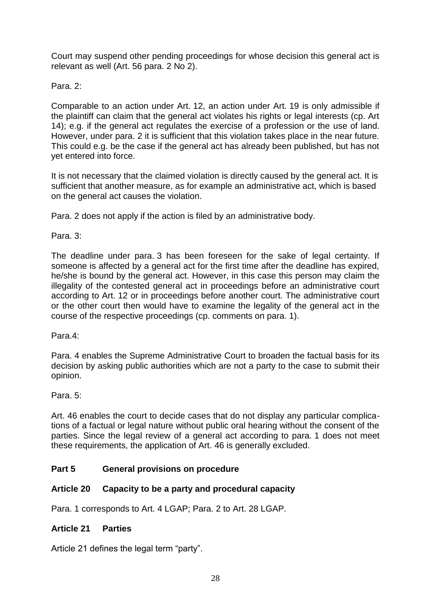Court may suspend other pending proceedings for whose decision this general act is relevant as well (Art. 56 para. 2 No 2).

#### Para<sub>2</sub>.

Comparable to an action under Art. 12, an action under Art. 19 is only admissible if the plaintiff can claim that the general act violates his rights or legal interests (cp. Art 14); e.g. if the general act regulates the exercise of a profession or the use of land. However, under para. 2 it is sufficient that this violation takes place in the near future. This could e.g. be the case if the general act has already been published, but has not yet entered into force.

It is not necessary that the claimed violation is directly caused by the general act. It is sufficient that another measure, as for example an administrative act, which is based on the general act causes the violation.

Para. 2 does not apply if the action is filed by an administrative body.

Para. 3:

The deadline under para. 3 has been foreseen for the sake of legal certainty. If someone is affected by a general act for the first time after the deadline has expired. he/she is bound by the general act. However, in this case this person may claim the illegality of the contested general act in proceedings before an administrative court according to Art. 12 or in proceedings before another court. The administrative court or the other court then would have to examine the legality of the general act in the course of the respective proceedings (cp. comments on para. 1).

Para.4:

Para. 4 enables the Supreme Administrative Court to broaden the factual basis for its decision by asking public authorities which are not a party to the case to submit their opinion.

Para. 5:

Art. 46 enables the court to decide cases that do not display any particular complications of a factual or legal nature without public oral hearing without the consent of the parties. Since the legal review of a general act according to para. 1 does not meet these requirements, the application of Art. 46 is generally excluded.

# **Part 5 General provisions on procedure**

# **Article 20 Capacity to be a party and procedural capacity**

Para. 1 corresponds to Art. 4 LGAP; Para. 2 to Art. 28 LGAP.

#### **Article 21 Parties**

Article 21 defines the legal term "party".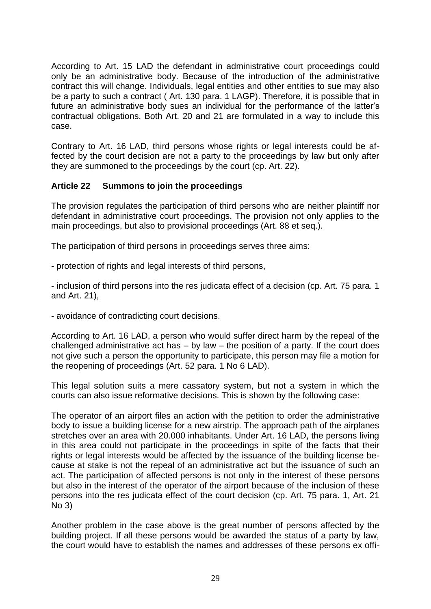According to Art. 15 LAD the defendant in administrative court proceedings could only be an administrative body. Because of the introduction of the administrative contract this will change. Individuals, legal entities and other entities to sue may also be a party to such a contract ( Art. 130 para. 1 LAGP). Therefore, it is possible that in future an administrative body sues an individual for the performance of the latter's contractual obligations. Both Art. 20 and 21 are formulated in a way to include this case.

Contrary to Art. 16 LAD, third persons whose rights or legal interests could be affected by the court decision are not a party to the proceedings by law but only after they are summoned to the proceedings by the court (cp. Art. 22).

# **Article 22 Summons to join the proceedings**

The provision regulates the participation of third persons who are neither plaintiff nor defendant in administrative court proceedings. The provision not only applies to the main proceedings, but also to provisional proceedings (Art. 88 et seq.).

The participation of third persons in proceedings serves three aims:

- protection of rights and legal interests of third persons,

- inclusion of third persons into the res judicata effect of a decision (cp. Art. 75 para. 1 and Art. 21),

- avoidance of contradicting court decisions.

According to Art. 16 LAD, a person who would suffer direct harm by the repeal of the challenged administrative act has – by law – the position of a party. If the court does not give such a person the opportunity to participate, this person may file a motion for the reopening of proceedings (Art. 52 para. 1 No 6 LAD).

This legal solution suits a mere cassatory system, but not a system in which the courts can also issue reformative decisions. This is shown by the following case:

The operator of an airport files an action with the petition to order the administrative body to issue a building license for a new airstrip. The approach path of the airplanes stretches over an area with 20.000 inhabitants. Under Art. 16 LAD, the persons living in this area could not participate in the proceedings in spite of the facts that their rights or legal interests would be affected by the issuance of the building license because at stake is not the repeal of an administrative act but the issuance of such an act. The participation of affected persons is not only in the interest of these persons but also in the interest of the operator of the airport because of the inclusion of these persons into the res judicata effect of the court decision (cp. Art. 75 para. 1, Art. 21 No 3)

Another problem in the case above is the great number of persons affected by the building project. If all these persons would be awarded the status of a party by law, the court would have to establish the names and addresses of these persons ex offi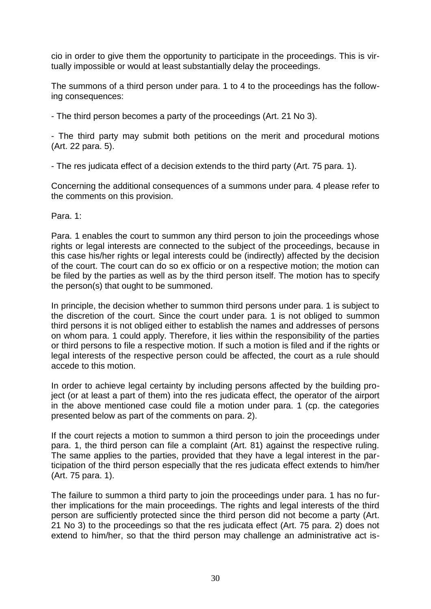cio in order to give them the opportunity to participate in the proceedings. This is virtually impossible or would at least substantially delay the proceedings.

The summons of a third person under para. 1 to 4 to the proceedings has the following consequences:

- The third person becomes a party of the proceedings (Art. 21 No 3).

- The third party may submit both petitions on the merit and procedural motions (Art. 22 para. 5).

- The res judicata effect of a decision extends to the third party (Art. 75 para. 1).

Concerning the additional consequences of a summons under para. 4 please refer to the comments on this provision.

Para. 1:

Para. 1 enables the court to summon any third person to join the proceedings whose rights or legal interests are connected to the subject of the proceedings, because in this case his/her rights or legal interests could be (indirectly) affected by the decision of the court. The court can do so ex officio or on a respective motion; the motion can be filed by the parties as well as by the third person itself. The motion has to specify the person(s) that ought to be summoned.

In principle, the decision whether to summon third persons under para. 1 is subject to the discretion of the court. Since the court under para. 1 is not obliged to summon third persons it is not obliged either to establish the names and addresses of persons on whom para. 1 could apply. Therefore, it lies within the responsibility of the parties or third persons to file a respective motion. If such a motion is filed and if the rights or legal interests of the respective person could be affected, the court as a rule should accede to this motion.

In order to achieve legal certainty by including persons affected by the building project (or at least a part of them) into the res judicata effect, the operator of the airport in the above mentioned case could file a motion under para. 1 (cp. the categories presented below as part of the comments on para. 2).

If the court rejects a motion to summon a third person to join the proceedings under para. 1, the third person can file a complaint (Art. 81) against the respective ruling. The same applies to the parties, provided that they have a legal interest in the participation of the third person especially that the res judicata effect extends to him/her (Art. 75 para. 1).

The failure to summon a third party to join the proceedings under para. 1 has no further implications for the main proceedings. The rights and legal interests of the third person are sufficiently protected since the third person did not become a party (Art. 21 No 3) to the proceedings so that the res judicata effect (Art. 75 para. 2) does not extend to him/her, so that the third person may challenge an administrative act is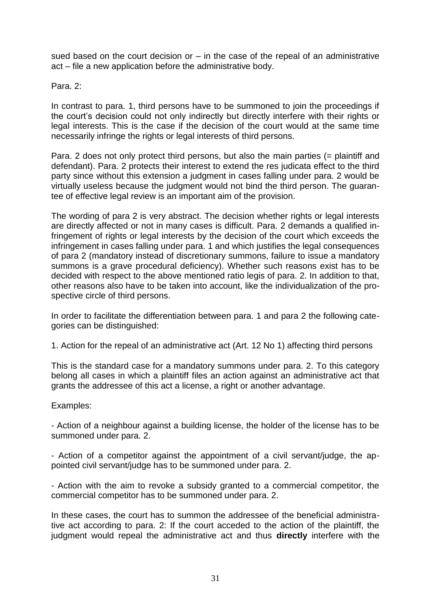sued based on the court decision or  $-$  in the case of the repeal of an administrative act – file a new application before the administrative body.

#### Para 2:

In contrast to para. 1, third persons have to be summoned to join the proceedings if the court's decision could not only indirectly but directly interfere with their rights or legal interests. This is the case if the decision of the court would at the same time necessarily infringe the rights or legal interests of third persons.

Para. 2 does not only protect third persons, but also the main parties (= plaintiff and defendant). Para. 2 protects their interest to extend the res judicata effect to the third party since without this extension a judgment in cases falling under para. 2 would be virtually useless because the judgment would not bind the third person. The guarantee of effective legal review is an important aim of the provision.

The wording of para 2 is very abstract. The decision whether rights or legal interests are directly affected or not in many cases is difficult. Para. 2 demands a qualified infringement of rights or legal interests by the decision of the court which exceeds the infringement in cases falling under para. 1 and which justifies the legal consequences of para 2 (mandatory instead of discretionary summons, failure to issue a mandatory summons is a grave procedural deficiency). Whether such reasons exist has to be decided with respect to the above mentioned ratio legis of para. 2. In addition to that, other reasons also have to be taken into account, like the individualization of the prospective circle of third persons.

In order to facilitate the differentiation between para. 1 and para 2 the following categories can be distinguished:

1. Action for the repeal of an administrative act (Art. 12 No 1) affecting third persons

This is the standard case for a mandatory summons under para. 2. To this category belong all cases in which a plaintiff files an action against an administrative act that grants the addressee of this act a license, a right or another advantage.

#### Examples:

- Action of a neighbour against a building license, the holder of the license has to be summoned under para. 2.

- Action of a competitor against the appointment of a civil servant/judge, the appointed civil servant/judge has to be summoned under para. 2.

- Action with the aim to revoke a subsidy granted to a commercial competitor, the commercial competitor has to be summoned under para. 2.

In these cases, the court has to summon the addressee of the beneficial administrative act according to para. 2: If the court acceded to the action of the plaintiff, the judgment would repeal the administrative act and thus **directly** interfere with the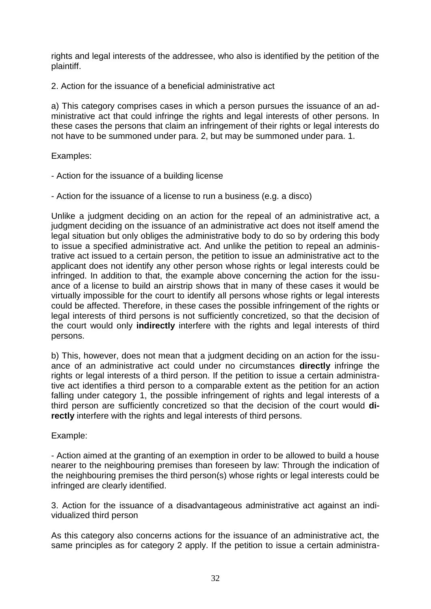rights and legal interests of the addressee, who also is identified by the petition of the plaintiff.

2. Action for the issuance of a beneficial administrative act

a) This category comprises cases in which a person pursues the issuance of an administrative act that could infringe the rights and legal interests of other persons. In these cases the persons that claim an infringement of their rights or legal interests do not have to be summoned under para. 2, but may be summoned under para. 1.

#### Examples:

- Action for the issuance of a building license
- Action for the issuance of a license to run a business (e.g. a disco)

Unlike a judgment deciding on an action for the repeal of an administrative act, a judgment deciding on the issuance of an administrative act does not itself amend the legal situation but only obliges the administrative body to do so by ordering this body to issue a specified administrative act. And unlike the petition to repeal an administrative act issued to a certain person, the petition to issue an administrative act to the applicant does not identify any other person whose rights or legal interests could be infringed. In addition to that, the example above concerning the action for the issuance of a license to build an airstrip shows that in many of these cases it would be virtually impossible for the court to identify all persons whose rights or legal interests could be affected. Therefore, in these cases the possible infringement of the rights or legal interests of third persons is not sufficiently concretized, so that the decision of the court would only **indirectly** interfere with the rights and legal interests of third persons.

b) This, however, does not mean that a judgment deciding on an action for the issuance of an administrative act could under no circumstances **directly** infringe the rights or legal interests of a third person. If the petition to issue a certain administrative act identifies a third person to a comparable extent as the petition for an action falling under category 1, the possible infringement of rights and legal interests of a third person are sufficiently concretized so that the decision of the court would **directly** interfere with the rights and legal interests of third persons.

#### Example:

- Action aimed at the granting of an exemption in order to be allowed to build a house nearer to the neighbouring premises than foreseen by law: Through the indication of the neighbouring premises the third person(s) whose rights or legal interests could be infringed are clearly identified.

3. Action for the issuance of a disadvantageous administrative act against an individualized third person

As this category also concerns actions for the issuance of an administrative act, the same principles as for category 2 apply. If the petition to issue a certain administra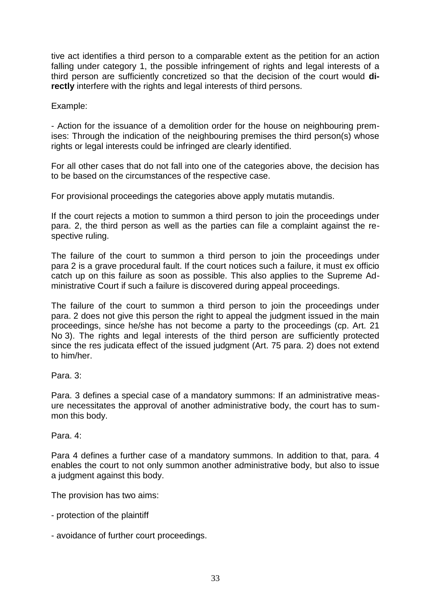tive act identifies a third person to a comparable extent as the petition for an action falling under category 1, the possible infringement of rights and legal interests of a third person are sufficiently concretized so that the decision of the court would **directly** interfere with the rights and legal interests of third persons.

Example:

- Action for the issuance of a demolition order for the house on neighbouring premises: Through the indication of the neighbouring premises the third person(s) whose rights or legal interests could be infringed are clearly identified.

For all other cases that do not fall into one of the categories above, the decision has to be based on the circumstances of the respective case.

For provisional proceedings the categories above apply mutatis mutandis.

If the court rejects a motion to summon a third person to join the proceedings under para. 2, the third person as well as the parties can file a complaint against the respective ruling.

The failure of the court to summon a third person to join the proceedings under para 2 is a grave procedural fault. If the court notices such a failure, it must ex officio catch up on this failure as soon as possible. This also applies to the Supreme Administrative Court if such a failure is discovered during appeal proceedings.

The failure of the court to summon a third person to join the proceedings under para. 2 does not give this person the right to appeal the judgment issued in the main proceedings, since he/she has not become a party to the proceedings (cp. Art. 21 No 3). The rights and legal interests of the third person are sufficiently protected since the res judicata effect of the issued judgment (Art. 75 para. 2) does not extend to him/her.

Para. 3:

Para. 3 defines a special case of a mandatory summons: If an administrative measure necessitates the approval of another administrative body, the court has to summon this body.

Para. 4:

Para 4 defines a further case of a mandatory summons. In addition to that, para. 4 enables the court to not only summon another administrative body, but also to issue a judgment against this body.

The provision has two aims:

- protection of the plaintiff
- avoidance of further court proceedings.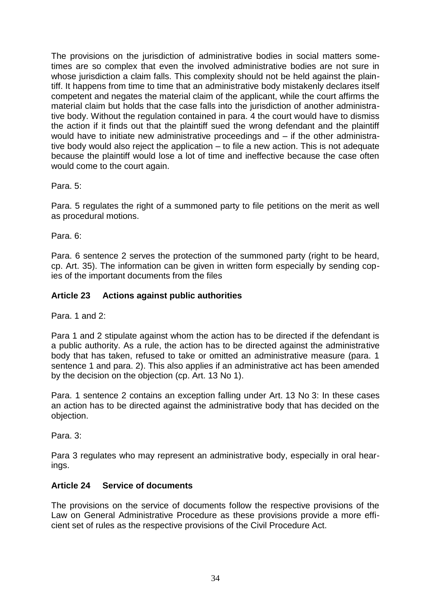The provisions on the jurisdiction of administrative bodies in social matters sometimes are so complex that even the involved administrative bodies are not sure in whose jurisdiction a claim falls. This complexity should not be held against the plaintiff. It happens from time to time that an administrative body mistakenly declares itself competent and negates the material claim of the applicant, while the court affirms the material claim but holds that the case falls into the jurisdiction of another administrative body. Without the regulation contained in para. 4 the court would have to dismiss the action if it finds out that the plaintiff sued the wrong defendant and the plaintiff would have to initiate new administrative proceedings and – if the other administrative body would also reject the application – to file a new action. This is not adequate because the plaintiff would lose a lot of time and ineffective because the case often would come to the court again.

Para. 5:

Para. 5 regulates the right of a summoned party to file petitions on the merit as well as procedural motions.

Para. 6:

Para. 6 sentence 2 serves the protection of the summoned party (right to be heard, cp. Art. 35). The information can be given in written form especially by sending copies of the important documents from the files

#### **Article 23 Actions against public authorities**

Para. 1 and 2:

Para 1 and 2 stipulate against whom the action has to be directed if the defendant is a public authority. As a rule, the action has to be directed against the administrative body that has taken, refused to take or omitted an administrative measure (para. 1 sentence 1 and para. 2). This also applies if an administrative act has been amended by the decision on the objection (cp. Art. 13 No 1).

Para. 1 sentence 2 contains an exception falling under Art. 13 No 3: In these cases an action has to be directed against the administrative body that has decided on the objection.

Para. 3:

Para 3 regulates who may represent an administrative body, especially in oral hearings.

#### **Article 24 Service of documents**

The provisions on the service of documents follow the respective provisions of the Law on General Administrative Procedure as these provisions provide a more efficient set of rules as the respective provisions of the Civil Procedure Act.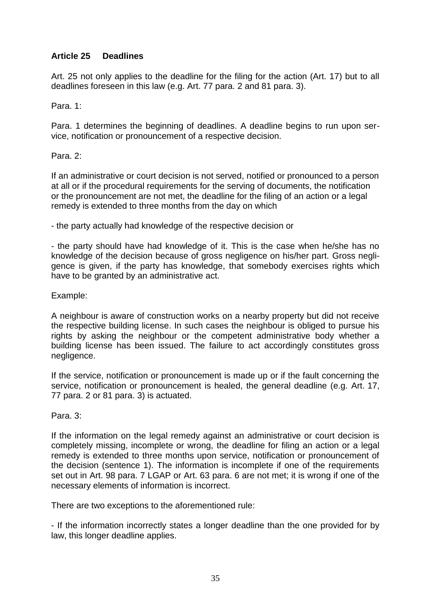# **Article 25 Deadlines**

Art. 25 not only applies to the deadline for the filing for the action (Art. 17) but to all deadlines foreseen in this law (e.g. Art. 77 para. 2 and 81 para. 3).

Para. 1:

Para. 1 determines the beginning of deadlines. A deadline begins to run upon service, notification or pronouncement of a respective decision.

Para<sub>2</sub>.

If an administrative or court decision is not served, notified or pronounced to a person at all or if the procedural requirements for the serving of documents, the notification or the pronouncement are not met, the deadline for the filing of an action or a legal remedy is extended to three months from the day on which

- the party actually had knowledge of the respective decision or

- the party should have had knowledge of it. This is the case when he/she has no knowledge of the decision because of gross negligence on his/her part. Gross negligence is given, if the party has knowledge, that somebody exercises rights which have to be granted by an administrative act.

Example:

A neighbour is aware of construction works on a nearby property but did not receive the respective building license. In such cases the neighbour is obliged to pursue his rights by asking the neighbour or the competent administrative body whether a building license has been issued. The failure to act accordingly constitutes gross negligence.

If the service, notification or pronouncement is made up or if the fault concerning the service, notification or pronouncement is healed, the general deadline (e.g. Art. 17, 77 para. 2 or 81 para. 3) is actuated.

Para. 3:

If the information on the legal remedy against an administrative or court decision is completely missing, incomplete or wrong, the deadline for filing an action or a legal remedy is extended to three months upon service, notification or pronouncement of the decision (sentence 1). The information is incomplete if one of the requirements set out in Art. 98 para. 7 LGAP or Art. 63 para. 6 are not met; it is wrong if one of the necessary elements of information is incorrect.

There are two exceptions to the aforementioned rule:

- If the information incorrectly states a longer deadline than the one provided for by law, this longer deadline applies.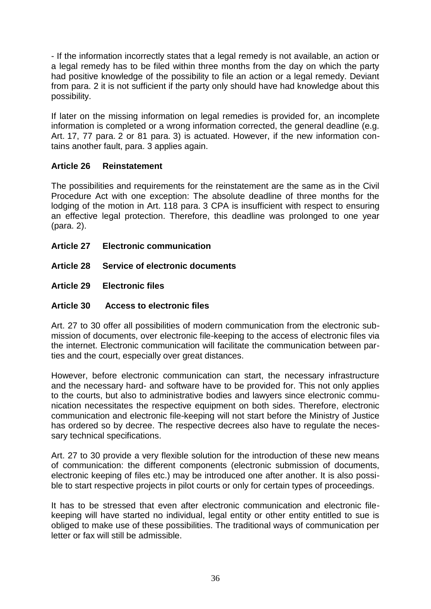- If the information incorrectly states that a legal remedy is not available, an action or a legal remedy has to be filed within three months from the day on which the party had positive knowledge of the possibility to file an action or a legal remedy. Deviant from para. 2 it is not sufficient if the party only should have had knowledge about this possibility.

If later on the missing information on legal remedies is provided for, an incomplete information is completed or a wrong information corrected, the general deadline (e.g. Art. 17, 77 para. 2 or 81 para. 3) is actuated. However, if the new information contains another fault, para. 3 applies again.

# **Article 26 Reinstatement**

The possibilities and requirements for the reinstatement are the same as in the Civil Procedure Act with one exception: The absolute deadline of three months for the lodging of the motion in Art. 118 para. 3 CPA is insufficient with respect to ensuring an effective legal protection. Therefore, this deadline was prolonged to one year (para. 2).

- **Article 27 Electronic communication**
- **Article 28 Service of electronic documents**
- **Article 29 Electronic files**

# **Article 30 Access to electronic files**

Art. 27 to 30 offer all possibilities of modern communication from the electronic submission of documents, over electronic file-keeping to the access of electronic files via the internet. Electronic communication will facilitate the communication between parties and the court, especially over great distances.

However, before electronic communication can start, the necessary infrastructure and the necessary hard- and software have to be provided for. This not only applies to the courts, but also to administrative bodies and lawyers since electronic communication necessitates the respective equipment on both sides. Therefore, electronic communication and electronic file-keeping will not start before the Ministry of Justice has ordered so by decree. The respective decrees also have to regulate the necessary technical specifications.

Art. 27 to 30 provide a very flexible solution for the introduction of these new means of communication: the different components (electronic submission of documents, electronic keeping of files etc.) may be introduced one after another. It is also possible to start respective projects in pilot courts or only for certain types of proceedings.

It has to be stressed that even after electronic communication and electronic filekeeping will have started no individual, legal entity or other entity entitled to sue is obliged to make use of these possibilities. The traditional ways of communication per letter or fax will still be admissible.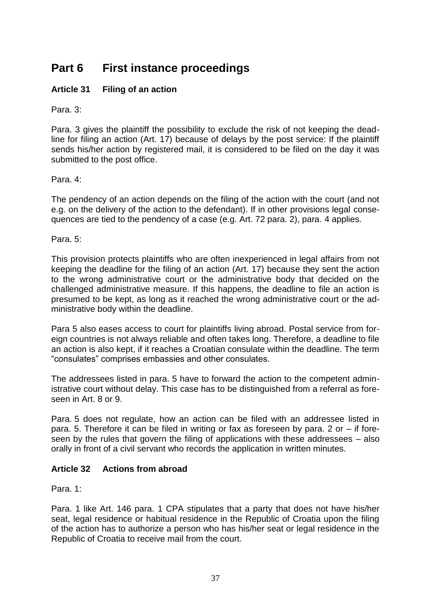# **Part 6 First instance proceedings**

## **Article 31 Filing of an action**

Para. 3:

Para. 3 gives the plaintiff the possibility to exclude the risk of not keeping the deadline for filing an action (Art. 17) because of delays by the post service: If the plaintiff sends his/her action by registered mail, it is considered to be filed on the day it was submitted to the post office.

#### Para. 4:

The pendency of an action depends on the filing of the action with the court (and not e.g. on the delivery of the action to the defendant). If in other provisions legal consequences are tied to the pendency of a case (e.g. Art. 72 para. 2), para. 4 applies.

Para. 5:

This provision protects plaintiffs who are often inexperienced in legal affairs from not keeping the deadline for the filing of an action (Art. 17) because they sent the action to the wrong administrative court or the administrative body that decided on the challenged administrative measure. If this happens, the deadline to file an action is presumed to be kept, as long as it reached the wrong administrative court or the administrative body within the deadline.

Para 5 also eases access to court for plaintiffs living abroad. Postal service from foreign countries is not always reliable and often takes long. Therefore, a deadline to file an action is also kept, if it reaches a Croatian consulate within the deadline. The term "consulates" comprises embassies and other consulates.

The addressees listed in para. 5 have to forward the action to the competent administrative court without delay. This case has to be distinguished from a referral as foreseen in Art. 8 or 9.

Para. 5 does not regulate, how an action can be filed with an addressee listed in para. 5. Therefore it can be filed in writing or fax as foreseen by para. 2 or – if foreseen by the rules that govern the filing of applications with these addressees – also orally in front of a civil servant who records the application in written minutes.

## **Article 32 Actions from abroad**

Para. 1:

Para. 1 like Art. 146 para. 1 CPA stipulates that a party that does not have his/her seat, legal residence or habitual residence in the Republic of Croatia upon the filing of the action has to authorize a person who has his/her seat or legal residence in the Republic of Croatia to receive mail from the court.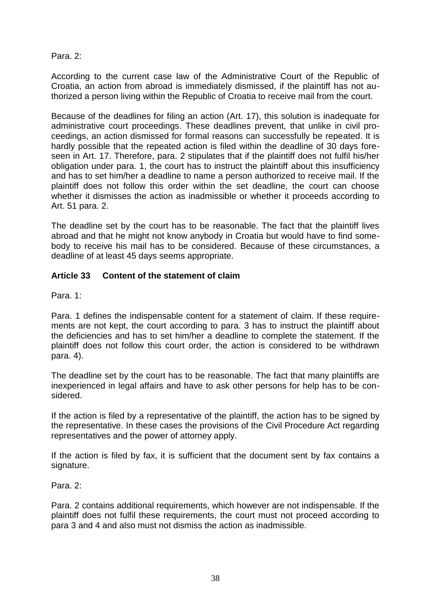#### Para. 2:

According to the current case law of the Administrative Court of the Republic of Croatia, an action from abroad is immediately dismissed, if the plaintiff has not authorized a person living within the Republic of Croatia to receive mail from the court.

Because of the deadlines for filing an action (Art. 17), this solution is inadequate for administrative court proceedings. These deadlines prevent, that unlike in civil proceedings, an action dismissed for formal reasons can successfully be repeated. It is hardly possible that the repeated action is filed within the deadline of 30 days foreseen in Art. 17. Therefore, para. 2 stipulates that if the plaintiff does not fulfil his/her obligation under para. 1, the court has to instruct the plaintiff about this insufficiency and has to set him/her a deadline to name a person authorized to receive mail. If the plaintiff does not follow this order within the set deadline, the court can choose whether it dismisses the action as inadmissible or whether it proceeds according to Art. 51 para. 2.

The deadline set by the court has to be reasonable. The fact that the plaintiff lives abroad and that he might not know anybody in Croatia but would have to find somebody to receive his mail has to be considered. Because of these circumstances, a deadline of at least 45 days seems appropriate.

## **Article 33 Content of the statement of claim**

Para. 1:

Para. 1 defines the indispensable content for a statement of claim. If these requirements are not kept, the court according to para. 3 has to instruct the plaintiff about the deficiencies and has to set him/her a deadline to complete the statement. If the plaintiff does not follow this court order, the action is considered to be withdrawn para. 4).

The deadline set by the court has to be reasonable. The fact that many plaintiffs are inexperienced in legal affairs and have to ask other persons for help has to be considered.

If the action is filed by a representative of the plaintiff, the action has to be signed by the representative. In these cases the provisions of the Civil Procedure Act regarding representatives and the power of attorney apply.

If the action is filed by fax, it is sufficient that the document sent by fax contains a signature.

Para. 2:

Para. 2 contains additional requirements, which however are not indispensable. If the plaintiff does not fulfil these requirements, the court must not proceed according to para 3 and 4 and also must not dismiss the action as inadmissible.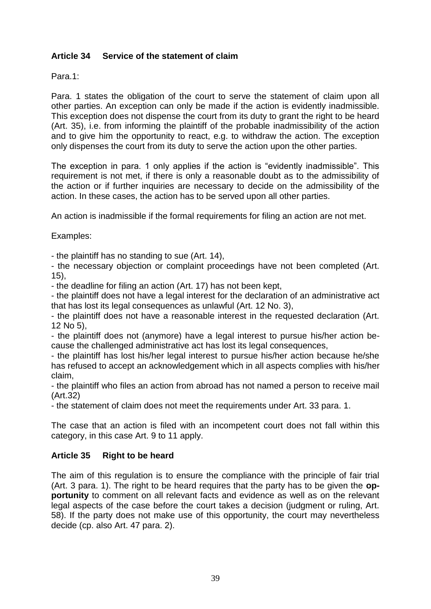## **Article 34 Service of the statement of claim**

Para.1:

Para. 1 states the obligation of the court to serve the statement of claim upon all other parties. An exception can only be made if the action is evidently inadmissible. This exception does not dispense the court from its duty to grant the right to be heard (Art. 35), i.e. from informing the plaintiff of the probable inadmissibility of the action and to give him the opportunity to react, e.g. to withdraw the action. The exception only dispenses the court from its duty to serve the action upon the other parties.

The exception in para. 1 only applies if the action is "evidently inadmissible". This requirement is not met, if there is only a reasonable doubt as to the admissibility of the action or if further inquiries are necessary to decide on the admissibility of the action. In these cases, the action has to be served upon all other parties.

An action is inadmissible if the formal requirements for filing an action are not met.

Examples:

- the plaintiff has no standing to sue (Art. 14),

- the necessary objection or complaint proceedings have not been completed (Art. 15),

- the deadline for filing an action (Art. 17) has not been kept,

- the plaintiff does not have a legal interest for the declaration of an administrative act that has lost its legal consequences as unlawful (Art. 12 No. 3),

- the plaintiff does not have a reasonable interest in the requested declaration (Art. 12 No 5),

- the plaintiff does not (anymore) have a legal interest to pursue his/her action because the challenged administrative act has lost its legal consequences,

- the plaintiff has lost his/her legal interest to pursue his/her action because he/she has refused to accept an acknowledgement which in all aspects complies with his/her claim,

- the plaintiff who files an action from abroad has not named a person to receive mail (Art.32)

- the statement of claim does not meet the requirements under Art. 33 para. 1.

The case that an action is filed with an incompetent court does not fall within this category, in this case Art. 9 to 11 apply.

## **Article 35 Right to be heard**

The aim of this regulation is to ensure the compliance with the principle of fair trial (Art. 3 para. 1). The right to be heard requires that the party has to be given the **opportunity** to comment on all relevant facts and evidence as well as on the relevant legal aspects of the case before the court takes a decision (judgment or ruling, Art. 58). If the party does not make use of this opportunity, the court may nevertheless decide (cp. also Art. 47 para. 2).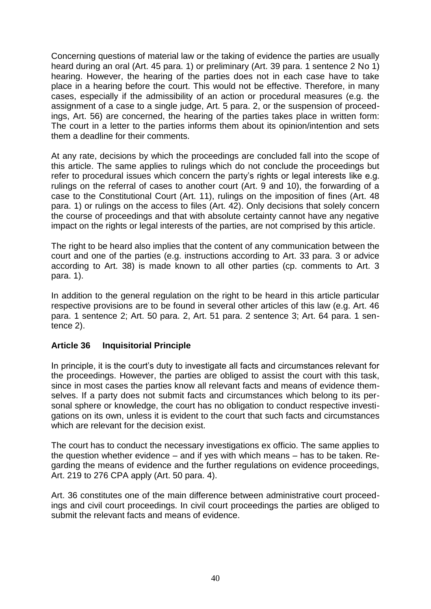Concerning questions of material law or the taking of evidence the parties are usually heard during an oral (Art. 45 para. 1) or preliminary (Art. 39 para. 1 sentence 2 No 1) hearing. However, the hearing of the parties does not in each case have to take place in a hearing before the court. This would not be effective. Therefore, in many cases, especially if the admissibility of an action or procedural measures (e.g. the assignment of a case to a single judge, Art. 5 para. 2, or the suspension of proceedings, Art. 56) are concerned, the hearing of the parties takes place in written form: The court in a letter to the parties informs them about its opinion/intention and sets them a deadline for their comments.

At any rate, decisions by which the proceedings are concluded fall into the scope of this article. The same applies to rulings which do not conclude the proceedings but refer to procedural issues which concern the party's rights or legal interests like e.g. rulings on the referral of cases to another court (Art. 9 and 10), the forwarding of a case to the Constitutional Court (Art. 11), rulings on the imposition of fines (Art. 48 para. 1) or rulings on the access to files (Art. 42). Only decisions that solely concern the course of proceedings and that with absolute certainty cannot have any negative impact on the rights or legal interests of the parties, are not comprised by this article.

The right to be heard also implies that the content of any communication between the court and one of the parties (e.g. instructions according to Art. 33 para. 3 or advice according to Art. 38) is made known to all other parties (cp. comments to Art. 3 para. 1).

In addition to the general regulation on the right to be heard in this article particular respective provisions are to be found in several other articles of this law (e.g. Art. 46 para. 1 sentence 2; Art. 50 para. 2, Art. 51 para. 2 sentence 3; Art. 64 para. 1 sentence 2).

## **Article 36 Inquisitorial Principle**

In principle, it is the court's duty to investigate all facts and circumstances relevant for the proceedings. However, the parties are obliged to assist the court with this task, since in most cases the parties know all relevant facts and means of evidence themselves. If a party does not submit facts and circumstances which belong to its personal sphere or knowledge, the court has no obligation to conduct respective investigations on its own, unless it is evident to the court that such facts and circumstances which are relevant for the decision exist.

The court has to conduct the necessary investigations ex officio. The same applies to the question whether evidence – and if yes with which means – has to be taken. Regarding the means of evidence and the further regulations on evidence proceedings, Art. 219 to 276 CPA apply (Art. 50 para. 4).

Art. 36 constitutes one of the main difference between administrative court proceedings and civil court proceedings. In civil court proceedings the parties are obliged to submit the relevant facts and means of evidence.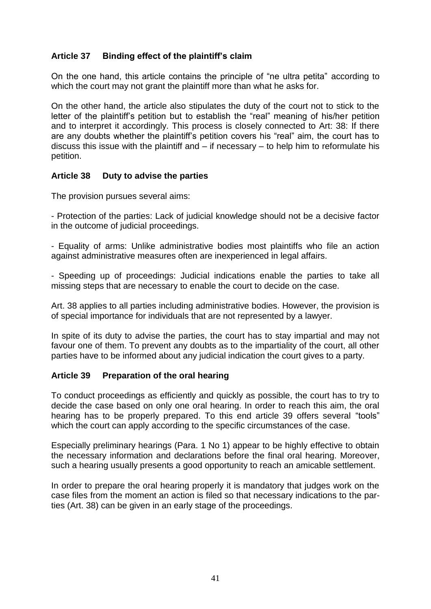## **Article 37 Binding effect of the plaintiff's claim**

On the one hand, this article contains the principle of "ne ultra petita" according to which the court may not grant the plaintiff more than what he asks for.

On the other hand, the article also stipulates the duty of the court not to stick to the letter of the plaintiff's petition but to establish the "real" meaning of his/her petition and to interpret it accordingly. This process is closely connected to Art: 38: If there are any doubts whether the plaintiff's petition covers his "real" aim, the court has to discuss this issue with the plaintiff and – if necessary – to help him to reformulate his petition.

## **Article 38 Duty to advise the parties**

The provision pursues several aims:

- Protection of the parties: Lack of judicial knowledge should not be a decisive factor in the outcome of judicial proceedings.

- Equality of arms: Unlike administrative bodies most plaintiffs who file an action against administrative measures often are inexperienced in legal affairs.

- Speeding up of proceedings: Judicial indications enable the parties to take all missing steps that are necessary to enable the court to decide on the case.

Art. 38 applies to all parties including administrative bodies. However, the provision is of special importance for individuals that are not represented by a lawyer.

In spite of its duty to advise the parties, the court has to stay impartial and may not favour one of them. To prevent any doubts as to the impartiality of the court, all other parties have to be informed about any judicial indication the court gives to a party.

#### **Article 39 Preparation of the oral hearing**

To conduct proceedings as efficiently and quickly as possible, the court has to try to decide the case based on only one oral hearing. In order to reach this aim, the oral hearing has to be properly prepared. To this end article 39 offers several "tools" which the court can apply according to the specific circumstances of the case.

Especially preliminary hearings (Para. 1 No 1) appear to be highly effective to obtain the necessary information and declarations before the final oral hearing. Moreover, such a hearing usually presents a good opportunity to reach an amicable settlement.

In order to prepare the oral hearing properly it is mandatory that judges work on the case files from the moment an action is filed so that necessary indications to the parties (Art. 38) can be given in an early stage of the proceedings.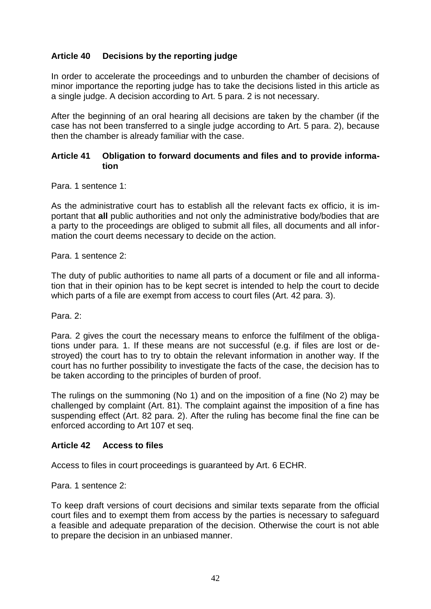## **Article 40 Decisions by the reporting judge**

In order to accelerate the proceedings and to unburden the chamber of decisions of minor importance the reporting judge has to take the decisions listed in this article as a single judge. A decision according to Art. 5 para. 2 is not necessary.

After the beginning of an oral hearing all decisions are taken by the chamber (if the case has not been transferred to a single judge according to Art. 5 para. 2), because then the chamber is already familiar with the case.

#### **Article 41 Obligation to forward documents and files and to provide information**

Para. 1 sentence 1:

As the administrative court has to establish all the relevant facts ex officio, it is important that **all** public authorities and not only the administrative body/bodies that are a party to the proceedings are obliged to submit all files, all documents and all information the court deems necessary to decide on the action.

Para. 1 sentence 2:

The duty of public authorities to name all parts of a document or file and all information that in their opinion has to be kept secret is intended to help the court to decide which parts of a file are exempt from access to court files (Art. 42 para. 3).

Para. 2:

Para. 2 gives the court the necessary means to enforce the fulfilment of the obligations under para. 1. If these means are not successful (e.g. if files are lost or destroyed) the court has to try to obtain the relevant information in another way. If the court has no further possibility to investigate the facts of the case, the decision has to be taken according to the principles of burden of proof.

The rulings on the summoning (No 1) and on the imposition of a fine (No 2) may be challenged by complaint (Art. 81). The complaint against the imposition of a fine has suspending effect (Art. 82 para. 2). After the ruling has become final the fine can be enforced according to Art 107 et seq.

#### **Article 42 Access to files**

Access to files in court proceedings is guaranteed by Art. 6 ECHR.

Para. 1 sentence 2:

To keep draft versions of court decisions and similar texts separate from the official court files and to exempt them from access by the parties is necessary to safeguard a feasible and adequate preparation of the decision. Otherwise the court is not able to prepare the decision in an unbiased manner.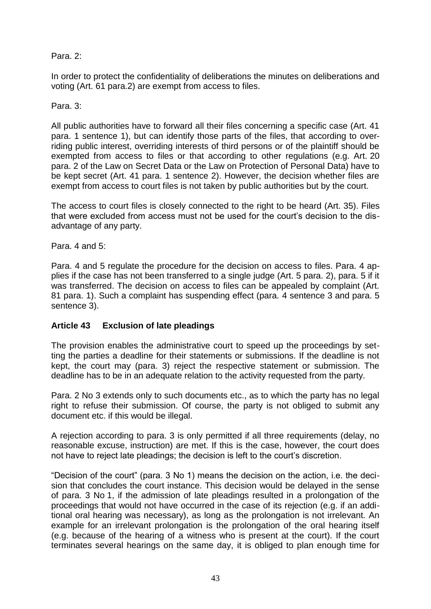## Para. 2:

In order to protect the confidentiality of deliberations the minutes on deliberations and voting (Art. 61 para.2) are exempt from access to files.

#### Para. 3:

All public authorities have to forward all their files concerning a specific case (Art. 41 para. 1 sentence 1), but can identify those parts of the files, that according to overriding public interest, overriding interests of third persons or of the plaintiff should be exempted from access to files or that according to other regulations (e.g. Art. 20 para. 2 of the Law on Secret Data or the Law on Protection of Personal Data) have to be kept secret (Art. 41 para. 1 sentence 2). However, the decision whether files are exempt from access to court files is not taken by public authorities but by the court.

The access to court files is closely connected to the right to be heard (Art. 35). Files that were excluded from access must not be used for the court's decision to the disadvantage of any party.

Para. 4 and 5:

Para. 4 and 5 regulate the procedure for the decision on access to files. Para. 4 applies if the case has not been transferred to a single judge (Art. 5 para. 2), para. 5 if it was transferred. The decision on access to files can be appealed by complaint (Art. 81 para. 1). Such a complaint has suspending effect (para. 4 sentence 3 and para. 5 sentence 3).

## **Article 43 Exclusion of late pleadings**

The provision enables the administrative court to speed up the proceedings by setting the parties a deadline for their statements or submissions. If the deadline is not kept, the court may (para. 3) reject the respective statement or submission. The deadline has to be in an adequate relation to the activity requested from the party.

Para. 2 No 3 extends only to such documents etc., as to which the party has no legal right to refuse their submission. Of course, the party is not obliged to submit any document etc. if this would be illegal.

A rejection according to para. 3 is only permitted if all three requirements (delay, no reasonable excuse, instruction) are met. If this is the case, however, the court does not have to reject late pleadings; the decision is left to the court's discretion.

"Decision of the court" (para. 3 No 1) means the decision on the action, i.e. the decision that concludes the court instance. This decision would be delayed in the sense of para. 3 No 1, if the admission of late pleadings resulted in a prolongation of the proceedings that would not have occurred in the case of its rejection (e.g. if an additional oral hearing was necessary), as long as the prolongation is not irrelevant. An example for an irrelevant prolongation is the prolongation of the oral hearing itself (e.g. because of the hearing of a witness who is present at the court). If the court terminates several hearings on the same day, it is obliged to plan enough time for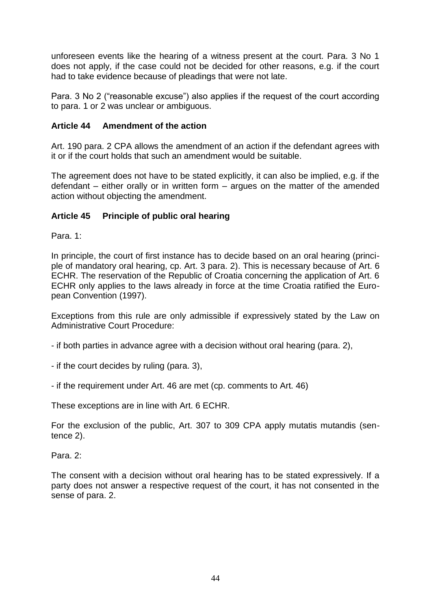unforeseen events like the hearing of a witness present at the court. Para. 3 No 1 does not apply, if the case could not be decided for other reasons, e.g. if the court had to take evidence because of pleadings that were not late.

Para. 3 No 2 ("reasonable excuse") also applies if the request of the court according to para. 1 or 2 was unclear or ambiguous.

#### **Article 44 Amendment of the action**

Art. 190 para. 2 CPA allows the amendment of an action if the defendant agrees with it or if the court holds that such an amendment would be suitable.

The agreement does not have to be stated explicitly, it can also be implied, e.g. if the defendant – either orally or in written form – argues on the matter of the amended action without objecting the amendment.

#### **Article 45 Principle of public oral hearing**

Para. 1:

In principle, the court of first instance has to decide based on an oral hearing (principle of mandatory oral hearing, cp. Art. 3 para. 2). This is necessary because of Art. 6 ECHR. The reservation of the Republic of Croatia concerning the application of Art. 6 ECHR only applies to the laws already in force at the time Croatia ratified the European Convention (1997).

Exceptions from this rule are only admissible if expressively stated by the Law on Administrative Court Procedure:

- if both parties in advance agree with a decision without oral hearing (para. 2),

- if the court decides by ruling (para. 3),

- if the requirement under Art. 46 are met (cp. comments to Art. 46)

These exceptions are in line with Art. 6 ECHR.

For the exclusion of the public, Art. 307 to 309 CPA apply mutatis mutandis (sentence 2).

Para. 2:

The consent with a decision without oral hearing has to be stated expressively. If a party does not answer a respective request of the court, it has not consented in the sense of para. 2.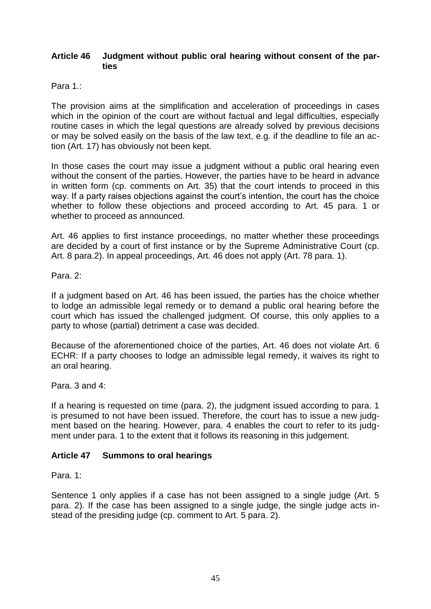#### **Article 46 Judgment without public oral hearing without consent of the parties**

Para 1 ·

The provision aims at the simplification and acceleration of proceedings in cases which in the opinion of the court are without factual and legal difficulties, especially routine cases in which the legal questions are already solved by previous decisions or may be solved easily on the basis of the law text, e.g. if the deadline to file an action (Art. 17) has obviously not been kept.

In those cases the court may issue a judgment without a public oral hearing even without the consent of the parties. However, the parties have to be heard in advance in written form (cp. comments on Art. 35) that the court intends to proceed in this way. If a party raises objections against the court's intention, the court has the choice whether to follow these objections and proceed according to Art. 45 para. 1 or whether to proceed as announced.

Art. 46 applies to first instance proceedings, no matter whether these proceedings are decided by a court of first instance or by the Supreme Administrative Court (cp. Art. 8 para.2). In appeal proceedings, Art. 46 does not apply (Art. 78 para. 1).

Para. 2:

If a judgment based on Art. 46 has been issued, the parties has the choice whether to lodge an admissible legal remedy or to demand a public oral hearing before the court which has issued the challenged judgment. Of course, this only applies to a party to whose (partial) detriment a case was decided.

Because of the aforementioned choice of the parties, Art. 46 does not violate Art. 6 ECHR: If a party chooses to lodge an admissible legal remedy, it waives its right to an oral hearing.

Para. 3 and 4:

If a hearing is requested on time (para. 2), the judgment issued according to para. 1 is presumed to not have been issued. Therefore, the court has to issue a new judgment based on the hearing. However, para. 4 enables the court to refer to its judgment under para. 1 to the extent that it follows its reasoning in this judgement.

#### **Article 47 Summons to oral hearings**

Para. 1:

Sentence 1 only applies if a case has not been assigned to a single judge (Art. 5 para. 2). If the case has been assigned to a single judge, the single judge acts instead of the presiding judge (cp. comment to Art. 5 para. 2).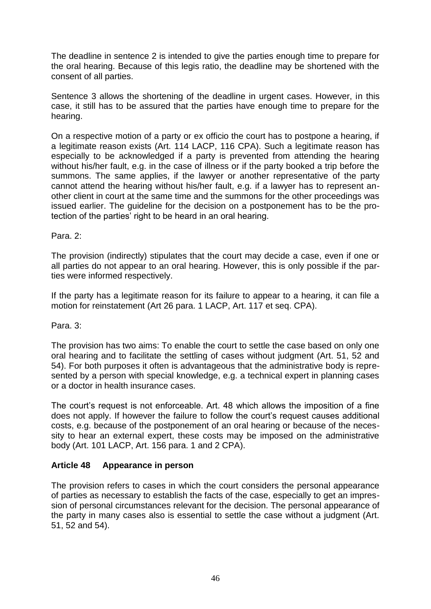The deadline in sentence 2 is intended to give the parties enough time to prepare for the oral hearing. Because of this legis ratio, the deadline may be shortened with the consent of all parties.

Sentence 3 allows the shortening of the deadline in urgent cases. However, in this case, it still has to be assured that the parties have enough time to prepare for the hearing.

On a respective motion of a party or ex officio the court has to postpone a hearing, if a legitimate reason exists (Art. 114 LACP, 116 CPA). Such a legitimate reason has especially to be acknowledged if a party is prevented from attending the hearing without his/her fault, e.g. in the case of illness or if the party booked a trip before the summons. The same applies, if the lawyer or another representative of the party cannot attend the hearing without his/her fault, e.g. if a lawyer has to represent another client in court at the same time and the summons for the other proceedings was issued earlier. The guideline for the decision on a postponement has to be the protection of the parties' right to be heard in an oral hearing.

Para. 2:

The provision (indirectly) stipulates that the court may decide a case, even if one or all parties do not appear to an oral hearing. However, this is only possible if the parties were informed respectively.

If the party has a legitimate reason for its failure to appear to a hearing, it can file a motion for reinstatement (Art 26 para. 1 LACP, Art. 117 et seq. CPA).

Para. 3:

The provision has two aims: To enable the court to settle the case based on only one oral hearing and to facilitate the settling of cases without judgment (Art. 51, 52 and 54). For both purposes it often is advantageous that the administrative body is represented by a person with special knowledge, e.g. a technical expert in planning cases or a doctor in health insurance cases.

The court's request is not enforceable. Art. 48 which allows the imposition of a fine does not apply. If however the failure to follow the court's request causes additional costs, e.g. because of the postponement of an oral hearing or because of the necessity to hear an external expert, these costs may be imposed on the administrative body (Art. 101 LACP, Art. 156 para. 1 and 2 CPA).

#### **Article 48 Appearance in person**

The provision refers to cases in which the court considers the personal appearance of parties as necessary to establish the facts of the case, especially to get an impression of personal circumstances relevant for the decision. The personal appearance of the party in many cases also is essential to settle the case without a judgment (Art. 51, 52 and 54).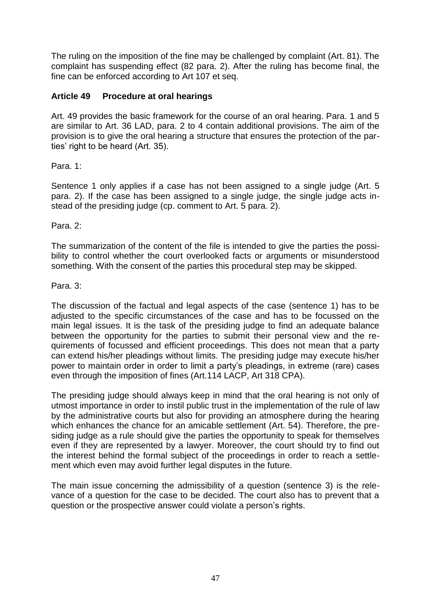The ruling on the imposition of the fine may be challenged by complaint (Art. 81). The complaint has suspending effect (82 para. 2). After the ruling has become final, the fine can be enforced according to Art 107 et seq.

## **Article 49 Procedure at oral hearings**

Art. 49 provides the basic framework for the course of an oral hearing. Para. 1 and 5 are similar to Art. 36 LAD, para. 2 to 4 contain additional provisions. The aim of the provision is to give the oral hearing a structure that ensures the protection of the parties' right to be heard (Art. 35).

## Para. 1:

Sentence 1 only applies if a case has not been assigned to a single judge (Art. 5 para. 2). If the case has been assigned to a single judge, the single judge acts instead of the presiding judge (cp. comment to Art. 5 para. 2).

Para. 2:

The summarization of the content of the file is intended to give the parties the possibility to control whether the court overlooked facts or arguments or misunderstood something. With the consent of the parties this procedural step may be skipped.

#### Para. 3:

The discussion of the factual and legal aspects of the case (sentence 1) has to be adjusted to the specific circumstances of the case and has to be focussed on the main legal issues. It is the task of the presiding judge to find an adequate balance between the opportunity for the parties to submit their personal view and the requirements of focussed and efficient proceedings. This does not mean that a party can extend his/her pleadings without limits. The presiding judge may execute his/her power to maintain order in order to limit a party's pleadings, in extreme (rare) cases even through the imposition of fines (Art.114 LACP, Art 318 CPA).

The presiding judge should always keep in mind that the oral hearing is not only of utmost importance in order to instil public trust in the implementation of the rule of law by the administrative courts but also for providing an atmosphere during the hearing which enhances the chance for an amicable settlement (Art. 54). Therefore, the presiding judge as a rule should give the parties the opportunity to speak for themselves even if they are represented by a lawyer. Moreover, the court should try to find out the interest behind the formal subject of the proceedings in order to reach a settlement which even may avoid further legal disputes in the future.

The main issue concerning the admissibility of a question (sentence 3) is the relevance of a question for the case to be decided. The court also has to prevent that a question or the prospective answer could violate a person's rights.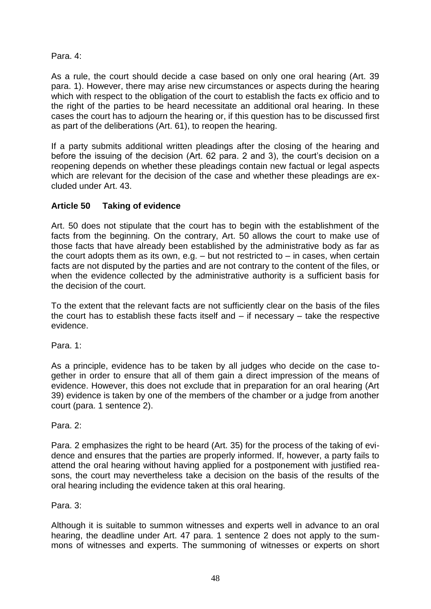## Para. 4:

As a rule, the court should decide a case based on only one oral hearing (Art. 39 para. 1). However, there may arise new circumstances or aspects during the hearing which with respect to the obligation of the court to establish the facts ex officio and to the right of the parties to be heard necessitate an additional oral hearing. In these cases the court has to adjourn the hearing or, if this question has to be discussed first as part of the deliberations (Art. 61), to reopen the hearing.

If a party submits additional written pleadings after the closing of the hearing and before the issuing of the decision (Art. 62 para. 2 and 3), the court's decision on a reopening depends on whether these pleadings contain new factual or legal aspects which are relevant for the decision of the case and whether these pleadings are excluded under Art. 43.

## **Article 50 Taking of evidence**

Art. 50 does not stipulate that the court has to begin with the establishment of the facts from the beginning. On the contrary, Art. 50 allows the court to make use of those facts that have already been established by the administrative body as far as the court adopts them as its own, e.g.  $-$  but not restricted to  $-$  in cases, when certain facts are not disputed by the parties and are not contrary to the content of the files, or when the evidence collected by the administrative authority is a sufficient basis for the decision of the court.

To the extent that the relevant facts are not sufficiently clear on the basis of the files the court has to establish these facts itself and – if necessary – take the respective evidence.

Para. 1:

As a principle, evidence has to be taken by all judges who decide on the case together in order to ensure that all of them gain a direct impression of the means of evidence. However, this does not exclude that in preparation for an oral hearing (Art 39) evidence is taken by one of the members of the chamber or a judge from another court (para. 1 sentence 2).

Para<sub>2</sub>.

Para. 2 emphasizes the right to be heard (Art. 35) for the process of the taking of evidence and ensures that the parties are properly informed. If, however, a party fails to attend the oral hearing without having applied for a postponement with justified reasons, the court may nevertheless take a decision on the basis of the results of the oral hearing including the evidence taken at this oral hearing.

Para. 3:

Although it is suitable to summon witnesses and experts well in advance to an oral hearing, the deadline under Art. 47 para. 1 sentence 2 does not apply to the summons of witnesses and experts. The summoning of witnesses or experts on short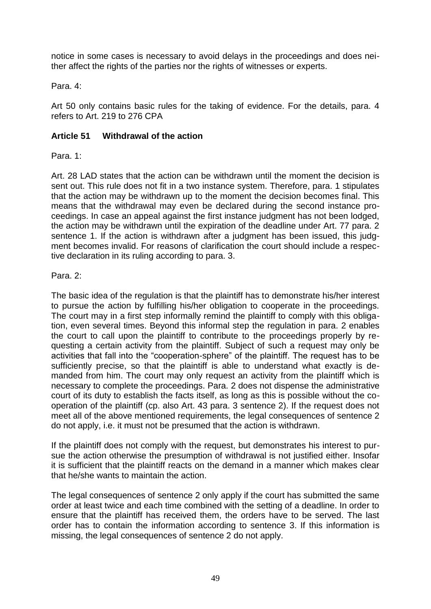notice in some cases is necessary to avoid delays in the proceedings and does neither affect the rights of the parties nor the rights of witnesses or experts.

Para. 4:

Art 50 only contains basic rules for the taking of evidence. For the details, para. 4 refers to Art. 219 to 276 CPA

## **Article 51 Withdrawal of the action**

Para. 1:

Art. 28 LAD states that the action can be withdrawn until the moment the decision is sent out. This rule does not fit in a two instance system. Therefore, para. 1 stipulates that the action may be withdrawn up to the moment the decision becomes final. This means that the withdrawal may even be declared during the second instance proceedings. In case an appeal against the first instance judgment has not been lodged, the action may be withdrawn until the expiration of the deadline under Art. 77 para. 2 sentence 1. If the action is withdrawn after a judgment has been issued, this judgment becomes invalid. For reasons of clarification the court should include a respective declaration in its ruling according to para. 3.

#### Para. 2:

The basic idea of the regulation is that the plaintiff has to demonstrate his/her interest to pursue the action by fulfilling his/her obligation to cooperate in the proceedings. The court may in a first step informally remind the plaintiff to comply with this obligation, even several times. Beyond this informal step the regulation in para. 2 enables the court to call upon the plaintiff to contribute to the proceedings properly by requesting a certain activity from the plaintiff. Subject of such a request may only be activities that fall into the "cooperation-sphere" of the plaintiff. The request has to be sufficiently precise, so that the plaintiff is able to understand what exactly is demanded from him. The court may only request an activity from the plaintiff which is necessary to complete the proceedings. Para. 2 does not dispense the administrative court of its duty to establish the facts itself, as long as this is possible without the cooperation of the plaintiff (cp. also Art. 43 para. 3 sentence 2). If the request does not meet all of the above mentioned requirements, the legal consequences of sentence 2 do not apply, i.e. it must not be presumed that the action is withdrawn.

If the plaintiff does not comply with the request, but demonstrates his interest to pursue the action otherwise the presumption of withdrawal is not justified either. Insofar it is sufficient that the plaintiff reacts on the demand in a manner which makes clear that he/she wants to maintain the action.

The legal consequences of sentence 2 only apply if the court has submitted the same order at least twice and each time combined with the setting of a deadline. In order to ensure that the plaintiff has received them, the orders have to be served. The last order has to contain the information according to sentence 3. If this information is missing, the legal consequences of sentence 2 do not apply.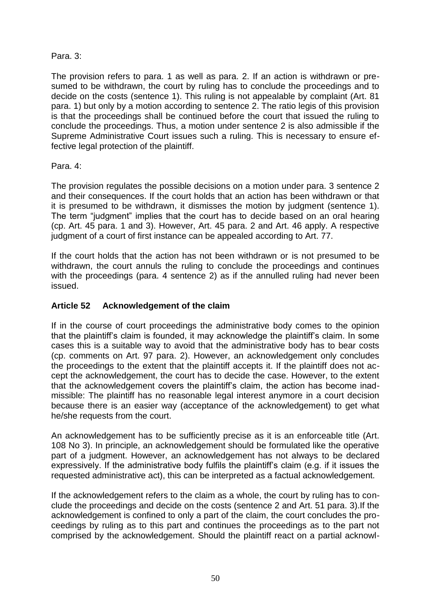## Para. 3:

The provision refers to para. 1 as well as para. 2. If an action is withdrawn or presumed to be withdrawn, the court by ruling has to conclude the proceedings and to decide on the costs (sentence 1). This ruling is not appealable by complaint (Art. 81 para. 1) but only by a motion according to sentence 2. The ratio legis of this provision is that the proceedings shall be continued before the court that issued the ruling to conclude the proceedings. Thus, a motion under sentence 2 is also admissible if the Supreme Administrative Court issues such a ruling. This is necessary to ensure effective legal protection of the plaintiff.

## Para. 4:

The provision regulates the possible decisions on a motion under para. 3 sentence 2 and their consequences. If the court holds that an action has been withdrawn or that it is presumed to be withdrawn, it dismisses the motion by judgment (sentence 1). The term "judgment" implies that the court has to decide based on an oral hearing (cp. Art. 45 para. 1 and 3). However, Art. 45 para. 2 and Art. 46 apply. A respective judgment of a court of first instance can be appealed according to Art. 77.

If the court holds that the action has not been withdrawn or is not presumed to be withdrawn, the court annuls the ruling to conclude the proceedings and continues with the proceedings (para. 4 sentence 2) as if the annulled ruling had never been issued.

## **Article 52 Acknowledgement of the claim**

If in the course of court proceedings the administrative body comes to the opinion that the plaintiff's claim is founded, it may acknowledge the plaintiff's claim. In some cases this is a suitable way to avoid that the administrative body has to bear costs (cp. comments on Art. 97 para. 2). However, an acknowledgement only concludes the proceedings to the extent that the plaintiff accepts it. If the plaintiff does not accept the acknowledgement, the court has to decide the case. However, to the extent that the acknowledgement covers the plaintiff's claim, the action has become inadmissible: The plaintiff has no reasonable legal interest anymore in a court decision because there is an easier way (acceptance of the acknowledgement) to get what he/she requests from the court.

An acknowledgement has to be sufficiently precise as it is an enforceable title (Art. 108 No 3). In principle, an acknowledgement should be formulated like the operative part of a judgment. However, an acknowledgement has not always to be declared expressively. If the administrative body fulfils the plaintiff's claim (e.g. if it issues the requested administrative act), this can be interpreted as a factual acknowledgement.

If the acknowledgement refers to the claim as a whole, the court by ruling has to conclude the proceedings and decide on the costs (sentence 2 and Art. 51 para. 3).If the acknowledgement is confined to only a part of the claim, the court concludes the proceedings by ruling as to this part and continues the proceedings as to the part not comprised by the acknowledgement. Should the plaintiff react on a partial acknowl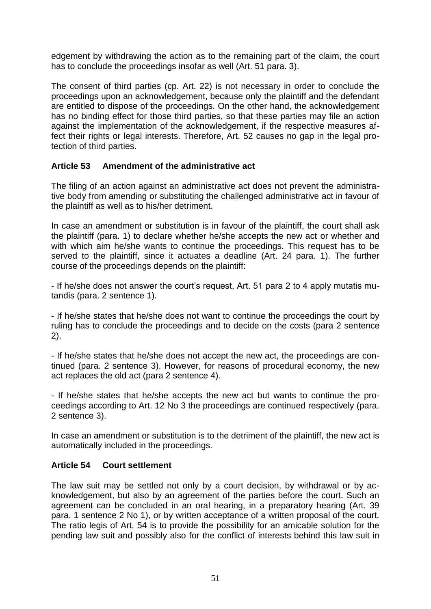edgement by withdrawing the action as to the remaining part of the claim, the court has to conclude the proceedings insofar as well (Art. 51 para. 3).

The consent of third parties (cp. Art. 22) is not necessary in order to conclude the proceedings upon an acknowledgement, because only the plaintiff and the defendant are entitled to dispose of the proceedings. On the other hand, the acknowledgement has no binding effect for those third parties, so that these parties may file an action against the implementation of the acknowledgement, if the respective measures affect their rights or legal interests. Therefore, Art. 52 causes no gap in the legal protection of third parties.

## **Article 53 Amendment of the administrative act**

The filing of an action against an administrative act does not prevent the administrative body from amending or substituting the challenged administrative act in favour of the plaintiff as well as to his/her detriment.

In case an amendment or substitution is in favour of the plaintiff, the court shall ask the plaintiff (para. 1) to declare whether he/she accepts the new act or whether and with which aim he/she wants to continue the proceedings. This request has to be served to the plaintiff, since it actuates a deadline (Art. 24 para. 1). The further course of the proceedings depends on the plaintiff:

- If he/she does not answer the court's request, Art. 51 para 2 to 4 apply mutatis mutandis (para. 2 sentence 1).

- If he/she states that he/she does not want to continue the proceedings the court by ruling has to conclude the proceedings and to decide on the costs (para 2 sentence 2).

- If he/she states that he/she does not accept the new act, the proceedings are continued (para. 2 sentence 3). However, for reasons of procedural economy, the new act replaces the old act (para 2 sentence 4).

- If he/she states that he/she accepts the new act but wants to continue the proceedings according to Art. 12 No 3 the proceedings are continued respectively (para. 2 sentence 3).

In case an amendment or substitution is to the detriment of the plaintiff, the new act is automatically included in the proceedings.

## **Article 54 Court settlement**

The law suit may be settled not only by a court decision, by withdrawal or by acknowledgement, but also by an agreement of the parties before the court. Such an agreement can be concluded in an oral hearing, in a preparatory hearing (Art. 39 para. 1 sentence 2 No 1), or by written acceptance of a written proposal of the court. The ratio legis of Art. 54 is to provide the possibility for an amicable solution for the pending law suit and possibly also for the conflict of interests behind this law suit in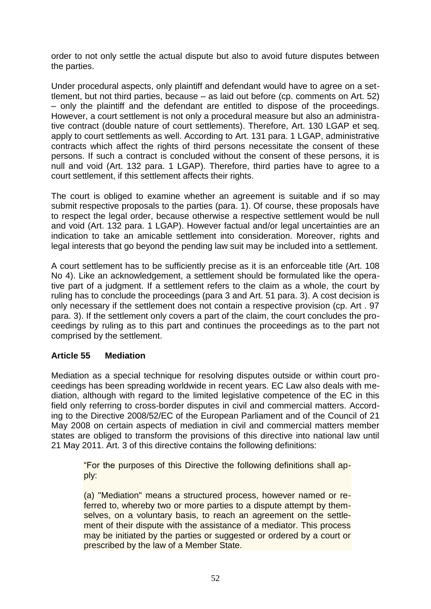order to not only settle the actual dispute but also to avoid future disputes between the parties.

Under procedural aspects, only plaintiff and defendant would have to agree on a settlement, but not third parties, because – as laid out before (cp. comments on Art. 52) – only the plaintiff and the defendant are entitled to dispose of the proceedings. However, a court settlement is not only a procedural measure but also an administrative contract (double nature of court settlements). Therefore, Art. 130 LGAP et seq. apply to court settlements as well. According to Art. 131 para. 1 LGAP, administrative contracts which affect the rights of third persons necessitate the consent of these persons. If such a contract is concluded without the consent of these persons, it is null and void (Art. 132 para. 1 LGAP). Therefore, third parties have to agree to a court settlement, if this settlement affects their rights.

The court is obliged to examine whether an agreement is suitable and if so may submit respective proposals to the parties (para. 1). Of course, these proposals have to respect the legal order, because otherwise a respective settlement would be null and void (Art. 132 para. 1 LGAP). However factual and/or legal uncertainties are an indication to take an amicable settlement into consideration. Moreover, rights and legal interests that go beyond the pending law suit may be included into a settlement.

A court settlement has to be sufficiently precise as it is an enforceable title (Art. 108 No 4). Like an acknowledgement, a settlement should be formulated like the operative part of a judgment. If a settlement refers to the claim as a whole, the court by ruling has to conclude the proceedings (para 3 and Art. 51 para. 3). A cost decision is only necessary if the settlement does not contain a respective provision (cp. Art . 97 para. 3). If the settlement only covers a part of the claim, the court concludes the proceedings by ruling as to this part and continues the proceedings as to the part not comprised by the settlement.

## **Article 55 Mediation**

Mediation as a special technique for resolving disputes outside or within court proceedings has been spreading worldwide in recent years. EC Law also deals with mediation, although with regard to the limited legislative competence of the EC in this field only referring to cross-border disputes in civil and commercial matters. According to the Directive 2008/52/EC of the European Parliament and of the Council of 21 May 2008 on certain aspects of mediation in civil and commercial matters member states are obliged to transform the provisions of this directive into national law until 21 May 2011. Art. 3 of this directive contains the following definitions:

"For the purposes of this Directive the following definitions shall apply:

(a) "Mediation" means a structured process, however named or referred to, whereby two or more parties to a dispute attempt by themselves, on a voluntary basis, to reach an agreement on the settlement of their dispute with the assistance of a mediator. This process may be initiated by the parties or suggested or ordered by a court or prescribed by the law of a Member State.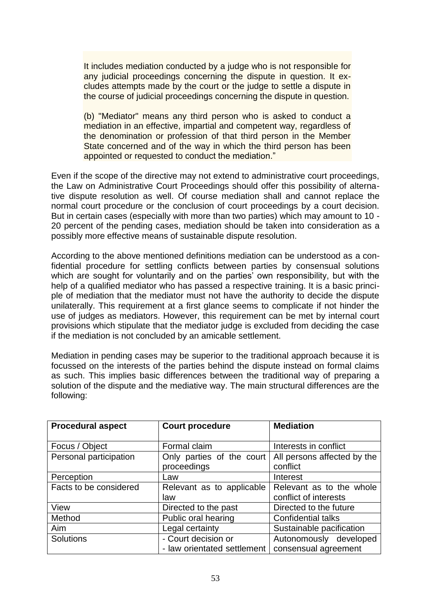It includes mediation conducted by a judge who is not responsible for any judicial proceedings concerning the dispute in question. It excludes attempts made by the court or the judge to settle a dispute in the course of judicial proceedings concerning the dispute in question.

(b) "Mediator" means any third person who is asked to conduct a mediation in an effective, impartial and competent way, regardless of the denomination or profession of that third person in the Member State concerned and of the way in which the third person has been appointed or requested to conduct the mediation."

Even if the scope of the directive may not extend to administrative court proceedings, the Law on Administrative Court Proceedings should offer this possibility of alternative dispute resolution as well. Of course mediation shall and cannot replace the normal court procedure or the conclusion of court proceedings by a court decision. But in certain cases (especially with more than two parties) which may amount to 10 - 20 percent of the pending cases, mediation should be taken into consideration as a possibly more effective means of sustainable dispute resolution.

According to the above mentioned definitions mediation can be understood as a confidential procedure for settling conflicts between parties by consensual solutions which are sought for voluntarily and on the parties' own responsibility, but with the help of a qualified mediator who has passed a respective training. It is a basic principle of mediation that the mediator must not have the authority to decide the dispute unilaterally. This requirement at a first glance seems to complicate if not hinder the use of judges as mediators. However, this requirement can be met by internal court provisions which stipulate that the mediator judge is excluded from deciding the case if the mediation is not concluded by an amicable settlement.

Mediation in pending cases may be superior to the traditional approach because it is focussed on the interests of the parties behind the dispute instead on formal claims as such. This implies basic differences between the traditional way of preparing a solution of the dispute and the mediative way. The main structural differences are the following:

| <b>Procedural aspect</b> | <b>Court procedure</b>      | <b>Mediation</b>            |
|--------------------------|-----------------------------|-----------------------------|
|                          |                             |                             |
| Focus / Object           | Formal claim                | Interests in conflict       |
| Personal participation   | Only parties of the court   | All persons affected by the |
|                          | proceedings                 | conflict                    |
| Perception               | Law                         | Interest                    |
| Facts to be considered   | Relevant as to applicable   | Relevant as to the whole    |
|                          | law                         | conflict of interests       |
| View                     | Directed to the past        | Directed to the future      |
| Method                   | Public oral hearing         | <b>Confidential talks</b>   |
| Aim                      | Legal certainty             | Sustainable pacification    |
| <b>Solutions</b>         | - Court decision or         | Autonomously developed      |
|                          | - law orientated settlement | consensual agreement        |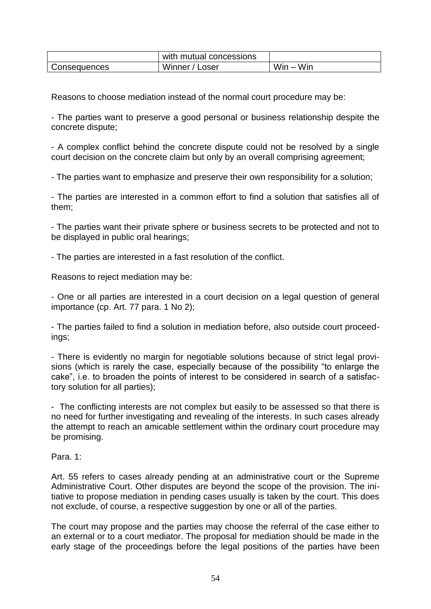|              | with mutual concessions |             |
|--------------|-------------------------|-------------|
| Consequences | Winner / Loser          | $Win - Win$ |

Reasons to choose mediation instead of the normal court procedure may be:

- The parties want to preserve a good personal or business relationship despite the concrete dispute;

- A complex conflict behind the concrete dispute could not be resolved by a single court decision on the concrete claim but only by an overall comprising agreement;

- The parties want to emphasize and preserve their own responsibility for a solution;

- The parties are interested in a common effort to find a solution that satisfies all of them;

- The parties want their private sphere or business secrets to be protected and not to be displayed in public oral hearings;

- The parties are interested in a fast resolution of the conflict.

Reasons to reject mediation may be:

- One or all parties are interested in a court decision on a legal question of general importance (cp. Art. 77 para. 1 No 2);

- The parties failed to find a solution in mediation before, also outside court proceedings;

- There is evidently no margin for negotiable solutions because of strict legal provisions (which is rarely the case, especially because of the possibility "to enlarge the cake", i.e. to broaden the points of interest to be considered in search of a satisfactory solution for all parties);

- The conflicting interests are not complex but easily to be assessed so that there is no need for further investigating and revealing of the interests. In such cases already the attempt to reach an amicable settlement within the ordinary court procedure may be promising.

Para. 1:

Art. 55 refers to cases already pending at an administrative court or the Supreme Administrative Court. Other disputes are beyond the scope of the provision. The initiative to propose mediation in pending cases usually is taken by the court. This does not exclude, of course, a respective suggestion by one or all of the parties.

The court may propose and the parties may choose the referral of the case either to an external or to a court mediator. The proposal for mediation should be made in the early stage of the proceedings before the legal positions of the parties have been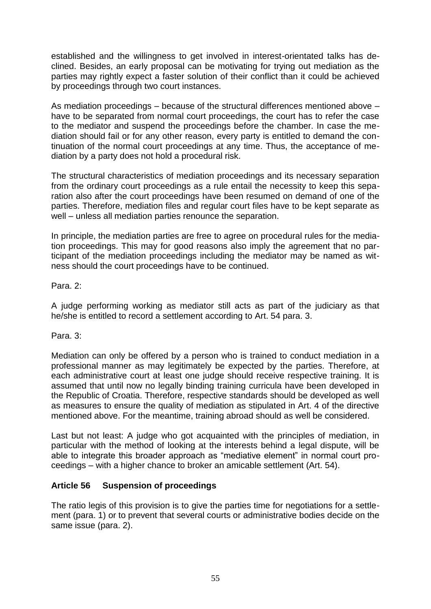established and the willingness to get involved in interest-orientated talks has declined. Besides, an early proposal can be motivating for trying out mediation as the parties may rightly expect a faster solution of their conflict than it could be achieved by proceedings through two court instances.

As mediation proceedings – because of the structural differences mentioned above – have to be separated from normal court proceedings, the court has to refer the case to the mediator and suspend the proceedings before the chamber. In case the mediation should fail or for any other reason, every party is entitled to demand the continuation of the normal court proceedings at any time. Thus, the acceptance of mediation by a party does not hold a procedural risk.

The structural characteristics of mediation proceedings and its necessary separation from the ordinary court proceedings as a rule entail the necessity to keep this separation also after the court proceedings have been resumed on demand of one of the parties. Therefore, mediation files and regular court files have to be kept separate as well – unless all mediation parties renounce the separation.

In principle, the mediation parties are free to agree on procedural rules for the mediation proceedings. This may for good reasons also imply the agreement that no participant of the mediation proceedings including the mediator may be named as witness should the court proceedings have to be continued.

Para. 2:

A judge performing working as mediator still acts as part of the judiciary as that he/she is entitled to record a settlement according to Art. 54 para. 3.

Para. 3:

Mediation can only be offered by a person who is trained to conduct mediation in a professional manner as may legitimately be expected by the parties. Therefore, at each administrative court at least one judge should receive respective training. It is assumed that until now no legally binding training curricula have been developed in the Republic of Croatia. Therefore, respective standards should be developed as well as measures to ensure the quality of mediation as stipulated in Art. 4 of the directive mentioned above. For the meantime, training abroad should as well be considered.

Last but not least: A judge who got acquainted with the principles of mediation, in particular with the method of looking at the interests behind a legal dispute, will be able to integrate this broader approach as "mediative element" in normal court proceedings – with a higher chance to broker an amicable settlement (Art. 54).

## **Article 56 Suspension of proceedings**

The ratio legis of this provision is to give the parties time for negotiations for a settlement (para. 1) or to prevent that several courts or administrative bodies decide on the same issue (para. 2).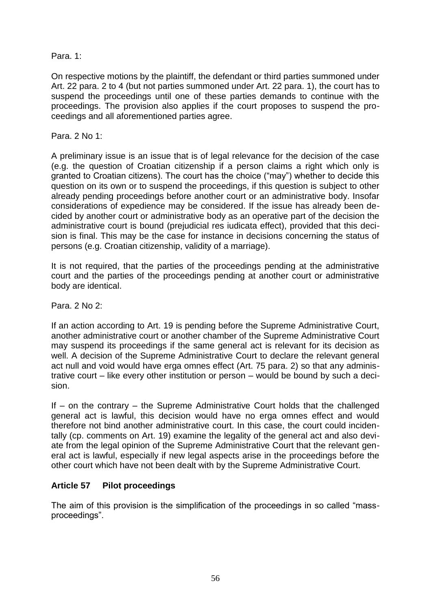Para. 1:

On respective motions by the plaintiff, the defendant or third parties summoned under Art. 22 para. 2 to 4 (but not parties summoned under Art. 22 para. 1), the court has to suspend the proceedings until one of these parties demands to continue with the proceedings. The provision also applies if the court proposes to suspend the proceedings and all aforementioned parties agree.

Para. 2 No 1:

A preliminary issue is an issue that is of legal relevance for the decision of the case (e.g. the question of Croatian citizenship if a person claims a right which only is granted to Croatian citizens). The court has the choice ("may") whether to decide this question on its own or to suspend the proceedings, if this question is subject to other already pending proceedings before another court or an administrative body. Insofar considerations of expedience may be considered. If the issue has already been decided by another court or administrative body as an operative part of the decision the administrative court is bound (prejudicial res iudicata effect), provided that this decision is final. This may be the case for instance in decisions concerning the status of persons (e.g. Croatian citizenship, validity of a marriage).

It is not required, that the parties of the proceedings pending at the administrative court and the parties of the proceedings pending at another court or administrative body are identical.

Para. 2 No 2:

If an action according to Art. 19 is pending before the Supreme Administrative Court, another administrative court or another chamber of the Supreme Administrative Court may suspend its proceedings if the same general act is relevant for its decision as well. A decision of the Supreme Administrative Court to declare the relevant general act null and void would have erga omnes effect (Art. 75 para. 2) so that any administrative court – like every other institution or person – would be bound by such a decision.

If – on the contrary – the Supreme Administrative Court holds that the challenged general act is lawful, this decision would have no erga omnes effect and would therefore not bind another administrative court. In this case, the court could incidentally (cp. comments on Art. 19) examine the legality of the general act and also deviate from the legal opinion of the Supreme Administrative Court that the relevant general act is lawful, especially if new legal aspects arise in the proceedings before the other court which have not been dealt with by the Supreme Administrative Court.

## **Article 57 Pilot proceedings**

The aim of this provision is the simplification of the proceedings in so called "massproceedings".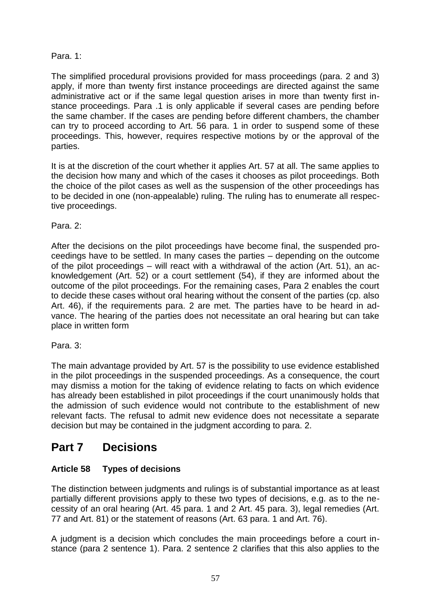## Para. 1:

The simplified procedural provisions provided for mass proceedings (para. 2 and 3) apply, if more than twenty first instance proceedings are directed against the same administrative act or if the same legal question arises in more than twenty first instance proceedings. Para .1 is only applicable if several cases are pending before the same chamber. If the cases are pending before different chambers, the chamber can try to proceed according to Art. 56 para. 1 in order to suspend some of these proceedings. This, however, requires respective motions by or the approval of the parties.

It is at the discretion of the court whether it applies Art. 57 at all. The same applies to the decision how many and which of the cases it chooses as pilot proceedings. Both the choice of the pilot cases as well as the suspension of the other proceedings has to be decided in one (non-appealable) ruling. The ruling has to enumerate all respective proceedings.

Para. 2:

After the decisions on the pilot proceedings have become final, the suspended proceedings have to be settled. In many cases the parties – depending on the outcome of the pilot proceedings – will react with a withdrawal of the action (Art. 51), an acknowledgement (Art. 52) or a court settlement (54), if they are informed about the outcome of the pilot proceedings. For the remaining cases, Para 2 enables the court to decide these cases without oral hearing without the consent of the parties (cp. also Art. 46), if the requirements para. 2 are met. The parties have to be heard in advance. The hearing of the parties does not necessitate an oral hearing but can take place in written form

Para. 3:

The main advantage provided by Art. 57 is the possibility to use evidence established in the pilot proceedings in the suspended proceedings. As a consequence, the court may dismiss a motion for the taking of evidence relating to facts on which evidence has already been established in pilot proceedings if the court unanimously holds that the admission of such evidence would not contribute to the establishment of new relevant facts. The refusal to admit new evidence does not necessitate a separate decision but may be contained in the judgment according to para. 2.

# **Part 7 Decisions**

## **Article 58 Types of decisions**

The distinction between judgments and rulings is of substantial importance as at least partially different provisions apply to these two types of decisions, e.g. as to the necessity of an oral hearing (Art. 45 para. 1 and 2 Art. 45 para. 3), legal remedies (Art. 77 and Art. 81) or the statement of reasons (Art. 63 para. 1 and Art. 76).

A judgment is a decision which concludes the main proceedings before a court instance (para 2 sentence 1). Para. 2 sentence 2 clarifies that this also applies to the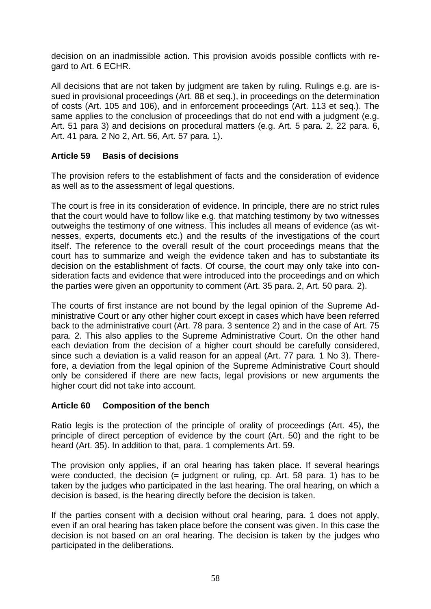decision on an inadmissible action. This provision avoids possible conflicts with regard to Art. 6 ECHR.

All decisions that are not taken by judgment are taken by ruling. Rulings e.g. are issued in provisional proceedings (Art. 88 et seq.), in proceedings on the determination of costs (Art. 105 and 106), and in enforcement proceedings (Art. 113 et seq.). The same applies to the conclusion of proceedings that do not end with a judgment (e.g. Art. 51 para 3) and decisions on procedural matters (e.g. Art. 5 para. 2, 22 para. 6, Art. 41 para. 2 No 2, Art. 56, Art. 57 para. 1).

#### **Article 59 Basis of decisions**

The provision refers to the establishment of facts and the consideration of evidence as well as to the assessment of legal questions.

The court is free in its consideration of evidence. In principle, there are no strict rules that the court would have to follow like e.g. that matching testimony by two witnesses outweighs the testimony of one witness. This includes all means of evidence (as witnesses, experts, documents etc.) and the results of the investigations of the court itself. The reference to the overall result of the court proceedings means that the court has to summarize and weigh the evidence taken and has to substantiate its decision on the establishment of facts. Of course, the court may only take into consideration facts and evidence that were introduced into the proceedings and on which the parties were given an opportunity to comment (Art. 35 para. 2, Art. 50 para. 2).

The courts of first instance are not bound by the legal opinion of the Supreme Administrative Court or any other higher court except in cases which have been referred back to the administrative court (Art. 78 para. 3 sentence 2) and in the case of Art. 75 para. 2. This also applies to the Supreme Administrative Court. On the other hand each deviation from the decision of a higher court should be carefully considered, since such a deviation is a valid reason for an appeal (Art. 77 para. 1 No 3). Therefore, a deviation from the legal opinion of the Supreme Administrative Court should only be considered if there are new facts, legal provisions or new arguments the higher court did not take into account.

#### **Article 60 Composition of the bench**

Ratio legis is the protection of the principle of orality of proceedings (Art. 45), the principle of direct perception of evidence by the court (Art. 50) and the right to be heard (Art. 35). In addition to that, para. 1 complements Art. 59.

The provision only applies, if an oral hearing has taken place. If several hearings were conducted, the decision  $(=$  judgment or ruling, cp. Art. 58 para. 1) has to be taken by the judges who participated in the last hearing. The oral hearing, on which a decision is based, is the hearing directly before the decision is taken.

If the parties consent with a decision without oral hearing, para. 1 does not apply, even if an oral hearing has taken place before the consent was given. In this case the decision is not based on an oral hearing. The decision is taken by the judges who participated in the deliberations.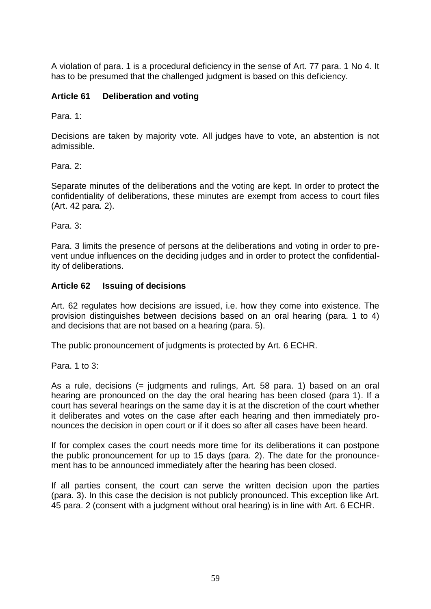A violation of para. 1 is a procedural deficiency in the sense of Art. 77 para. 1 No 4. It has to be presumed that the challenged judgment is based on this deficiency.

## **Article 61 Deliberation and voting**

Para. 1:

Decisions are taken by majority vote. All judges have to vote, an abstention is not admissible.

Para. 2:

Separate minutes of the deliberations and the voting are kept. In order to protect the confidentiality of deliberations, these minutes are exempt from access to court files (Art. 42 para. 2).

Para. 3:

Para. 3 limits the presence of persons at the deliberations and voting in order to prevent undue influences on the deciding judges and in order to protect the confidentiality of deliberations.

#### **Article 62 Issuing of decisions**

Art. 62 regulates how decisions are issued, i.e. how they come into existence. The provision distinguishes between decisions based on an oral hearing (para. 1 to 4) and decisions that are not based on a hearing (para. 5).

The public pronouncement of judgments is protected by Art. 6 ECHR.

Para. 1 to 3:

As a rule, decisions (= judgments and rulings, Art. 58 para. 1) based on an oral hearing are pronounced on the day the oral hearing has been closed (para 1). If a court has several hearings on the same day it is at the discretion of the court whether it deliberates and votes on the case after each hearing and then immediately pronounces the decision in open court or if it does so after all cases have been heard.

If for complex cases the court needs more time for its deliberations it can postpone the public pronouncement for up to 15 days (para. 2). The date for the pronouncement has to be announced immediately after the hearing has been closed.

If all parties consent, the court can serve the written decision upon the parties (para. 3). In this case the decision is not publicly pronounced. This exception like Art. 45 para. 2 (consent with a judgment without oral hearing) is in line with Art. 6 ECHR.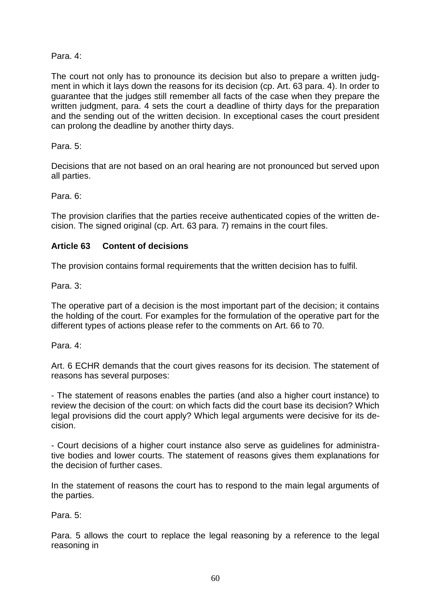Para. 4:

The court not only has to pronounce its decision but also to prepare a written judgment in which it lays down the reasons for its decision (cp. Art. 63 para. 4). In order to guarantee that the judges still remember all facts of the case when they prepare the written judgment, para. 4 sets the court a deadline of thirty days for the preparation and the sending out of the written decision. In exceptional cases the court president can prolong the deadline by another thirty days.

Para. 5:

Decisions that are not based on an oral hearing are not pronounced but served upon all parties.

Para. 6:

The provision clarifies that the parties receive authenticated copies of the written decision. The signed original (cp. Art. 63 para. 7) remains in the court files.

## **Article 63 Content of decisions**

The provision contains formal requirements that the written decision has to fulfil.

Para. 3:

The operative part of a decision is the most important part of the decision; it contains the holding of the court. For examples for the formulation of the operative part for the different types of actions please refer to the comments on Art. 66 to 70.

Para. 4:

Art. 6 ECHR demands that the court gives reasons for its decision. The statement of reasons has several purposes:

- The statement of reasons enables the parties (and also a higher court instance) to review the decision of the court: on which facts did the court base its decision? Which legal provisions did the court apply? Which legal arguments were decisive for its decision.

- Court decisions of a higher court instance also serve as guidelines for administrative bodies and lower courts. The statement of reasons gives them explanations for the decision of further cases.

In the statement of reasons the court has to respond to the main legal arguments of the parties.

Para. 5:

Para. 5 allows the court to replace the legal reasoning by a reference to the legal reasoning in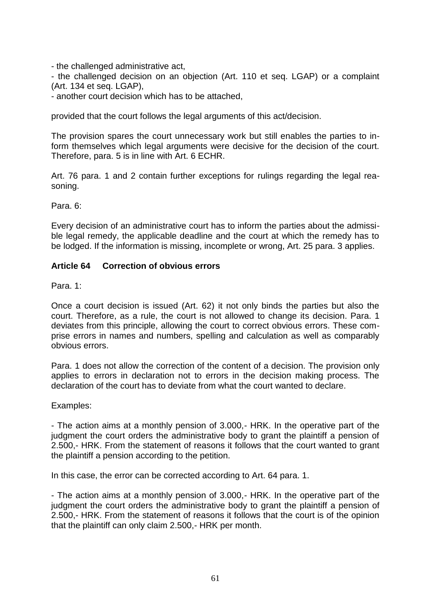- the challenged administrative act,

- the challenged decision on an objection (Art. 110 et seq. LGAP) or a complaint (Art. 134 et seq. LGAP),

- another court decision which has to be attached,

provided that the court follows the legal arguments of this act/decision.

The provision spares the court unnecessary work but still enables the parties to inform themselves which legal arguments were decisive for the decision of the court. Therefore, para. 5 is in line with Art. 6 ECHR.

Art. 76 para. 1 and 2 contain further exceptions for rulings regarding the legal reasoning.

Para. 6:

Every decision of an administrative court has to inform the parties about the admissible legal remedy, the applicable deadline and the court at which the remedy has to be lodged. If the information is missing, incomplete or wrong, Art. 25 para. 3 applies.

#### **Article 64 Correction of obvious errors**

Para. 1:

Once a court decision is issued (Art. 62) it not only binds the parties but also the court. Therefore, as a rule, the court is not allowed to change its decision. Para. 1 deviates from this principle, allowing the court to correct obvious errors. These comprise errors in names and numbers, spelling and calculation as well as comparably obvious errors.

Para. 1 does not allow the correction of the content of a decision. The provision only applies to errors in declaration not to errors in the decision making process. The declaration of the court has to deviate from what the court wanted to declare.

Examples:

- The action aims at a monthly pension of 3.000,- HRK. In the operative part of the judgment the court orders the administrative body to grant the plaintiff a pension of 2.500,- HRK. From the statement of reasons it follows that the court wanted to grant the plaintiff a pension according to the petition.

In this case, the error can be corrected according to Art. 64 para. 1.

- The action aims at a monthly pension of 3.000,- HRK. In the operative part of the judgment the court orders the administrative body to grant the plaintiff a pension of 2.500,- HRK. From the statement of reasons it follows that the court is of the opinion that the plaintiff can only claim 2.500,- HRK per month.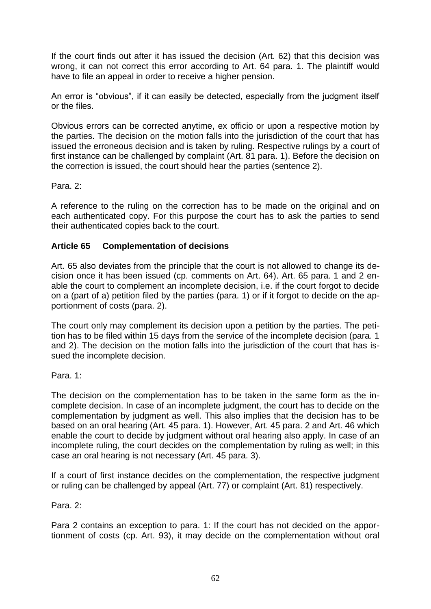If the court finds out after it has issued the decision (Art. 62) that this decision was wrong, it can not correct this error according to Art. 64 para. 1. The plaintiff would have to file an appeal in order to receive a higher pension.

An error is "obvious", if it can easily be detected, especially from the judgment itself or the files.

Obvious errors can be corrected anytime, ex officio or upon a respective motion by the parties. The decision on the motion falls into the jurisdiction of the court that has issued the erroneous decision and is taken by ruling. Respective rulings by a court of first instance can be challenged by complaint (Art. 81 para. 1). Before the decision on the correction is issued, the court should hear the parties (sentence 2).

Para<sub>2</sub>.

A reference to the ruling on the correction has to be made on the original and on each authenticated copy. For this purpose the court has to ask the parties to send their authenticated copies back to the court.

## **Article 65 Complementation of decisions**

Art. 65 also deviates from the principle that the court is not allowed to change its decision once it has been issued (cp. comments on Art. 64). Art. 65 para. 1 and 2 enable the court to complement an incomplete decision, i.e. if the court forgot to decide on a (part of a) petition filed by the parties (para. 1) or if it forgot to decide on the apportionment of costs (para. 2).

The court only may complement its decision upon a petition by the parties. The petition has to be filed within 15 days from the service of the incomplete decision (para. 1 and 2). The decision on the motion falls into the jurisdiction of the court that has issued the incomplete decision.

Para. 1:

The decision on the complementation has to be taken in the same form as the incomplete decision. In case of an incomplete judgment, the court has to decide on the complementation by judgment as well. This also implies that the decision has to be based on an oral hearing (Art. 45 para. 1). However, Art. 45 para. 2 and Art. 46 which enable the court to decide by judgment without oral hearing also apply. In case of an incomplete ruling, the court decides on the complementation by ruling as well; in this case an oral hearing is not necessary (Art. 45 para. 3).

If a court of first instance decides on the complementation, the respective judgment or ruling can be challenged by appeal (Art. 77) or complaint (Art. 81) respectively.

Para. 2:

Para 2 contains an exception to para. 1: If the court has not decided on the apportionment of costs (cp. Art. 93), it may decide on the complementation without oral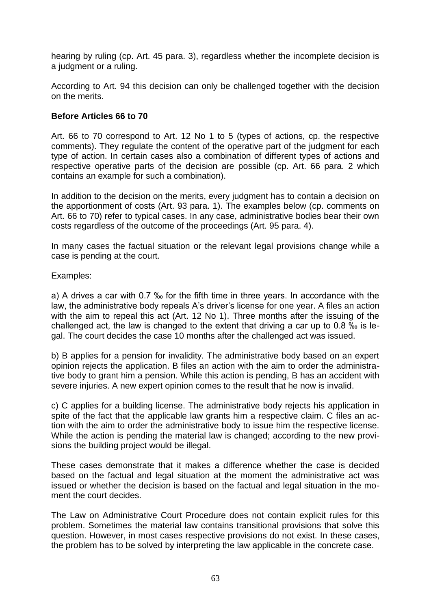hearing by ruling (cp. Art. 45 para. 3), regardless whether the incomplete decision is a judgment or a ruling.

According to Art. 94 this decision can only be challenged together with the decision on the merits.

#### **Before Articles 66 to 70**

Art. 66 to 70 correspond to Art. 12 No 1 to 5 (types of actions, cp. the respective comments). They regulate the content of the operative part of the judgment for each type of action. In certain cases also a combination of different types of actions and respective operative parts of the decision are possible (cp. Art. 66 para. 2 which contains an example for such a combination).

In addition to the decision on the merits, every judgment has to contain a decision on the apportionment of costs (Art. 93 para. 1). The examples below (cp. comments on Art. 66 to 70) refer to typical cases. In any case, administrative bodies bear their own costs regardless of the outcome of the proceedings (Art. 95 para. 4).

In many cases the factual situation or the relevant legal provisions change while a case is pending at the court.

Examples:

a) A drives a car with 0.7 ‰ for the fifth time in three years. In accordance with the law, the administrative body repeals A's driver's license for one year. A files an action with the aim to repeal this act (Art. 12 No 1). Three months after the issuing of the challenged act, the law is changed to the extent that driving a car up to 0.8 ‰ is legal. The court decides the case 10 months after the challenged act was issued.

b) B applies for a pension for invalidity. The administrative body based on an expert opinion rejects the application. B files an action with the aim to order the administrative body to grant him a pension. While this action is pending, B has an accident with severe injuries. A new expert opinion comes to the result that he now is invalid.

c) C applies for a building license. The administrative body rejects his application in spite of the fact that the applicable law grants him a respective claim. C files an action with the aim to order the administrative body to issue him the respective license. While the action is pending the material law is changed; according to the new provisions the building project would be illegal.

These cases demonstrate that it makes a difference whether the case is decided based on the factual and legal situation at the moment the administrative act was issued or whether the decision is based on the factual and legal situation in the moment the court decides.

The Law on Administrative Court Procedure does not contain explicit rules for this problem. Sometimes the material law contains transitional provisions that solve this question. However, in most cases respective provisions do not exist. In these cases, the problem has to be solved by interpreting the law applicable in the concrete case.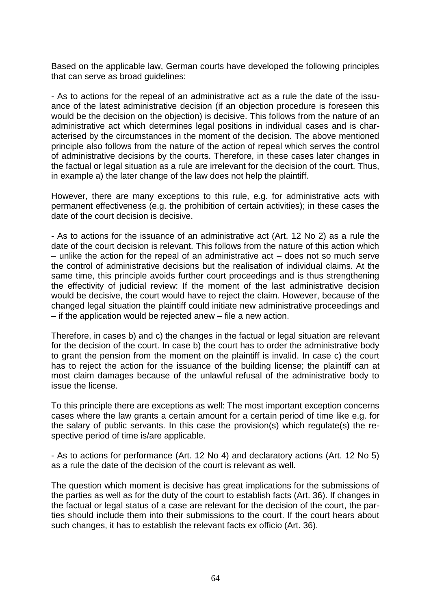Based on the applicable law, German courts have developed the following principles that can serve as broad guidelines:

- As to actions for the repeal of an administrative act as a rule the date of the issuance of the latest administrative decision (if an objection procedure is foreseen this would be the decision on the objection) is decisive. This follows from the nature of an administrative act which determines legal positions in individual cases and is characterised by the circumstances in the moment of the decision. The above mentioned principle also follows from the nature of the action of repeal which serves the control of administrative decisions by the courts. Therefore, in these cases later changes in the factual or legal situation as a rule are irrelevant for the decision of the court. Thus, in example a) the later change of the law does not help the plaintiff.

However, there are many exceptions to this rule, e.g. for administrative acts with permanent effectiveness (e.g. the prohibition of certain activities); in these cases the date of the court decision is decisive.

- As to actions for the issuance of an administrative act (Art. 12 No 2) as a rule the date of the court decision is relevant. This follows from the nature of this action which  $-$  unlike the action for the repeal of an administrative act  $-$  does not so much serve the control of administrative decisions but the realisation of individual claims. At the same time, this principle avoids further court proceedings and is thus strengthening the effectivity of judicial review: If the moment of the last administrative decision would be decisive, the court would have to reject the claim. However, because of the changed legal situation the plaintiff could initiate new administrative proceedings and – if the application would be rejected anew – file a new action.

Therefore, in cases b) and c) the changes in the factual or legal situation are relevant for the decision of the court. In case b) the court has to order the administrative body to grant the pension from the moment on the plaintiff is invalid. In case c) the court has to reject the action for the issuance of the building license; the plaintiff can at most claim damages because of the unlawful refusal of the administrative body to issue the license.

To this principle there are exceptions as well: The most important exception concerns cases where the law grants a certain amount for a certain period of time like e.g. for the salary of public servants. In this case the provision(s) which regulate(s) the respective period of time is/are applicable.

- As to actions for performance (Art. 12 No 4) and declaratory actions (Art. 12 No 5) as a rule the date of the decision of the court is relevant as well.

The question which moment is decisive has great implications for the submissions of the parties as well as for the duty of the court to establish facts (Art. 36). If changes in the factual or legal status of a case are relevant for the decision of the court, the parties should include them into their submissions to the court. If the court hears about such changes, it has to establish the relevant facts ex officio (Art. 36).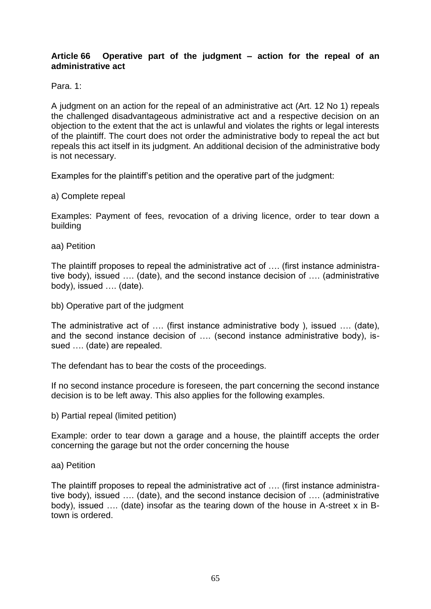#### **Article 66 Operative part of the judgment – action for the repeal of an administrative act**

Para. 1:

A judgment on an action for the repeal of an administrative act (Art. 12 No 1) repeals the challenged disadvantageous administrative act and a respective decision on an objection to the extent that the act is unlawful and violates the rights or legal interests of the plaintiff. The court does not order the administrative body to repeal the act but repeals this act itself in its judgment. An additional decision of the administrative body is not necessary.

Examples for the plaintiff's petition and the operative part of the judgment:

a) Complete repeal

Examples: Payment of fees, revocation of a driving licence, order to tear down a building

aa) Petition

The plaintiff proposes to repeal the administrative act of …. (first instance administrative body), issued …. (date), and the second instance decision of …. (administrative body), issued …. (date).

bb) Operative part of the judgment

The administrative act of …. (first instance administrative body ), issued …. (date), and the second instance decision of …. (second instance administrative body), issued …. (date) are repealed.

The defendant has to bear the costs of the proceedings.

If no second instance procedure is foreseen, the part concerning the second instance decision is to be left away. This also applies for the following examples.

b) Partial repeal (limited petition)

Example: order to tear down a garage and a house, the plaintiff accepts the order concerning the garage but not the order concerning the house

aa) Petition

The plaintiff proposes to repeal the administrative act of …. (first instance administrative body), issued …. (date), and the second instance decision of …. (administrative body), issued …. (date) insofar as the tearing down of the house in A-street x in Btown is ordered.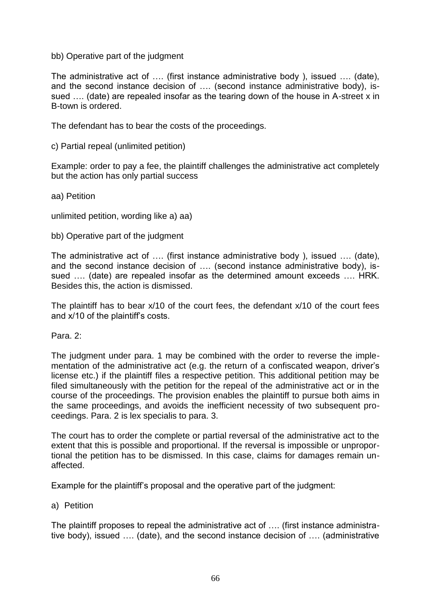#### bb) Operative part of the judgment

The administrative act of …. (first instance administrative body ), issued …. (date), and the second instance decision of …. (second instance administrative body), issued …. (date) are repealed insofar as the tearing down of the house in A-street x in B-town is ordered.

The defendant has to bear the costs of the proceedings.

c) Partial repeal (unlimited petition)

Example: order to pay a fee, the plaintiff challenges the administrative act completely but the action has only partial success

aa) Petition

unlimited petition, wording like a) aa)

bb) Operative part of the judgment

The administrative act of …. (first instance administrative body ), issued …. (date), and the second instance decision of …. (second instance administrative body), issued …. (date) are repealed insofar as the determined amount exceeds …. HRK. Besides this, the action is dismissed.

The plaintiff has to bear x/10 of the court fees, the defendant x/10 of the court fees and x/10 of the plaintiff's costs.

Para. 2:

The judgment under para. 1 may be combined with the order to reverse the implementation of the administrative act (e.g. the return of a confiscated weapon, driver's license etc.) if the plaintiff files a respective petition. This additional petition may be filed simultaneously with the petition for the repeal of the administrative act or in the course of the proceedings. The provision enables the plaintiff to pursue both aims in the same proceedings, and avoids the inefficient necessity of two subsequent proceedings. Para. 2 is lex specialis to para. 3.

The court has to order the complete or partial reversal of the administrative act to the extent that this is possible and proportional. If the reversal is impossible or unproportional the petition has to be dismissed. In this case, claims for damages remain unaffected.

Example for the plaintiff's proposal and the operative part of the judgment:

#### a) Petition

The plaintiff proposes to repeal the administrative act of …. (first instance administrative body), issued …. (date), and the second instance decision of …. (administrative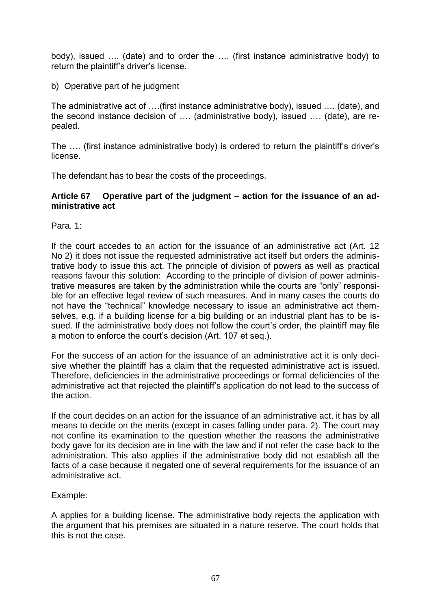body), issued …. (date) and to order the …. (first instance administrative body) to return the plaintiff's driver's license.

b) Operative part of he judgment

The administrative act of ….(first instance administrative body), issued …. (date), and the second instance decision of …. (administrative body), issued …. (date), are repealed.

The …. (first instance administrative body) is ordered to return the plaintiff's driver's license.

The defendant has to bear the costs of the proceedings.

#### **Article 67 Operative part of the judgment – action for the issuance of an administrative act**

Para. 1:

If the court accedes to an action for the issuance of an administrative act (Art. 12 No 2) it does not issue the requested administrative act itself but orders the administrative body to issue this act. The principle of division of powers as well as practical reasons favour this solution: According to the principle of division of power administrative measures are taken by the administration while the courts are "only" responsible for an effective legal review of such measures. And in many cases the courts do not have the "technical" knowledge necessary to issue an administrative act themselves, e.g. if a building license for a big building or an industrial plant has to be issued. If the administrative body does not follow the court's order, the plaintiff may file a motion to enforce the court's decision (Art. 107 et seq.).

For the success of an action for the issuance of an administrative act it is only decisive whether the plaintiff has a claim that the requested administrative act is issued. Therefore, deficiencies in the administrative proceedings or formal deficiencies of the administrative act that rejected the plaintiff's application do not lead to the success of the action.

If the court decides on an action for the issuance of an administrative act, it has by all means to decide on the merits (except in cases falling under para. 2). The court may not confine its examination to the question whether the reasons the administrative body gave for its decision are in line with the law and if not refer the case back to the administration. This also applies if the administrative body did not establish all the facts of a case because it negated one of several requirements for the issuance of an administrative act.

Example:

A applies for a building license. The administrative body rejects the application with the argument that his premises are situated in a nature reserve. The court holds that this is not the case.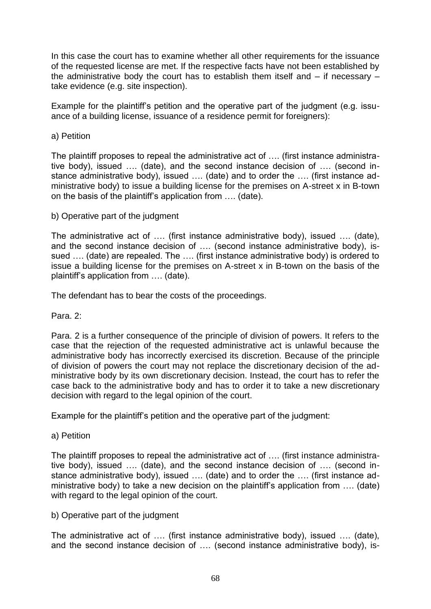In this case the court has to examine whether all other requirements for the issuance of the requested license are met. If the respective facts have not been established by the administrative body the court has to establish them itself and – if necessary – take evidence (e.g. site inspection).

Example for the plaintiff's petition and the operative part of the judgment (e.g. issuance of a building license, issuance of a residence permit for foreigners):

#### a) Petition

The plaintiff proposes to repeal the administrative act of …. (first instance administrative body), issued …. (date), and the second instance decision of …. (second instance administrative body), issued …. (date) and to order the …. (first instance administrative body) to issue a building license for the premises on A-street x in B-town on the basis of the plaintiff's application from …. (date).

b) Operative part of the judgment

The administrative act of …. (first instance administrative body), issued …. (date), and the second instance decision of …. (second instance administrative body), issued …. (date) are repealed. The …. (first instance administrative body) is ordered to issue a building license for the premises on A-street x in B-town on the basis of the plaintiff's application from …. (date).

The defendant has to bear the costs of the proceedings.

Para. 2:

Para. 2 is a further consequence of the principle of division of powers. It refers to the case that the rejection of the requested administrative act is unlawful because the administrative body has incorrectly exercised its discretion. Because of the principle of division of powers the court may not replace the discretionary decision of the administrative body by its own discretionary decision. Instead, the court has to refer the case back to the administrative body and has to order it to take a new discretionary decision with regard to the legal opinion of the court.

Example for the plaintiff's petition and the operative part of the judgment:

a) Petition

The plaintiff proposes to repeal the administrative act of …. (first instance administrative body), issued …. (date), and the second instance decision of …. (second instance administrative body), issued …. (date) and to order the …. (first instance administrative body) to take a new decision on the plaintiff's application from …. (date) with regard to the legal opinion of the court.

b) Operative part of the judgment

The administrative act of …. (first instance administrative body), issued …. (date), and the second instance decision of …. (second instance administrative body), is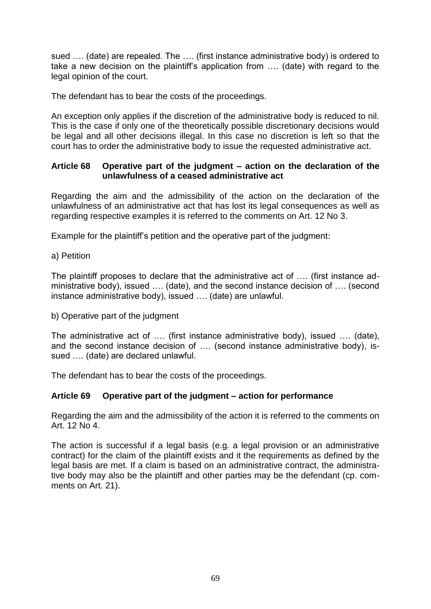sued …. (date) are repealed. The …. (first instance administrative body) is ordered to take a new decision on the plaintiff's application from …. (date) with regard to the legal opinion of the court.

The defendant has to bear the costs of the proceedings.

An exception only applies if the discretion of the administrative body is reduced to nil. This is the case if only one of the theoretically possible discretionary decisions would be legal and all other decisions illegal. In this case no discretion is left so that the court has to order the administrative body to issue the requested administrative act.

#### **Article 68 Operative part of the judgment – action on the declaration of the unlawfulness of a ceased administrative act**

Regarding the aim and the admissibility of the action on the declaration of the unlawfulness of an administrative act that has lost its legal consequences as well as regarding respective examples it is referred to the comments on Art. 12 No 3.

Example for the plaintiff's petition and the operative part of the judgment:

#### a) Petition

The plaintiff proposes to declare that the administrative act of …. (first instance administrative body), issued …. (date), and the second instance decision of …. (second instance administrative body), issued …. (date) are unlawful.

#### b) Operative part of the judgment

The administrative act of …. (first instance administrative body), issued …. (date), and the second instance decision of …. (second instance administrative body), issued …. (date) are declared unlawful.

The defendant has to bear the costs of the proceedings.

## **Article 69 Operative part of the judgment – action for performance**

Regarding the aim and the admissibility of the action it is referred to the comments on Art. 12 No 4.

The action is successful if a legal basis (e.g. a legal provision or an administrative contract) for the claim of the plaintiff exists and it the requirements as defined by the legal basis are met. If a claim is based on an administrative contract, the administrative body may also be the plaintiff and other parties may be the defendant (cp. comments on Art. 21).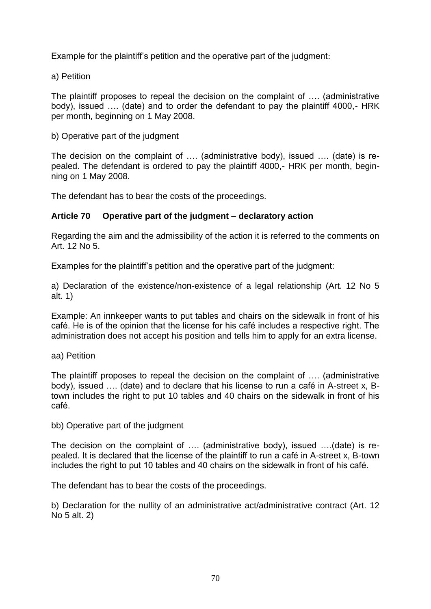Example for the plaintiff's petition and the operative part of the judgment:

a) Petition

The plaintiff proposes to repeal the decision on the complaint of …. (administrative body), issued …. (date) and to order the defendant to pay the plaintiff 4000,- HRK per month, beginning on 1 May 2008.

b) Operative part of the judgment

The decision on the complaint of …. (administrative body), issued …. (date) is repealed. The defendant is ordered to pay the plaintiff 4000,- HRK per month, beginning on 1 May 2008.

The defendant has to bear the costs of the proceedings.

#### **Article 70 Operative part of the judgment – declaratory action**

Regarding the aim and the admissibility of the action it is referred to the comments on Art. 12 No 5.

Examples for the plaintiff's petition and the operative part of the judgment:

a) Declaration of the existence/non-existence of a legal relationship (Art. 12 No 5 alt. 1)

Example: An innkeeper wants to put tables and chairs on the sidewalk in front of his café. He is of the opinion that the license for his café includes a respective right. The administration does not accept his position and tells him to apply for an extra license.

aa) Petition

The plaintiff proposes to repeal the decision on the complaint of …. (administrative body), issued …. (date) and to declare that his license to run a café in A-street x, Btown includes the right to put 10 tables and 40 chairs on the sidewalk in front of his café.

bb) Operative part of the judgment

The decision on the complaint of …. (administrative body), issued ….(date) is repealed. It is declared that the license of the plaintiff to run a café in A-street x, B-town includes the right to put 10 tables and 40 chairs on the sidewalk in front of his café.

The defendant has to bear the costs of the proceedings.

b) Declaration for the nullity of an administrative act/administrative contract (Art. 12 No 5 alt. 2)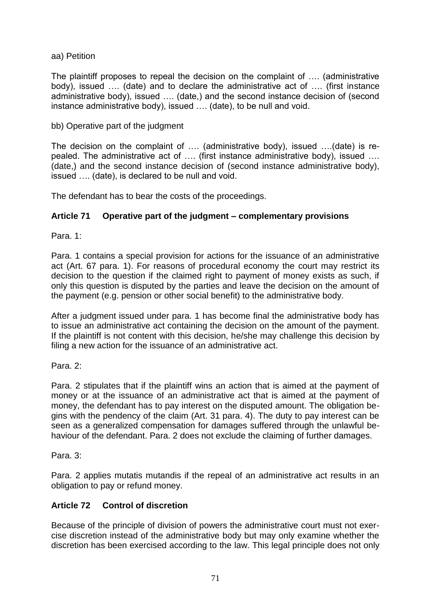aa) Petition

The plaintiff proposes to repeal the decision on the complaint of …. (administrative body), issued …. (date) and to declare the administrative act of …. (first instance administrative body), issued …. (date,) and the second instance decision of (second instance administrative body), issued …. (date), to be null and void.

#### bb) Operative part of the judgment

The decision on the complaint of …. (administrative body), issued ….(date) is repealed. The administrative act of …. (first instance administrative body), issued …. (date,) and the second instance decision of (second instance administrative body), issued …. (date), is declared to be null and void.

The defendant has to bear the costs of the proceedings.

#### **Article 71 Operative part of the judgment – complementary provisions**

Para. 1:

Para. 1 contains a special provision for actions for the issuance of an administrative act (Art. 67 para. 1). For reasons of procedural economy the court may restrict its decision to the question if the claimed right to payment of money exists as such, if only this question is disputed by the parties and leave the decision on the amount of the payment (e.g. pension or other social benefit) to the administrative body.

After a judgment issued under para. 1 has become final the administrative body has to issue an administrative act containing the decision on the amount of the payment. If the plaintiff is not content with this decision, he/she may challenge this decision by filing a new action for the issuance of an administrative act.

Para. 2:

Para. 2 stipulates that if the plaintiff wins an action that is aimed at the payment of money or at the issuance of an administrative act that is aimed at the payment of money, the defendant has to pay interest on the disputed amount. The obligation begins with the pendency of the claim (Art. 31 para. 4). The duty to pay interest can be seen as a generalized compensation for damages suffered through the unlawful behaviour of the defendant. Para. 2 does not exclude the claiming of further damages.

Para. 3:

Para. 2 applies mutatis mutandis if the repeal of an administrative act results in an obligation to pay or refund money.

## **Article 72 Control of discretion**

Because of the principle of division of powers the administrative court must not exercise discretion instead of the administrative body but may only examine whether the discretion has been exercised according to the law. This legal principle does not only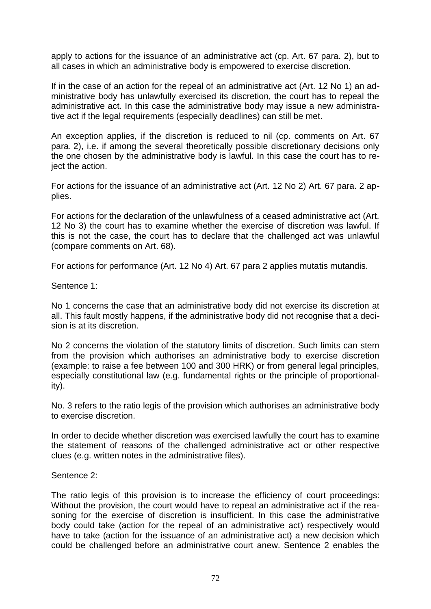apply to actions for the issuance of an administrative act (cp. Art. 67 para. 2), but to all cases in which an administrative body is empowered to exercise discretion.

If in the case of an action for the repeal of an administrative act (Art. 12 No 1) an administrative body has unlawfully exercised its discretion, the court has to repeal the administrative act. In this case the administrative body may issue a new administrative act if the legal requirements (especially deadlines) can still be met.

An exception applies, if the discretion is reduced to nil (cp. comments on Art. 67 para. 2), i.e. if among the several theoretically possible discretionary decisions only the one chosen by the administrative body is lawful. In this case the court has to reject the action.

For actions for the issuance of an administrative act (Art. 12 No 2) Art. 67 para. 2 applies.

For actions for the declaration of the unlawfulness of a ceased administrative act (Art. 12 No 3) the court has to examine whether the exercise of discretion was lawful. If this is not the case, the court has to declare that the challenged act was unlawful (compare comments on Art. 68).

For actions for performance (Art. 12 No 4) Art. 67 para 2 applies mutatis mutandis.

Sentence 1:

No 1 concerns the case that an administrative body did not exercise its discretion at all. This fault mostly happens, if the administrative body did not recognise that a decision is at its discretion.

No 2 concerns the violation of the statutory limits of discretion. Such limits can stem from the provision which authorises an administrative body to exercise discretion (example: to raise a fee between 100 and 300 HRK) or from general legal principles, especially constitutional law (e.g. fundamental rights or the principle of proportionality).

No. 3 refers to the ratio legis of the provision which authorises an administrative body to exercise discretion.

In order to decide whether discretion was exercised lawfully the court has to examine the statement of reasons of the challenged administrative act or other respective clues (e.g. written notes in the administrative files).

#### Sentence 2:

The ratio legis of this provision is to increase the efficiency of court proceedings: Without the provision, the court would have to repeal an administrative act if the reasoning for the exercise of discretion is insufficient. In this case the administrative body could take (action for the repeal of an administrative act) respectively would have to take (action for the issuance of an administrative act) a new decision which could be challenged before an administrative court anew. Sentence 2 enables the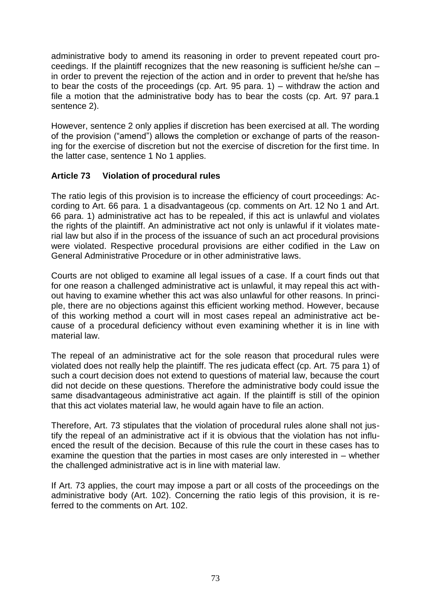administrative body to amend its reasoning in order to prevent repeated court proceedings. If the plaintiff recognizes that the new reasoning is sufficient he/she can – in order to prevent the rejection of the action and in order to prevent that he/she has to bear the costs of the proceedings (cp. Art. 95 para. 1) – withdraw the action and file a motion that the administrative body has to bear the costs (cp. Art. 97 para.1 sentence 2).

However, sentence 2 only applies if discretion has been exercised at all. The wording of the provision ("amend") allows the completion or exchange of parts of the reasoning for the exercise of discretion but not the exercise of discretion for the first time. In the latter case, sentence 1 No 1 applies.

## **Article 73 Violation of procedural rules**

The ratio legis of this provision is to increase the efficiency of court proceedings: According to Art. 66 para. 1 a disadvantageous (cp. comments on Art. 12 No 1 and Art. 66 para. 1) administrative act has to be repealed, if this act is unlawful and violates the rights of the plaintiff. An administrative act not only is unlawful if it violates material law but also if in the process of the issuance of such an act procedural provisions were violated. Respective procedural provisions are either codified in the Law on General Administrative Procedure or in other administrative laws.

Courts are not obliged to examine all legal issues of a case. If a court finds out that for one reason a challenged administrative act is unlawful, it may repeal this act without having to examine whether this act was also unlawful for other reasons. In principle, there are no objections against this efficient working method. However, because of this working method a court will in most cases repeal an administrative act because of a procedural deficiency without even examining whether it is in line with material law.

The repeal of an administrative act for the sole reason that procedural rules were violated does not really help the plaintiff. The res judicata effect (cp. Art. 75 para 1) of such a court decision does not extend to questions of material law, because the court did not decide on these questions. Therefore the administrative body could issue the same disadvantageous administrative act again. If the plaintiff is still of the opinion that this act violates material law, he would again have to file an action.

Therefore, Art. 73 stipulates that the violation of procedural rules alone shall not justify the repeal of an administrative act if it is obvious that the violation has not influenced the result of the decision. Because of this rule the court in these cases has to examine the question that the parties in most cases are only interested in – whether the challenged administrative act is in line with material law.

If Art. 73 applies, the court may impose a part or all costs of the proceedings on the administrative body (Art. 102). Concerning the ratio legis of this provision, it is referred to the comments on Art. 102.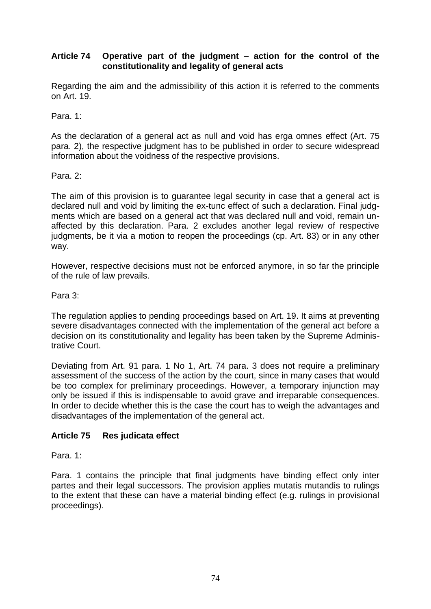## **Article 74 Operative part of the judgment – action for the control of the constitutionality and legality of general acts**

Regarding the aim and the admissibility of this action it is referred to the comments on Art. 19.

Para. 1:

As the declaration of a general act as null and void has erga omnes effect (Art. 75 para. 2), the respective judgment has to be published in order to secure widespread information about the voidness of the respective provisions.

### Para. 2:

The aim of this provision is to guarantee legal security in case that a general act is declared null and void by limiting the ex-tunc effect of such a declaration. Final judgments which are based on a general act that was declared null and void, remain unaffected by this declaration. Para. 2 excludes another legal review of respective judgments, be it via a motion to reopen the proceedings (cp. Art. 83) or in any other way.

However, respective decisions must not be enforced anymore, in so far the principle of the rule of law prevails.

Para 3:

The regulation applies to pending proceedings based on Art. 19. It aims at preventing severe disadvantages connected with the implementation of the general act before a decision on its constitutionality and legality has been taken by the Supreme Administrative Court.

Deviating from Art. 91 para. 1 No 1, Art. 74 para. 3 does not require a preliminary assessment of the success of the action by the court, since in many cases that would be too complex for preliminary proceedings. However, a temporary injunction may only be issued if this is indispensable to avoid grave and irreparable consequences. In order to decide whether this is the case the court has to weigh the advantages and disadvantages of the implementation of the general act.

## **Article 75 Res judicata effect**

Para. 1:

Para. 1 contains the principle that final judgments have binding effect only inter partes and their legal successors. The provision applies mutatis mutandis to rulings to the extent that these can have a material binding effect (e.g. rulings in provisional proceedings).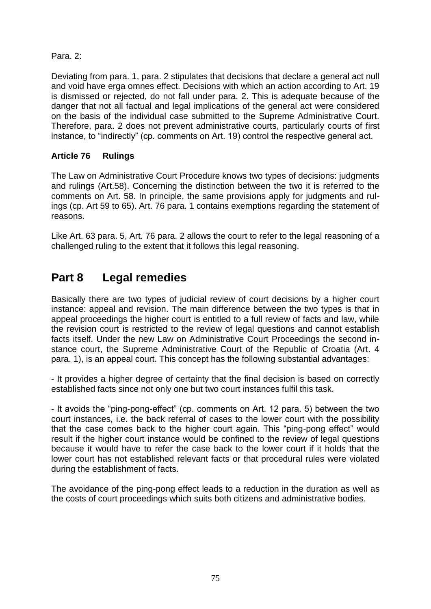## Para. 2:

Deviating from para. 1, para. 2 stipulates that decisions that declare a general act null and void have erga omnes effect. Decisions with which an action according to Art. 19 is dismissed or rejected, do not fall under para. 2. This is adequate because of the danger that not all factual and legal implications of the general act were considered on the basis of the individual case submitted to the Supreme Administrative Court. Therefore, para. 2 does not prevent administrative courts, particularly courts of first instance, to "indirectly" (cp. comments on Art. 19) control the respective general act.

## **Article 76 Rulings**

The Law on Administrative Court Procedure knows two types of decisions: judgments and rulings (Art.58). Concerning the distinction between the two it is referred to the comments on Art. 58. In principle, the same provisions apply for judgments and rulings (cp. Art 59 to 65). Art. 76 para. 1 contains exemptions regarding the statement of reasons.

Like Art. 63 para. 5, Art. 76 para. 2 allows the court to refer to the legal reasoning of a challenged ruling to the extent that it follows this legal reasoning.

# **Part 8 Legal remedies**

Basically there are two types of judicial review of court decisions by a higher court instance: appeal and revision. The main difference between the two types is that in appeal proceedings the higher court is entitled to a full review of facts and law, while the revision court is restricted to the review of legal questions and cannot establish facts itself. Under the new Law on Administrative Court Proceedings the second instance court, the Supreme Administrative Court of the Republic of Croatia (Art. 4 para. 1), is an appeal court. This concept has the following substantial advantages:

- It provides a higher degree of certainty that the final decision is based on correctly established facts since not only one but two court instances fulfil this task.

- It avoids the "ping-pong-effect" (cp. comments on Art. 12 para. 5) between the two court instances, i.e. the back referral of cases to the lower court with the possibility that the case comes back to the higher court again. This "ping-pong effect" would result if the higher court instance would be confined to the review of legal questions because it would have to refer the case back to the lower court if it holds that the lower court has not established relevant facts or that procedural rules were violated during the establishment of facts.

The avoidance of the ping-pong effect leads to a reduction in the duration as well as the costs of court proceedings which suits both citizens and administrative bodies.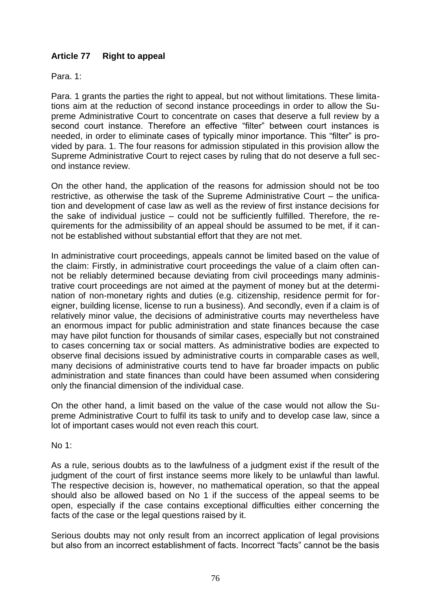# **Article 77 Right to appeal**

Para. 1:

Para. 1 grants the parties the right to appeal, but not without limitations. These limitations aim at the reduction of second instance proceedings in order to allow the Supreme Administrative Court to concentrate on cases that deserve a full review by a second court instance. Therefore an effective "filter" between court instances is needed, in order to eliminate cases of typically minor importance. This "filter" is provided by para. 1. The four reasons for admission stipulated in this provision allow the Supreme Administrative Court to reject cases by ruling that do not deserve a full second instance review.

On the other hand, the application of the reasons for admission should not be too restrictive, as otherwise the task of the Supreme Administrative Court – the unification and development of case law as well as the review of first instance decisions for the sake of individual justice – could not be sufficiently fulfilled. Therefore, the requirements for the admissibility of an appeal should be assumed to be met, if it cannot be established without substantial effort that they are not met.

In administrative court proceedings, appeals cannot be limited based on the value of the claim: Firstly, in administrative court proceedings the value of a claim often cannot be reliably determined because deviating from civil proceedings many administrative court proceedings are not aimed at the payment of money but at the determination of non-monetary rights and duties (e.g. citizenship, residence permit for foreigner, building license, license to run a business). And secondly, even if a claim is of relatively minor value, the decisions of administrative courts may nevertheless have an enormous impact for public administration and state finances because the case may have pilot function for thousands of similar cases, especially but not constrained to cases concerning tax or social matters. As administrative bodies are expected to observe final decisions issued by administrative courts in comparable cases as well, many decisions of administrative courts tend to have far broader impacts on public administration and state finances than could have been assumed when considering only the financial dimension of the individual case.

On the other hand, a limit based on the value of the case would not allow the Supreme Administrative Court to fulfil its task to unify and to develop case law, since a lot of important cases would not even reach this court.

No 1:

As a rule, serious doubts as to the lawfulness of a judgment exist if the result of the judgment of the court of first instance seems more likely to be unlawful than lawful. The respective decision is, however, no mathematical operation, so that the appeal should also be allowed based on No 1 if the success of the appeal seems to be open, especially if the case contains exceptional difficulties either concerning the facts of the case or the legal questions raised by it.

Serious doubts may not only result from an incorrect application of legal provisions but also from an incorrect establishment of facts. Incorrect "facts" cannot be the basis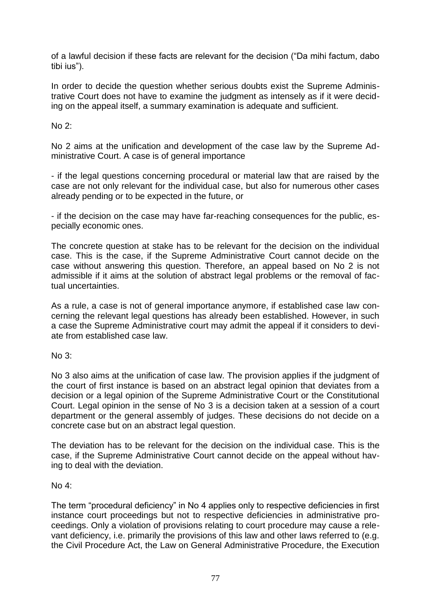of a lawful decision if these facts are relevant for the decision ("Da mihi factum, dabo tibi ius").

In order to decide the question whether serious doubts exist the Supreme Administrative Court does not have to examine the judgment as intensely as if it were deciding on the appeal itself, a summary examination is adequate and sufficient.

No 2:

No 2 aims at the unification and development of the case law by the Supreme Administrative Court. A case is of general importance

- if the legal questions concerning procedural or material law that are raised by the case are not only relevant for the individual case, but also for numerous other cases already pending or to be expected in the future, or

- if the decision on the case may have far-reaching consequences for the public, especially economic ones.

The concrete question at stake has to be relevant for the decision on the individual case. This is the case, if the Supreme Administrative Court cannot decide on the case without answering this question. Therefore, an appeal based on No 2 is not admissible if it aims at the solution of abstract legal problems or the removal of factual uncertainties.

As a rule, a case is not of general importance anymore, if established case law concerning the relevant legal questions has already been established. However, in such a case the Supreme Administrative court may admit the appeal if it considers to deviate from established case law.

 $No 3<sup>2</sup>$ 

No 3 also aims at the unification of case law. The provision applies if the judgment of the court of first instance is based on an abstract legal opinion that deviates from a decision or a legal opinion of the Supreme Administrative Court or the Constitutional Court. Legal opinion in the sense of No 3 is a decision taken at a session of a court department or the general assembly of judges. These decisions do not decide on a concrete case but on an abstract legal question.

The deviation has to be relevant for the decision on the individual case. This is the case, if the Supreme Administrative Court cannot decide on the appeal without having to deal with the deviation.

#### No 4:

The term "procedural deficiency" in No 4 applies only to respective deficiencies in first instance court proceedings but not to respective deficiencies in administrative proceedings. Only a violation of provisions relating to court procedure may cause a relevant deficiency, i.e. primarily the provisions of this law and other laws referred to (e.g. the Civil Procedure Act, the Law on General Administrative Procedure, the Execution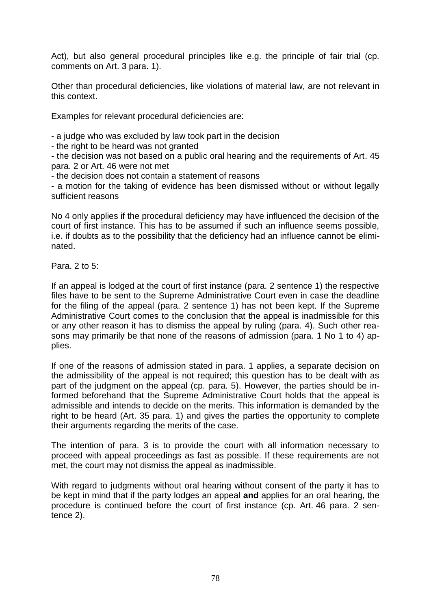Act), but also general procedural principles like e.g. the principle of fair trial (cp. comments on Art. 3 para. 1).

Other than procedural deficiencies, like violations of material law, are not relevant in this context.

Examples for relevant procedural deficiencies are:

- a judge who was excluded by law took part in the decision

- the right to be heard was not granted

- the decision was not based on a public oral hearing and the requirements of Art. 45 para. 2 or Art. 46 were not met

- the decision does not contain a statement of reasons

- a motion for the taking of evidence has been dismissed without or without legally sufficient reasons

No 4 only applies if the procedural deficiency may have influenced the decision of the court of first instance. This has to be assumed if such an influence seems possible, i.e. if doubts as to the possibility that the deficiency had an influence cannot be eliminated.

Para. 2 to 5:

If an appeal is lodged at the court of first instance (para. 2 sentence 1) the respective files have to be sent to the Supreme Administrative Court even in case the deadline for the filing of the appeal (para. 2 sentence 1) has not been kept. If the Supreme Administrative Court comes to the conclusion that the appeal is inadmissible for this or any other reason it has to dismiss the appeal by ruling (para. 4). Such other reasons may primarily be that none of the reasons of admission (para. 1 No 1 to 4) applies.

If one of the reasons of admission stated in para. 1 applies, a separate decision on the admissibility of the appeal is not required; this question has to be dealt with as part of the judgment on the appeal (cp. para. 5). However, the parties should be informed beforehand that the Supreme Administrative Court holds that the appeal is admissible and intends to decide on the merits. This information is demanded by the right to be heard (Art. 35 para. 1) and gives the parties the opportunity to complete their arguments regarding the merits of the case.

The intention of para. 3 is to provide the court with all information necessary to proceed with appeal proceedings as fast as possible. If these requirements are not met, the court may not dismiss the appeal as inadmissible.

With regard to judgments without oral hearing without consent of the party it has to be kept in mind that if the party lodges an appeal **and** applies for an oral hearing, the procedure is continued before the court of first instance (cp. Art. 46 para. 2 sentence 2).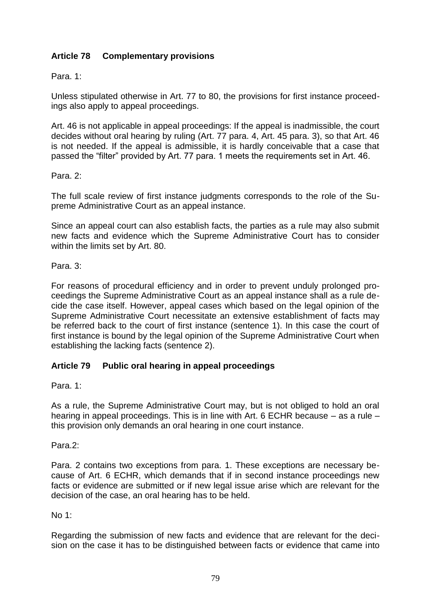# **Article 78 Complementary provisions**

Para. 1:

Unless stipulated otherwise in Art. 77 to 80, the provisions for first instance proceedings also apply to appeal proceedings.

Art. 46 is not applicable in appeal proceedings: If the appeal is inadmissible, the court decides without oral hearing by ruling (Art. 77 para. 4, Art. 45 para. 3), so that Art. 46 is not needed. If the appeal is admissible, it is hardly conceivable that a case that passed the "filter" provided by Art. 77 para. 1 meets the requirements set in Art. 46.

Para. 2:

The full scale review of first instance judgments corresponds to the role of the Supreme Administrative Court as an appeal instance.

Since an appeal court can also establish facts, the parties as a rule may also submit new facts and evidence which the Supreme Administrative Court has to consider within the limits set by Art. 80.

Para. 3:

For reasons of procedural efficiency and in order to prevent unduly prolonged proceedings the Supreme Administrative Court as an appeal instance shall as a rule decide the case itself. However, appeal cases which based on the legal opinion of the Supreme Administrative Court necessitate an extensive establishment of facts may be referred back to the court of first instance (sentence 1). In this case the court of first instance is bound by the legal opinion of the Supreme Administrative Court when establishing the lacking facts (sentence 2).

## **Article 79 Public oral hearing in appeal proceedings**

Para. 1:

As a rule, the Supreme Administrative Court may, but is not obliged to hold an oral hearing in appeal proceedings. This is in line with Art. 6 ECHR because – as a rule – this provision only demands an oral hearing in one court instance.

Para.2:

Para. 2 contains two exceptions from para. 1. These exceptions are necessary because of Art. 6 ECHR, which demands that if in second instance proceedings new facts or evidence are submitted or if new legal issue arise which are relevant for the decision of the case, an oral hearing has to be held.

No 1:

Regarding the submission of new facts and evidence that are relevant for the decision on the case it has to be distinguished between facts or evidence that came into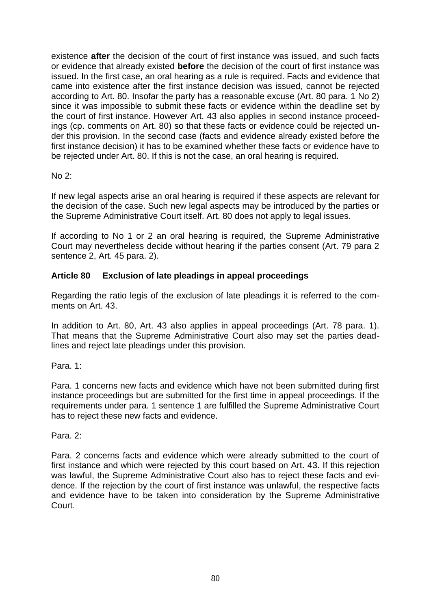existence **after** the decision of the court of first instance was issued, and such facts or evidence that already existed **before** the decision of the court of first instance was issued. In the first case, an oral hearing as a rule is required. Facts and evidence that came into existence after the first instance decision was issued, cannot be rejected according to Art. 80. Insofar the party has a reasonable excuse (Art. 80 para. 1 No 2) since it was impossible to submit these facts or evidence within the deadline set by the court of first instance. However Art. 43 also applies in second instance proceedings (cp. comments on Art. 80) so that these facts or evidence could be rejected under this provision. In the second case (facts and evidence already existed before the first instance decision) it has to be examined whether these facts or evidence have to be rejected under Art. 80. If this is not the case, an oral hearing is required.

No 2:

If new legal aspects arise an oral hearing is required if these aspects are relevant for the decision of the case. Such new legal aspects may be introduced by the parties or the Supreme Administrative Court itself. Art. 80 does not apply to legal issues.

If according to No 1 or 2 an oral hearing is required, the Supreme Administrative Court may nevertheless decide without hearing if the parties consent (Art. 79 para 2 sentence 2, Art. 45 para. 2).

# **Article 80 Exclusion of late pleadings in appeal proceedings**

Regarding the ratio legis of the exclusion of late pleadings it is referred to the comments on Art. 43.

In addition to Art. 80, Art. 43 also applies in appeal proceedings (Art. 78 para. 1). That means that the Supreme Administrative Court also may set the parties deadlines and reject late pleadings under this provision.

Para. 1:

Para. 1 concerns new facts and evidence which have not been submitted during first instance proceedings but are submitted for the first time in appeal proceedings. If the requirements under para. 1 sentence 1 are fulfilled the Supreme Administrative Court has to reject these new facts and evidence.

Para. 2:

Para. 2 concerns facts and evidence which were already submitted to the court of first instance and which were rejected by this court based on Art. 43. If this rejection was lawful, the Supreme Administrative Court also has to reject these facts and evidence. If the rejection by the court of first instance was unlawful, the respective facts and evidence have to be taken into consideration by the Supreme Administrative Court.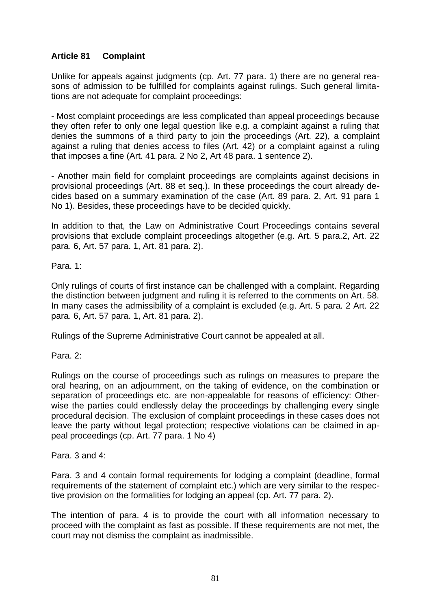# **Article 81 Complaint**

Unlike for appeals against judgments (cp. Art. 77 para. 1) there are no general reasons of admission to be fulfilled for complaints against rulings. Such general limitations are not adequate for complaint proceedings:

- Most complaint proceedings are less complicated than appeal proceedings because they often refer to only one legal question like e.g. a complaint against a ruling that denies the summons of a third party to join the proceedings (Art. 22), a complaint against a ruling that denies access to files (Art. 42) or a complaint against a ruling that imposes a fine (Art. 41 para. 2 No 2, Art 48 para. 1 sentence 2).

- Another main field for complaint proceedings are complaints against decisions in provisional proceedings (Art. 88 et seq.). In these proceedings the court already decides based on a summary examination of the case (Art. 89 para. 2, Art. 91 para 1 No 1). Besides, these proceedings have to be decided quickly.

In addition to that, the Law on Administrative Court Proceedings contains several provisions that exclude complaint proceedings altogether (e.g. Art. 5 para.2, Art. 22 para. 6, Art. 57 para. 1, Art. 81 para. 2).

Para. 1:

Only rulings of courts of first instance can be challenged with a complaint. Regarding the distinction between judgment and ruling it is referred to the comments on Art. 58. In many cases the admissibility of a complaint is excluded (e.g. Art. 5 para. 2 Art. 22 para. 6, Art. 57 para. 1, Art. 81 para. 2).

Rulings of the Supreme Administrative Court cannot be appealed at all.

Para 2:

Rulings on the course of proceedings such as rulings on measures to prepare the oral hearing, on an adjournment, on the taking of evidence, on the combination or separation of proceedings etc. are non-appealable for reasons of efficiency: Otherwise the parties could endlessly delay the proceedings by challenging every single procedural decision. The exclusion of complaint proceedings in these cases does not leave the party without legal protection; respective violations can be claimed in appeal proceedings (cp. Art. 77 para. 1 No 4)

Para. 3 and 4:

Para. 3 and 4 contain formal requirements for lodging a complaint (deadline, formal requirements of the statement of complaint etc.) which are very similar to the respective provision on the formalities for lodging an appeal (cp. Art. 77 para. 2).

The intention of para. 4 is to provide the court with all information necessary to proceed with the complaint as fast as possible. If these requirements are not met, the court may not dismiss the complaint as inadmissible.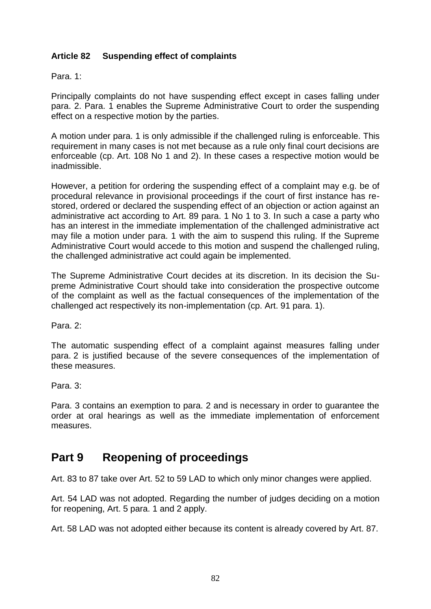## **Article 82 Suspending effect of complaints**

Para. 1:

Principally complaints do not have suspending effect except in cases falling under para. 2. Para. 1 enables the Supreme Administrative Court to order the suspending effect on a respective motion by the parties.

A motion under para. 1 is only admissible if the challenged ruling is enforceable. This requirement in many cases is not met because as a rule only final court decisions are enforceable (cp. Art. 108 No 1 and 2). In these cases a respective motion would be inadmissible.

However, a petition for ordering the suspending effect of a complaint may e.g. be of procedural relevance in provisional proceedings if the court of first instance has restored, ordered or declared the suspending effect of an objection or action against an administrative act according to Art. 89 para. 1 No 1 to 3. In such a case a party who has an interest in the immediate implementation of the challenged administrative act may file a motion under para. 1 with the aim to suspend this ruling. If the Supreme Administrative Court would accede to this motion and suspend the challenged ruling, the challenged administrative act could again be implemented.

The Supreme Administrative Court decides at its discretion. In its decision the Supreme Administrative Court should take into consideration the prospective outcome of the complaint as well as the factual consequences of the implementation of the challenged act respectively its non-implementation (cp. Art. 91 para. 1).

Para. 2:

The automatic suspending effect of a complaint against measures falling under para. 2 is justified because of the severe consequences of the implementation of these measures.

Para. 3:

Para. 3 contains an exemption to para. 2 and is necessary in order to guarantee the order at oral hearings as well as the immediate implementation of enforcement measures.

# **Part 9 Reopening of proceedings**

Art. 83 to 87 take over Art. 52 to 59 LAD to which only minor changes were applied.

Art. 54 LAD was not adopted. Regarding the number of judges deciding on a motion for reopening, Art. 5 para. 1 and 2 apply.

Art. 58 LAD was not adopted either because its content is already covered by Art. 87.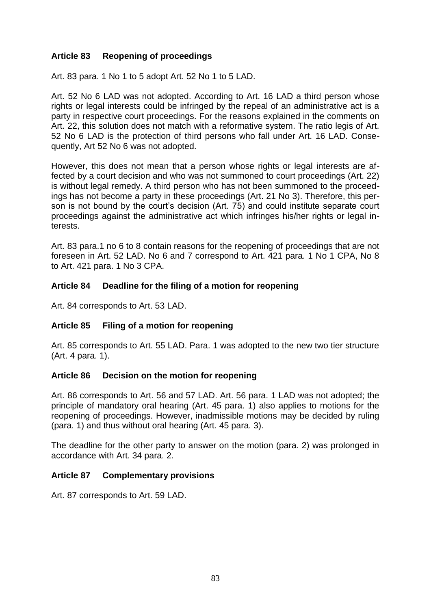## **Article 83 Reopening of proceedings**

Art. 83 para. 1 No 1 to 5 adopt Art. 52 No 1 to 5 LAD.

Art. 52 No 6 LAD was not adopted. According to Art. 16 LAD a third person whose rights or legal interests could be infringed by the repeal of an administrative act is a party in respective court proceedings. For the reasons explained in the comments on Art. 22, this solution does not match with a reformative system. The ratio legis of Art. 52 No 6 LAD is the protection of third persons who fall under Art. 16 LAD. Consequently, Art 52 No 6 was not adopted.

However, this does not mean that a person whose rights or legal interests are affected by a court decision and who was not summoned to court proceedings (Art. 22) is without legal remedy. A third person who has not been summoned to the proceedings has not become a party in these proceedings (Art. 21 No 3). Therefore, this person is not bound by the court's decision (Art. 75) and could institute separate court proceedings against the administrative act which infringes his/her rights or legal interests.

Art. 83 para.1 no 6 to 8 contain reasons for the reopening of proceedings that are not foreseen in Art. 52 LAD. No 6 and 7 correspond to Art. 421 para. 1 No 1 CPA, No 8 to Art. 421 para. 1 No 3 CPA.

#### **Article 84 Deadline for the filing of a motion for reopening**

Art. 84 corresponds to Art. 53 LAD.

#### **Article 85 Filing of a motion for reopening**

Art. 85 corresponds to Art. 55 LAD. Para. 1 was adopted to the new two tier structure (Art. 4 para. 1).

#### **Article 86 Decision on the motion for reopening**

Art. 86 corresponds to Art. 56 and 57 LAD. Art. 56 para. 1 LAD was not adopted; the principle of mandatory oral hearing (Art. 45 para. 1) also applies to motions for the reopening of proceedings. However, inadmissible motions may be decided by ruling (para. 1) and thus without oral hearing (Art. 45 para. 3).

The deadline for the other party to answer on the motion (para. 2) was prolonged in accordance with Art. 34 para. 2.

#### **Article 87 Complementary provisions**

Art. 87 corresponds to Art. 59 LAD.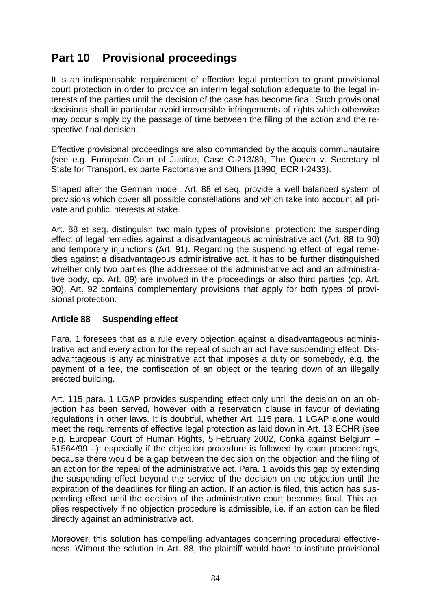# **Part 10 Provisional proceedings**

It is an indispensable requirement of effective legal protection to grant provisional court protection in order to provide an interim legal solution adequate to the legal interests of the parties until the decision of the case has become final. Such provisional decisions shall in particular avoid irreversible infringements of rights which otherwise may occur simply by the passage of time between the filing of the action and the respective final decision.

Effective provisional proceedings are also commanded by the acquis communautaire (see e.g. European Court of Justice, Case C-213/89, The Queen v. Secretary of State for Transport, ex parte Factortame and Others [1990] ECR I-2433).

Shaped after the German model, Art. 88 et seq. provide a well balanced system of provisions which cover all possible constellations and which take into account all private and public interests at stake.

Art. 88 et seq. distinguish two main types of provisional protection: the suspending effect of legal remedies against a disadvantageous administrative act (Art. 88 to 90) and temporary injunctions (Art. 91). Regarding the suspending effect of legal remedies against a disadvantageous administrative act, it has to be further distinguished whether only two parties (the addressee of the administrative act and an administrative body, cp. Art. 89) are involved in the proceedings or also third parties (cp. Art. 90). Art. 92 contains complementary provisions that apply for both types of provisional protection.

## **Article 88 Suspending effect**

Para. 1 foresees that as a rule every objection against a disadvantageous administrative act and every action for the repeal of such an act have suspending effect. Disadvantageous is any administrative act that imposes a duty on somebody, e.g. the payment of a fee, the confiscation of an object or the tearing down of an illegally erected building.

Art. 115 para. 1 LGAP provides suspending effect only until the decision on an objection has been served, however with a reservation clause in favour of deviating regulations in other laws. It is doubtful, whether Art. 115 para. 1 LGAP alone would meet the requirements of effective legal protection as laid down in Art. 13 ECHR (see e.g. European Court of Human Rights, 5 February 2002, Conka against Belgium – 51564/99 –); especially if the objection procedure is followed by court proceedings, because there would be a gap between the decision on the objection and the filing of an action for the repeal of the administrative act. Para. 1 avoids this gap by extending the suspending effect beyond the service of the decision on the objection until the expiration of the deadlines for filing an action. If an action is filed, this action has suspending effect until the decision of the administrative court becomes final. This applies respectively if no objection procedure is admissible, i.e. if an action can be filed directly against an administrative act.

Moreover, this solution has compelling advantages concerning procedural effectiveness. Without the solution in Art. 88, the plaintiff would have to institute provisional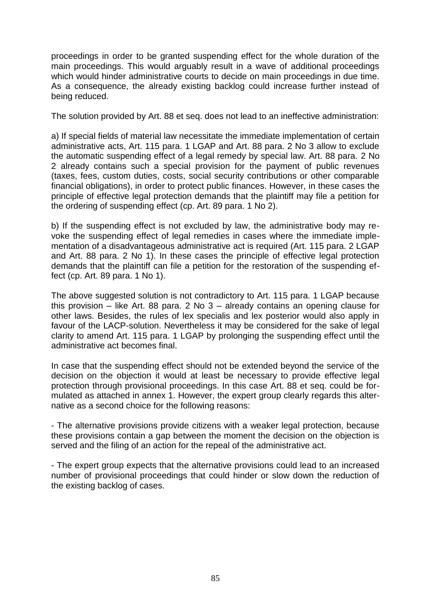proceedings in order to be granted suspending effect for the whole duration of the main proceedings. This would arguably result in a wave of additional proceedings which would hinder administrative courts to decide on main proceedings in due time. As a consequence, the already existing backlog could increase further instead of being reduced.

The solution provided by Art. 88 et seq. does not lead to an ineffective administration:

a) If special fields of material law necessitate the immediate implementation of certain administrative acts, Art. 115 para. 1 LGAP and Art. 88 para. 2 No 3 allow to exclude the automatic suspending effect of a legal remedy by special law. Art. 88 para. 2 No 2 already contains such a special provision for the payment of public revenues (taxes, fees, custom duties, costs, social security contributions or other comparable financial obligations), in order to protect public finances. However, in these cases the principle of effective legal protection demands that the plaintiff may file a petition for the ordering of suspending effect (cp. Art. 89 para. 1 No 2).

b) If the suspending effect is not excluded by law, the administrative body may revoke the suspending effect of legal remedies in cases where the immediate implementation of a disadvantageous administrative act is required (Art. 115 para. 2 LGAP and Art. 88 para. 2 No 1). In these cases the principle of effective legal protection demands that the plaintiff can file a petition for the restoration of the suspending effect (cp. Art. 89 para. 1 No 1).

The above suggested solution is not contradictory to Art. 115 para. 1 LGAP because this provision – like Art. 88 para. 2 No 3 – already contains an opening clause for other laws. Besides, the rules of lex specialis and lex posterior would also apply in favour of the LACP-solution. Nevertheless it may be considered for the sake of legal clarity to amend Art. 115 para. 1 LGAP by prolonging the suspending effect until the administrative act becomes final.

In case that the suspending effect should not be extended beyond the service of the decision on the objection it would at least be necessary to provide effective legal protection through provisional proceedings. In this case Art. 88 et seq. could be formulated as attached in annex 1. However, the expert group clearly regards this alternative as a second choice for the following reasons:

- The alternative provisions provide citizens with a weaker legal protection, because these provisions contain a gap between the moment the decision on the objection is served and the filing of an action for the repeal of the administrative act.

- The expert group expects that the alternative provisions could lead to an increased number of provisional proceedings that could hinder or slow down the reduction of the existing backlog of cases.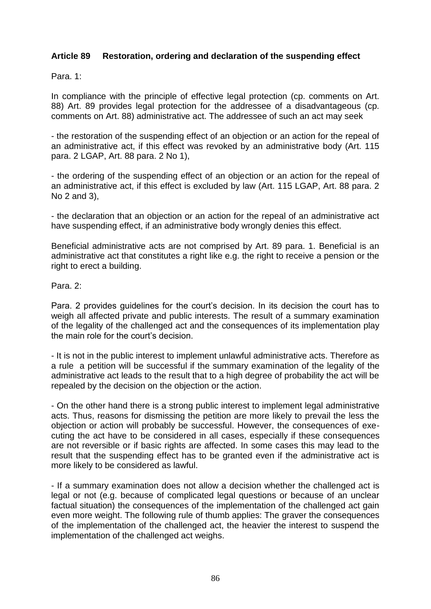## **Article 89 Restoration, ordering and declaration of the suspending effect**

Para. 1:

In compliance with the principle of effective legal protection (cp. comments on Art. 88) Art. 89 provides legal protection for the addressee of a disadvantageous (cp. comments on Art. 88) administrative act. The addressee of such an act may seek

- the restoration of the suspending effect of an objection or an action for the repeal of an administrative act, if this effect was revoked by an administrative body (Art. 115 para. 2 LGAP, Art. 88 para. 2 No 1),

- the ordering of the suspending effect of an objection or an action for the repeal of an administrative act, if this effect is excluded by law (Art. 115 LGAP, Art. 88 para. 2 No 2 and 3),

- the declaration that an objection or an action for the repeal of an administrative act have suspending effect, if an administrative body wrongly denies this effect.

Beneficial administrative acts are not comprised by Art. 89 para. 1. Beneficial is an administrative act that constitutes a right like e.g. the right to receive a pension or the right to erect a building.

Para. 2:

Para. 2 provides guidelines for the court's decision. In its decision the court has to weigh all affected private and public interests. The result of a summary examination of the legality of the challenged act and the consequences of its implementation play the main role for the court's decision.

- It is not in the public interest to implement unlawful administrative acts. Therefore as a rule a petition will be successful if the summary examination of the legality of the administrative act leads to the result that to a high degree of probability the act will be repealed by the decision on the objection or the action.

- On the other hand there is a strong public interest to implement legal administrative acts. Thus, reasons for dismissing the petition are more likely to prevail the less the objection or action will probably be successful. However, the consequences of executing the act have to be considered in all cases, especially if these consequences are not reversible or if basic rights are affected. In some cases this may lead to the result that the suspending effect has to be granted even if the administrative act is more likely to be considered as lawful.

- If a summary examination does not allow a decision whether the challenged act is legal or not (e.g. because of complicated legal questions or because of an unclear factual situation) the consequences of the implementation of the challenged act gain even more weight. The following rule of thumb applies: The graver the consequences of the implementation of the challenged act, the heavier the interest to suspend the implementation of the challenged act weighs.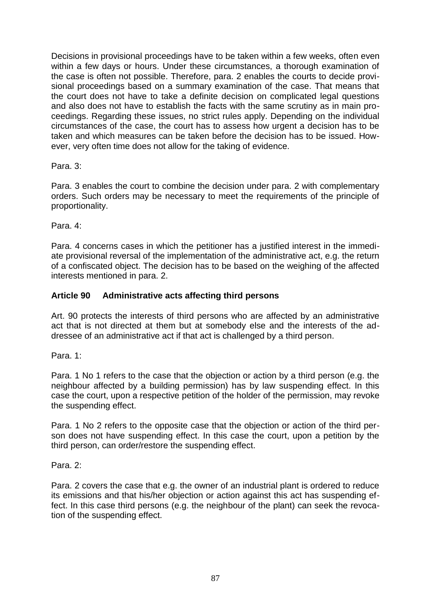Decisions in provisional proceedings have to be taken within a few weeks, often even within a few days or hours. Under these circumstances, a thorough examination of the case is often not possible. Therefore, para. 2 enables the courts to decide provisional proceedings based on a summary examination of the case. That means that the court does not have to take a definite decision on complicated legal questions and also does not have to establish the facts with the same scrutiny as in main proceedings. Regarding these issues, no strict rules apply. Depending on the individual circumstances of the case, the court has to assess how urgent a decision has to be taken and which measures can be taken before the decision has to be issued. However, very often time does not allow for the taking of evidence.

Para. 3:

Para. 3 enables the court to combine the decision under para. 2 with complementary orders. Such orders may be necessary to meet the requirements of the principle of proportionality.

Para. 4:

Para. 4 concerns cases in which the petitioner has a justified interest in the immediate provisional reversal of the implementation of the administrative act, e.g. the return of a confiscated object. The decision has to be based on the weighing of the affected interests mentioned in para. 2.

## **Article 90 Administrative acts affecting third persons**

Art. 90 protects the interests of third persons who are affected by an administrative act that is not directed at them but at somebody else and the interests of the addressee of an administrative act if that act is challenged by a third person.

Para. 1:

Para. 1 No 1 refers to the case that the objection or action by a third person (e.g. the neighbour affected by a building permission) has by law suspending effect. In this case the court, upon a respective petition of the holder of the permission, may revoke the suspending effect.

Para. 1 No 2 refers to the opposite case that the objection or action of the third person does not have suspending effect. In this case the court, upon a petition by the third person, can order/restore the suspending effect.

Para<sub>2</sub>.

Para. 2 covers the case that e.g. the owner of an industrial plant is ordered to reduce its emissions and that his/her objection or action against this act has suspending effect. In this case third persons (e.g. the neighbour of the plant) can seek the revocation of the suspending effect.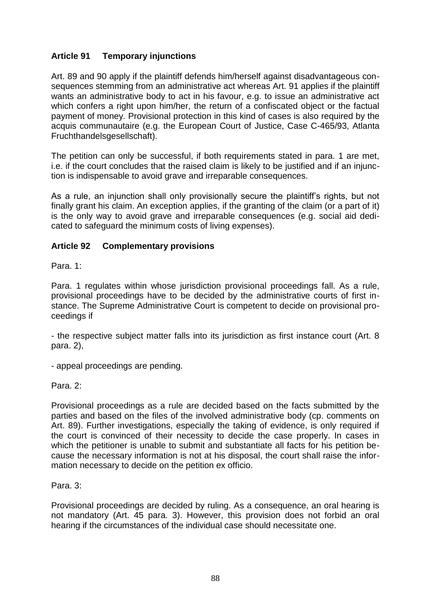## **Article 91 Temporary injunctions**

Art. 89 and 90 apply if the plaintiff defends him/herself against disadvantageous consequences stemming from an administrative act whereas Art. 91 applies if the plaintiff wants an administrative body to act in his favour, e.g. to issue an administrative act which confers a right upon him/her, the return of a confiscated object or the factual payment of money. Provisional protection in this kind of cases is also required by the acquis communautaire (e.g. the European Court of Justice, Case C-465/93, Atlanta Fruchthandelsgesellschaft).

The petition can only be successful, if both requirements stated in para. 1 are met, i.e. if the court concludes that the raised claim is likely to be justified and if an injunction is indispensable to avoid grave and irreparable consequences.

As a rule, an injunction shall only provisionally secure the plaintiff's rights, but not finally grant his claim. An exception applies, if the granting of the claim (or a part of it) is the only way to avoid grave and irreparable consequences (e.g. social aid dedicated to safeguard the minimum costs of living expenses).

## **Article 92 Complementary provisions**

Para. 1:

Para. 1 regulates within whose jurisdiction provisional proceedings fall. As a rule, provisional proceedings have to be decided by the administrative courts of first instance. The Supreme Administrative Court is competent to decide on provisional proceedings if

- the respective subject matter falls into its jurisdiction as first instance court (Art. 8 para. 2),

- appeal proceedings are pending.

Para. 2:

Provisional proceedings as a rule are decided based on the facts submitted by the parties and based on the files of the involved administrative body (cp. comments on Art. 89). Further investigations, especially the taking of evidence, is only required if the court is convinced of their necessity to decide the case properly. In cases in which the petitioner is unable to submit and substantiate all facts for his petition because the necessary information is not at his disposal, the court shall raise the information necessary to decide on the petition ex officio.

Para. 3:

Provisional proceedings are decided by ruling. As a consequence, an oral hearing is not mandatory (Art. 45 para. 3). However, this provision does not forbid an oral hearing if the circumstances of the individual case should necessitate one.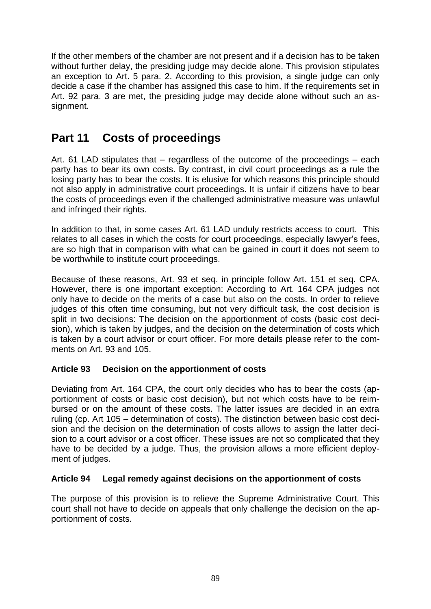If the other members of the chamber are not present and if a decision has to be taken without further delay, the presiding judge may decide alone. This provision stipulates an exception to Art. 5 para. 2. According to this provision, a single judge can only decide a case if the chamber has assigned this case to him. If the requirements set in Art. 92 para. 3 are met, the presiding judge may decide alone without such an assignment.

# **Part 11 Costs of proceedings**

Art. 61 LAD stipulates that – regardless of the outcome of the proceedings – each party has to bear its own costs. By contrast, in civil court proceedings as a rule the losing party has to bear the costs. It is elusive for which reasons this principle should not also apply in administrative court proceedings. It is unfair if citizens have to bear the costs of proceedings even if the challenged administrative measure was unlawful and infringed their rights.

In addition to that, in some cases Art. 61 LAD unduly restricts access to court. This relates to all cases in which the costs for court proceedings, especially lawyer's fees, are so high that in comparison with what can be gained in court it does not seem to be worthwhile to institute court proceedings.

Because of these reasons, Art. 93 et seq. in principle follow Art. 151 et seq. CPA. However, there is one important exception: According to Art. 164 CPA judges not only have to decide on the merits of a case but also on the costs. In order to relieve judges of this often time consuming, but not very difficult task, the cost decision is split in two decisions: The decision on the apportionment of costs (basic cost decision), which is taken by judges, and the decision on the determination of costs which is taken by a court advisor or court officer. For more details please refer to the comments on Art. 93 and 105.

# **Article 93 Decision on the apportionment of costs**

Deviating from Art. 164 CPA, the court only decides who has to bear the costs (apportionment of costs or basic cost decision), but not which costs have to be reimbursed or on the amount of these costs. The latter issues are decided in an extra ruling (cp. Art 105 – determination of costs). The distinction between basic cost decision and the decision on the determination of costs allows to assign the latter decision to a court advisor or a cost officer. These issues are not so complicated that they have to be decided by a judge. Thus, the provision allows a more efficient deployment of judges.

# **Article 94 Legal remedy against decisions on the apportionment of costs**

The purpose of this provision is to relieve the Supreme Administrative Court. This court shall not have to decide on appeals that only challenge the decision on the apportionment of costs.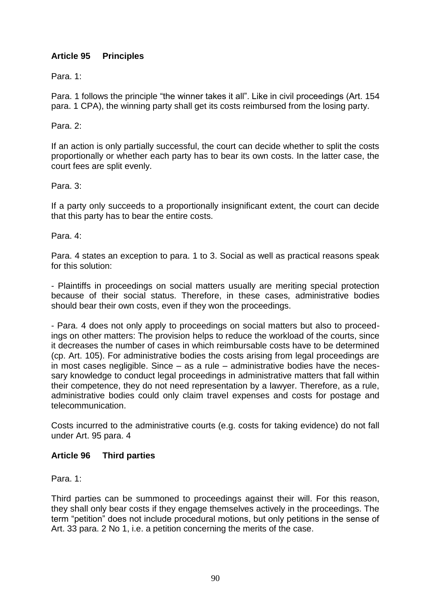# **Article 95 Principles**

Para. 1:

Para. 1 follows the principle "the winner takes it all". Like in civil proceedings (Art. 154 para. 1 CPA), the winning party shall get its costs reimbursed from the losing party.

Para. 2:

If an action is only partially successful, the court can decide whether to split the costs proportionally or whether each party has to bear its own costs. In the latter case, the court fees are split evenly.

Para. 3:

If a party only succeeds to a proportionally insignificant extent, the court can decide that this party has to bear the entire costs.

Para. 4:

Para. 4 states an exception to para. 1 to 3. Social as well as practical reasons speak for this solution:

- Plaintiffs in proceedings on social matters usually are meriting special protection because of their social status. Therefore, in these cases, administrative bodies should bear their own costs, even if they won the proceedings.

- Para. 4 does not only apply to proceedings on social matters but also to proceedings on other matters: The provision helps to reduce the workload of the courts, since it decreases the number of cases in which reimbursable costs have to be determined (cp. Art. 105). For administrative bodies the costs arising from legal proceedings are in most cases negligible. Since – as a rule – administrative bodies have the necessary knowledge to conduct legal proceedings in administrative matters that fall within their competence, they do not need representation by a lawyer. Therefore, as a rule, administrative bodies could only claim travel expenses and costs for postage and telecommunication.

Costs incurred to the administrative courts (e.g. costs for taking evidence) do not fall under Art. 95 para. 4

#### **Article 96 Third parties**

Para. 1:

Third parties can be summoned to proceedings against their will. For this reason, they shall only bear costs if they engage themselves actively in the proceedings. The term "petition" does not include procedural motions, but only petitions in the sense of Art. 33 para. 2 No 1, i.e. a petition concerning the merits of the case.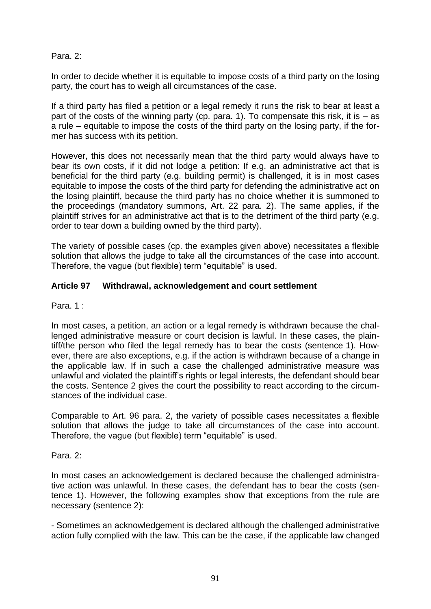## Para. 2:

In order to decide whether it is equitable to impose costs of a third party on the losing party, the court has to weigh all circumstances of the case.

If a third party has filed a petition or a legal remedy it runs the risk to bear at least a part of the costs of the winning party (cp. para. 1). To compensate this risk, it is  $-$  as a rule – equitable to impose the costs of the third party on the losing party, if the former has success with its petition.

However, this does not necessarily mean that the third party would always have to bear its own costs, if it did not lodge a petition: If e.g. an administrative act that is beneficial for the third party (e.g. building permit) is challenged, it is in most cases equitable to impose the costs of the third party for defending the administrative act on the losing plaintiff, because the third party has no choice whether it is summoned to the proceedings (mandatory summons, Art. 22 para. 2). The same applies, if the plaintiff strives for an administrative act that is to the detriment of the third party (e.g. order to tear down a building owned by the third party).

The variety of possible cases (cp. the examples given above) necessitates a flexible solution that allows the judge to take all the circumstances of the case into account. Therefore, the vague (but flexible) term "equitable" is used.

### **Article 97 Withdrawal, acknowledgement and court settlement**

Para. 1 :

In most cases, a petition, an action or a legal remedy is withdrawn because the challenged administrative measure or court decision is lawful. In these cases, the plaintiff/the person who filed the legal remedy has to bear the costs (sentence 1). However, there are also exceptions, e.g. if the action is withdrawn because of a change in the applicable law. If in such a case the challenged administrative measure was unlawful and violated the plaintiff's rights or legal interests, the defendant should bear the costs. Sentence 2 gives the court the possibility to react according to the circumstances of the individual case.

Comparable to Art. 96 para. 2, the variety of possible cases necessitates a flexible solution that allows the judge to take all circumstances of the case into account. Therefore, the vague (but flexible) term "equitable" is used.

Para. 2:

In most cases an acknowledgement is declared because the challenged administrative action was unlawful. In these cases, the defendant has to bear the costs (sentence 1). However, the following examples show that exceptions from the rule are necessary (sentence 2):

- Sometimes an acknowledgement is declared although the challenged administrative action fully complied with the law. This can be the case, if the applicable law changed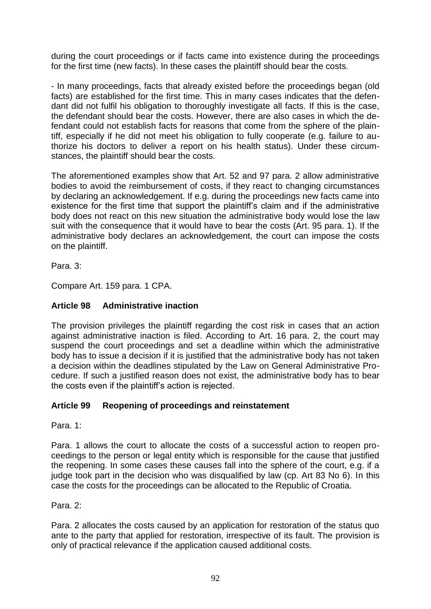during the court proceedings or if facts came into existence during the proceedings for the first time (new facts). In these cases the plaintiff should bear the costs.

- In many proceedings, facts that already existed before the proceedings began (old facts) are established for the first time. This in many cases indicates that the defendant did not fulfil his obligation to thoroughly investigate all facts. If this is the case, the defendant should bear the costs. However, there are also cases in which the defendant could not establish facts for reasons that come from the sphere of the plaintiff, especially if he did not meet his obligation to fully cooperate (e.g. failure to authorize his doctors to deliver a report on his health status). Under these circumstances, the plaintiff should bear the costs.

The aforementioned examples show that Art. 52 and 97 para. 2 allow administrative bodies to avoid the reimbursement of costs, if they react to changing circumstances by declaring an acknowledgement. If e.g. during the proceedings new facts came into existence for the first time that support the plaintiff's claim and if the administrative body does not react on this new situation the administrative body would lose the law suit with the consequence that it would have to bear the costs (Art. 95 para. 1). If the administrative body declares an acknowledgement, the court can impose the costs on the plaintiff.

Para. 3:

Compare Art. 159 para. 1 CPA.

# **Article 98 Administrative inaction**

The provision privileges the plaintiff regarding the cost risk in cases that an action against administrative inaction is filed. According to Art. 16 para. 2, the court may suspend the court proceedings and set a deadline within which the administrative body has to issue a decision if it is justified that the administrative body has not taken a decision within the deadlines stipulated by the Law on General Administrative Procedure. If such a justified reason does not exist, the administrative body has to bear the costs even if the plaintiff's action is rejected.

## **Article 99 Reopening of proceedings and reinstatement**

Para. 1:

Para. 1 allows the court to allocate the costs of a successful action to reopen proceedings to the person or legal entity which is responsible for the cause that justified the reopening. In some cases these causes fall into the sphere of the court, e.g. if a judge took part in the decision who was disqualified by law (cp. Art 83 No 6). In this case the costs for the proceedings can be allocated to the Republic of Croatia.

Para. 2:

Para. 2 allocates the costs caused by an application for restoration of the status quo ante to the party that applied for restoration, irrespective of its fault. The provision is only of practical relevance if the application caused additional costs.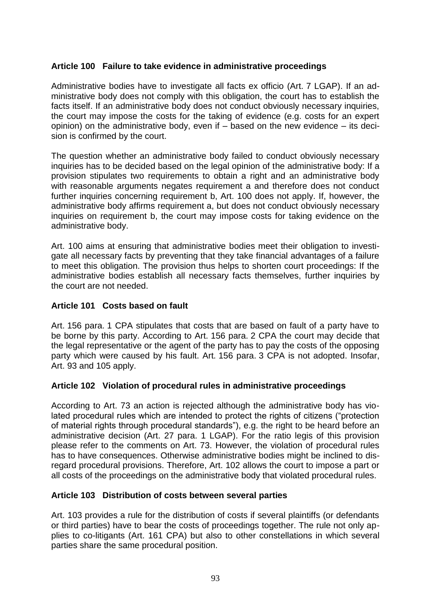## **Article 100 Failure to take evidence in administrative proceedings**

Administrative bodies have to investigate all facts ex officio (Art. 7 LGAP). If an administrative body does not comply with this obligation, the court has to establish the facts itself. If an administrative body does not conduct obviously necessary inquiries, the court may impose the costs for the taking of evidence (e.g. costs for an expert opinion) on the administrative body, even if – based on the new evidence – its decision is confirmed by the court.

The question whether an administrative body failed to conduct obviously necessary inquiries has to be decided based on the legal opinion of the administrative body: If a provision stipulates two requirements to obtain a right and an administrative body with reasonable arguments negates requirement a and therefore does not conduct further inquiries concerning requirement b, Art. 100 does not apply. If, however, the administrative body affirms requirement a, but does not conduct obviously necessary inquiries on requirement b, the court may impose costs for taking evidence on the administrative body.

Art. 100 aims at ensuring that administrative bodies meet their obligation to investigate all necessary facts by preventing that they take financial advantages of a failure to meet this obligation. The provision thus helps to shorten court proceedings: If the administrative bodies establish all necessary facts themselves, further inquiries by the court are not needed.

#### **Article 101 Costs based on fault**

Art. 156 para. 1 CPA stipulates that costs that are based on fault of a party have to be borne by this party. According to Art. 156 para. 2 CPA the court may decide that the legal representative or the agent of the party has to pay the costs of the opposing party which were caused by his fault. Art. 156 para. 3 CPA is not adopted. Insofar, Art. 93 and 105 apply.

#### **Article 102 Violation of procedural rules in administrative proceedings**

According to Art. 73 an action is rejected although the administrative body has violated procedural rules which are intended to protect the rights of citizens ("protection of material rights through procedural standards"), e.g. the right to be heard before an administrative decision (Art. 27 para. 1 LGAP). For the ratio legis of this provision please refer to the comments on Art. 73. However, the violation of procedural rules has to have consequences. Otherwise administrative bodies might be inclined to disregard procedural provisions. Therefore, Art. 102 allows the court to impose a part or all costs of the proceedings on the administrative body that violated procedural rules.

#### **Article 103 Distribution of costs between several parties**

Art. 103 provides a rule for the distribution of costs if several plaintiffs (or defendants or third parties) have to bear the costs of proceedings together. The rule not only applies to co-litigants (Art. 161 CPA) but also to other constellations in which several parties share the same procedural position.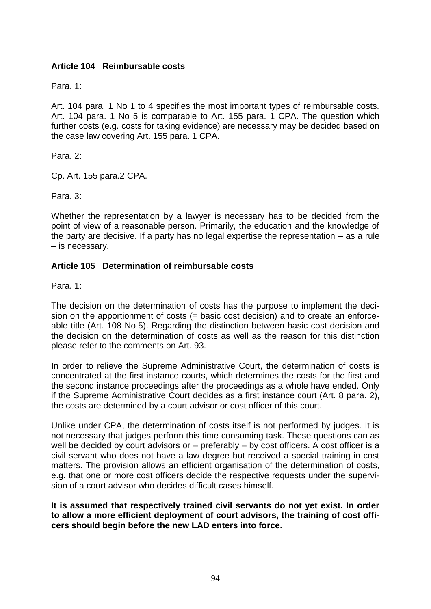### **Article 104 Reimbursable costs**

Para. 1:

Art. 104 para. 1 No 1 to 4 specifies the most important types of reimbursable costs. Art. 104 para. 1 No 5 is comparable to Art. 155 para. 1 CPA. The question which further costs (e.g. costs for taking evidence) are necessary may be decided based on the case law covering Art. 155 para. 1 CPA.

Para<sub>2</sub>.

Cp. Art. 155 para.2 CPA.

Para. 3:

Whether the representation by a lawyer is necessary has to be decided from the point of view of a reasonable person. Primarily, the education and the knowledge of the party are decisive. If a party has no legal expertise the representation – as a rule – is necessary.

#### **Article 105 Determination of reimbursable costs**

Para. 1:

The decision on the determination of costs has the purpose to implement the decision on the apportionment of costs (= basic cost decision) and to create an enforceable title (Art. 108 No 5). Regarding the distinction between basic cost decision and the decision on the determination of costs as well as the reason for this distinction please refer to the comments on Art. 93.

In order to relieve the Supreme Administrative Court, the determination of costs is concentrated at the first instance courts, which determines the costs for the first and the second instance proceedings after the proceedings as a whole have ended. Only if the Supreme Administrative Court decides as a first instance court (Art. 8 para. 2), the costs are determined by a court advisor or cost officer of this court.

Unlike under CPA, the determination of costs itself is not performed by judges. It is not necessary that judges perform this time consuming task. These questions can as well be decided by court advisors or – preferably – by cost officers. A cost officer is a civil servant who does not have a law degree but received a special training in cost matters. The provision allows an efficient organisation of the determination of costs, e.g. that one or more cost officers decide the respective requests under the supervision of a court advisor who decides difficult cases himself.

#### **It is assumed that respectively trained civil servants do not yet exist. In order to allow a more efficient deployment of court advisors, the training of cost officers should begin before the new LAD enters into force.**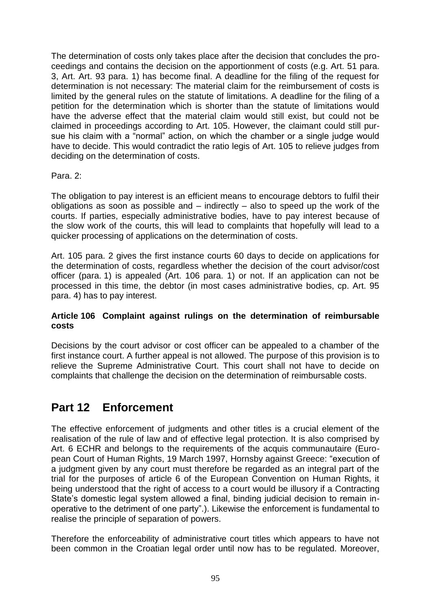The determination of costs only takes place after the decision that concludes the proceedings and contains the decision on the apportionment of costs (e.g. Art. 51 para. 3, Art. Art. 93 para. 1) has become final. A deadline for the filing of the request for determination is not necessary: The material claim for the reimbursement of costs is limited by the general rules on the statute of limitations. A deadline for the filing of a petition for the determination which is shorter than the statute of limitations would have the adverse effect that the material claim would still exist, but could not be claimed in proceedings according to Art. 105. However, the claimant could still pursue his claim with a "normal" action, on which the chamber or a single judge would have to decide. This would contradict the ratio legis of Art. 105 to relieve judges from deciding on the determination of costs.

### Para. 2:

The obligation to pay interest is an efficient means to encourage debtors to fulfil their obligations as soon as possible and  $-$  indirectly  $-$  also to speed up the work of the courts. If parties, especially administrative bodies, have to pay interest because of the slow work of the courts, this will lead to complaints that hopefully will lead to a quicker processing of applications on the determination of costs.

Art. 105 para. 2 gives the first instance courts 60 days to decide on applications for the determination of costs, regardless whether the decision of the court advisor/cost officer (para. 1) is appealed (Art. 106 para. 1) or not. If an application can not be processed in this time, the debtor (in most cases administrative bodies, cp. Art. 95 para. 4) has to pay interest.

#### **Article 106 Complaint against rulings on the determination of reimbursable costs**

Decisions by the court advisor or cost officer can be appealed to a chamber of the first instance court. A further appeal is not allowed. The purpose of this provision is to relieve the Supreme Administrative Court. This court shall not have to decide on complaints that challenge the decision on the determination of reimbursable costs.

# **Part 12 Enforcement**

The effective enforcement of judgments and other titles is a crucial element of the realisation of the rule of law and of effective legal protection. It is also comprised by Art. 6 ECHR and belongs to the requirements of the acquis communautaire (European Court of Human Rights, 19 March 1997, Hornsby against Greece: "execution of a judgment given by any court must therefore be regarded as an integral part of the trial for the purposes of article 6 of the European Convention on Human Rights, it being understood that the right of access to a court would be illusory if a Contracting State's domestic legal system allowed a final, binding judicial decision to remain inoperative to the detriment of one party".). Likewise the enforcement is fundamental to realise the principle of separation of powers.

Therefore the enforceability of administrative court titles which appears to have not been common in the Croatian legal order until now has to be regulated. Moreover,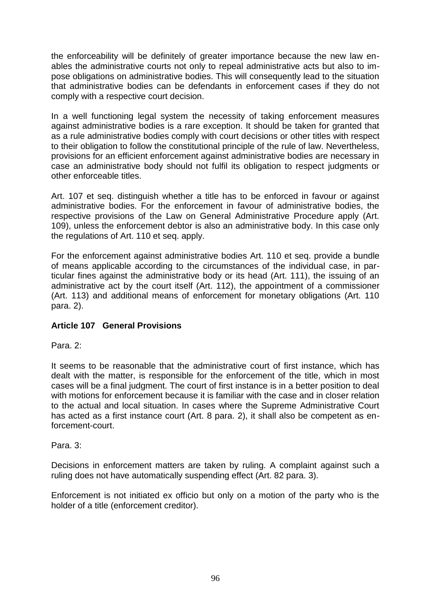the enforceability will be definitely of greater importance because the new law enables the administrative courts not only to repeal administrative acts but also to impose obligations on administrative bodies. This will consequently lead to the situation that administrative bodies can be defendants in enforcement cases if they do not comply with a respective court decision.

In a well functioning legal system the necessity of taking enforcement measures against administrative bodies is a rare exception. It should be taken for granted that as a rule administrative bodies comply with court decisions or other titles with respect to their obligation to follow the constitutional principle of the rule of law. Nevertheless, provisions for an efficient enforcement against administrative bodies are necessary in case an administrative body should not fulfil its obligation to respect judgments or other enforceable titles.

Art. 107 et seq. distinguish whether a title has to be enforced in favour or against administrative bodies. For the enforcement in favour of administrative bodies, the respective provisions of the Law on General Administrative Procedure apply (Art. 109), unless the enforcement debtor is also an administrative body. In this case only the regulations of Art. 110 et seq. apply.

For the enforcement against administrative bodies Art. 110 et seq. provide a bundle of means applicable according to the circumstances of the individual case, in particular fines against the administrative body or its head (Art. 111), the issuing of an administrative act by the court itself (Art. 112), the appointment of a commissioner (Art. 113) and additional means of enforcement for monetary obligations (Art. 110 para. 2).

## **Article 107 General Provisions**

Para<sub>2</sub>.

It seems to be reasonable that the administrative court of first instance, which has dealt with the matter, is responsible for the enforcement of the title, which in most cases will be a final judgment. The court of first instance is in a better position to deal with motions for enforcement because it is familiar with the case and in closer relation to the actual and local situation. In cases where the Supreme Administrative Court has acted as a first instance court (Art. 8 para. 2), it shall also be competent as enforcement-court.

Para. 3:

Decisions in enforcement matters are taken by ruling. A complaint against such a ruling does not have automatically suspending effect (Art. 82 para. 3).

Enforcement is not initiated ex officio but only on a motion of the party who is the holder of a title (enforcement creditor).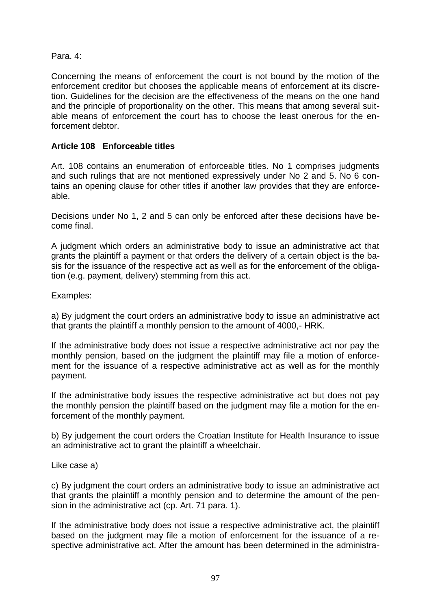## Para. 4:

Concerning the means of enforcement the court is not bound by the motion of the enforcement creditor but chooses the applicable means of enforcement at its discretion. Guidelines for the decision are the effectiveness of the means on the one hand and the principle of proportionality on the other. This means that among several suitable means of enforcement the court has to choose the least onerous for the enforcement debtor.

## **Article 108 Enforceable titles**

Art. 108 contains an enumeration of enforceable titles. No 1 comprises judgments and such rulings that are not mentioned expressively under No 2 and 5. No 6 contains an opening clause for other titles if another law provides that they are enforceable.

Decisions under No 1, 2 and 5 can only be enforced after these decisions have become final.

A judgment which orders an administrative body to issue an administrative act that grants the plaintiff a payment or that orders the delivery of a certain object is the basis for the issuance of the respective act as well as for the enforcement of the obligation (e.g. payment, delivery) stemming from this act.

Examples:

a) By judgment the court orders an administrative body to issue an administrative act that grants the plaintiff a monthly pension to the amount of 4000,- HRK.

If the administrative body does not issue a respective administrative act nor pay the monthly pension, based on the judgment the plaintiff may file a motion of enforcement for the issuance of a respective administrative act as well as for the monthly payment.

If the administrative body issues the respective administrative act but does not pay the monthly pension the plaintiff based on the judgment may file a motion for the enforcement of the monthly payment.

b) By judgement the court orders the Croatian Institute for Health Insurance to issue an administrative act to grant the plaintiff a wheelchair.

Like case a)

c) By judgment the court orders an administrative body to issue an administrative act that grants the plaintiff a monthly pension and to determine the amount of the pension in the administrative act (cp. Art. 71 para. 1).

If the administrative body does not issue a respective administrative act, the plaintiff based on the judgment may file a motion of enforcement for the issuance of a respective administrative act. After the amount has been determined in the administra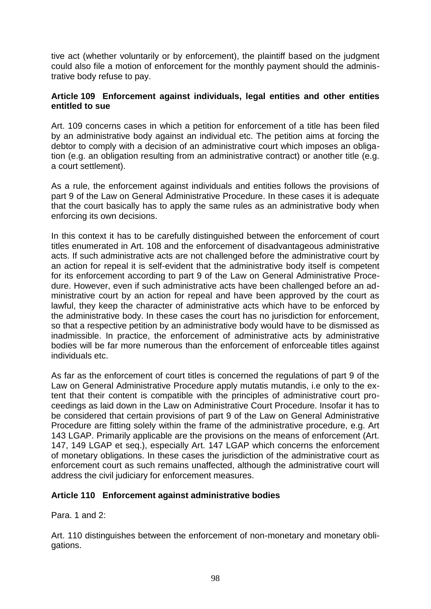tive act (whether voluntarily or by enforcement), the plaintiff based on the judgment could also file a motion of enforcement for the monthly payment should the administrative body refuse to pay.

#### **Article 109 Enforcement against individuals, legal entities and other entities entitled to sue**

Art. 109 concerns cases in which a petition for enforcement of a title has been filed by an administrative body against an individual etc. The petition aims at forcing the debtor to comply with a decision of an administrative court which imposes an obligation (e.g. an obligation resulting from an administrative contract) or another title (e.g. a court settlement).

As a rule, the enforcement against individuals and entities follows the provisions of part 9 of the Law on General Administrative Procedure. In these cases it is adequate that the court basically has to apply the same rules as an administrative body when enforcing its own decisions.

In this context it has to be carefully distinguished between the enforcement of court titles enumerated in Art. 108 and the enforcement of disadvantageous administrative acts. If such administrative acts are not challenged before the administrative court by an action for repeal it is self-evident that the administrative body itself is competent for its enforcement according to part 9 of the Law on General Administrative Procedure. However, even if such administrative acts have been challenged before an administrative court by an action for repeal and have been approved by the court as lawful, they keep the character of administrative acts which have to be enforced by the administrative body. In these cases the court has no jurisdiction for enforcement, so that a respective petition by an administrative body would have to be dismissed as inadmissible. In practice, the enforcement of administrative acts by administrative bodies will be far more numerous than the enforcement of enforceable titles against individuals etc.

As far as the enforcement of court titles is concerned the regulations of part 9 of the Law on General Administrative Procedure apply mutatis mutandis, i.e only to the extent that their content is compatible with the principles of administrative court proceedings as laid down in the Law on Administrative Court Procedure. Insofar it has to be considered that certain provisions of part 9 of the Law on General Administrative Procedure are fitting solely within the frame of the administrative procedure, e.g. Art 143 LGAP. Primarily applicable are the provisions on the means of enforcement (Art. 147, 149 LGAP et seq.), especially Art. 147 LGAP which concerns the enforcement of monetary obligations. In these cases the jurisdiction of the administrative court as enforcement court as such remains unaffected, although the administrative court will address the civil judiciary for enforcement measures.

## **Article 110 Enforcement against administrative bodies**

Para. 1 and 2:

Art. 110 distinguishes between the enforcement of non-monetary and monetary obligations.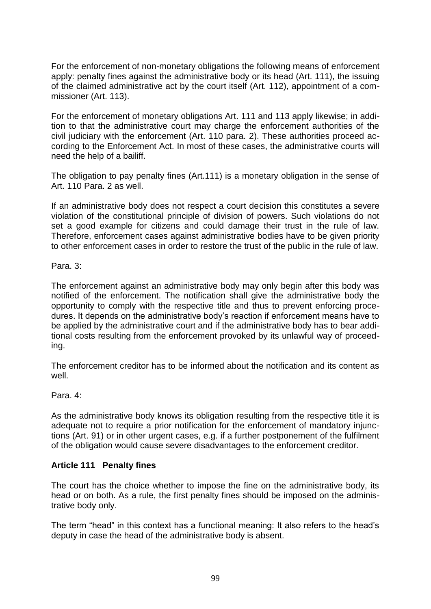For the enforcement of non-monetary obligations the following means of enforcement apply: penalty fines against the administrative body or its head (Art. 111), the issuing of the claimed administrative act by the court itself (Art. 112), appointment of a commissioner (Art. 113).

For the enforcement of monetary obligations Art. 111 and 113 apply likewise; in addition to that the administrative court may charge the enforcement authorities of the civil judiciary with the enforcement (Art. 110 para. 2). These authorities proceed according to the Enforcement Act. In most of these cases, the administrative courts will need the help of a bailiff.

The obligation to pay penalty fines (Art.111) is a monetary obligation in the sense of Art. 110 Para. 2 as well.

If an administrative body does not respect a court decision this constitutes a severe violation of the constitutional principle of division of powers. Such violations do not set a good example for citizens and could damage their trust in the rule of law. Therefore, enforcement cases against administrative bodies have to be given priority to other enforcement cases in order to restore the trust of the public in the rule of law.

Para. 3:

The enforcement against an administrative body may only begin after this body was notified of the enforcement. The notification shall give the administrative body the opportunity to comply with the respective title and thus to prevent enforcing procedures. It depends on the administrative body's reaction if enforcement means have to be applied by the administrative court and if the administrative body has to bear additional costs resulting from the enforcement provoked by its unlawful way of proceeding.

The enforcement creditor has to be informed about the notification and its content as well.

Para. 4:

As the administrative body knows its obligation resulting from the respective title it is adequate not to require a prior notification for the enforcement of mandatory injunctions (Art. 91) or in other urgent cases, e.g. if a further postponement of the fulfilment of the obligation would cause severe disadvantages to the enforcement creditor.

## **Article 111 Penalty fines**

The court has the choice whether to impose the fine on the administrative body, its head or on both. As a rule, the first penalty fines should be imposed on the administrative body only.

The term "head" in this context has a functional meaning: It also refers to the head's deputy in case the head of the administrative body is absent.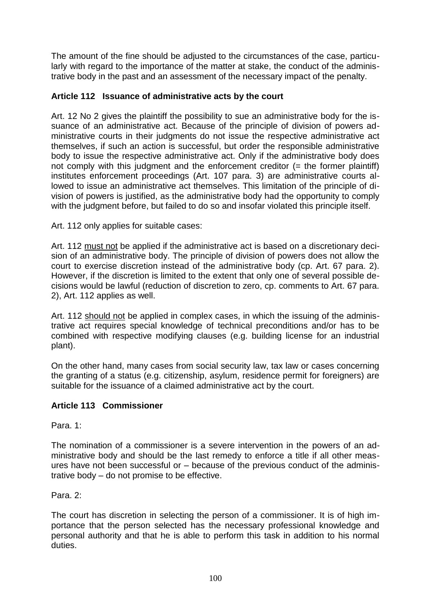The amount of the fine should be adjusted to the circumstances of the case, particularly with regard to the importance of the matter at stake, the conduct of the administrative body in the past and an assessment of the necessary impact of the penalty.

## **Article 112 Issuance of administrative acts by the court**

Art. 12 No 2 gives the plaintiff the possibility to sue an administrative body for the issuance of an administrative act. Because of the principle of division of powers administrative courts in their judgments do not issue the respective administrative act themselves, if such an action is successful, but order the responsible administrative body to issue the respective administrative act. Only if the administrative body does not comply with this judgment and the enforcement creditor  $(=$  the former plaintiff) institutes enforcement proceedings (Art. 107 para. 3) are administrative courts allowed to issue an administrative act themselves. This limitation of the principle of division of powers is justified, as the administrative body had the opportunity to comply with the judgment before, but failed to do so and insofar violated this principle itself.

Art. 112 only applies for suitable cases:

Art. 112 must not be applied if the administrative act is based on a discretionary decision of an administrative body. The principle of division of powers does not allow the court to exercise discretion instead of the administrative body (cp. Art. 67 para. 2). However, if the discretion is limited to the extent that only one of several possible decisions would be lawful (reduction of discretion to zero, cp. comments to Art. 67 para. 2), Art. 112 applies as well.

Art. 112 should not be applied in complex cases, in which the issuing of the administrative act requires special knowledge of technical preconditions and/or has to be combined with respective modifying clauses (e.g. building license for an industrial plant).

On the other hand, many cases from social security law, tax law or cases concerning the granting of a status (e.g. citizenship, asylum, residence permit for foreigners) are suitable for the issuance of a claimed administrative act by the court.

## **Article 113 Commissioner**

Para. 1:

The nomination of a commissioner is a severe intervention in the powers of an administrative body and should be the last remedy to enforce a title if all other measures have not been successful or – because of the previous conduct of the administrative body – do not promise to be effective.

Para. 2:

The court has discretion in selecting the person of a commissioner. It is of high importance that the person selected has the necessary professional knowledge and personal authority and that he is able to perform this task in addition to his normal duties.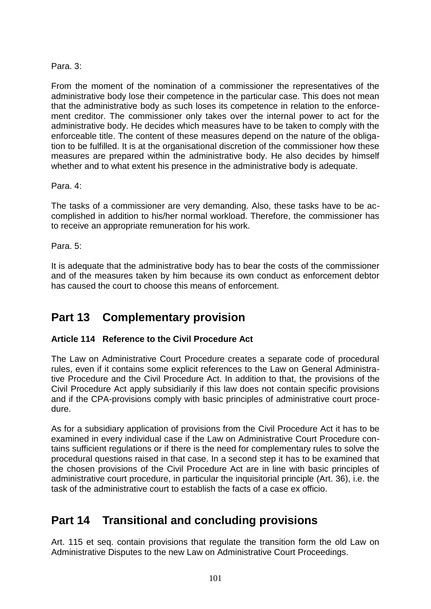# Para. 3:

From the moment of the nomination of a commissioner the representatives of the administrative body lose their competence in the particular case. This does not mean that the administrative body as such loses its competence in relation to the enforcement creditor. The commissioner only takes over the internal power to act for the administrative body. He decides which measures have to be taken to comply with the enforceable title. The content of these measures depend on the nature of the obligation to be fulfilled. It is at the organisational discretion of the commissioner how these measures are prepared within the administrative body. He also decides by himself whether and to what extent his presence in the administrative body is adequate.

### Para. 4:

The tasks of a commissioner are very demanding. Also, these tasks have to be accomplished in addition to his/her normal workload. Therefore, the commissioner has to receive an appropriate remuneration for his work.

### Para. 5:

It is adequate that the administrative body has to bear the costs of the commissioner and of the measures taken by him because its own conduct as enforcement debtor has caused the court to choose this means of enforcement.

# **Part 13 Complementary provision**

## **Article 114 Reference to the Civil Procedure Act**

The Law on Administrative Court Procedure creates a separate code of procedural rules, even if it contains some explicit references to the Law on General Administrative Procedure and the Civil Procedure Act. In addition to that, the provisions of the Civil Procedure Act apply subsidiarily if this law does not contain specific provisions and if the CPA-provisions comply with basic principles of administrative court procedure.

As for a subsidiary application of provisions from the Civil Procedure Act it has to be examined in every individual case if the Law on Administrative Court Procedure contains sufficient regulations or if there is the need for complementary rules to solve the procedural questions raised in that case. In a second step it has to be examined that the chosen provisions of the Civil Procedure Act are in line with basic principles of administrative court procedure, in particular the inquisitorial principle (Art. 36), i.e. the task of the administrative court to establish the facts of a case ex officio.

# **Part 14 Transitional and concluding provisions**

Art. 115 et seq. contain provisions that regulate the transition form the old Law on Administrative Disputes to the new Law on Administrative Court Proceedings.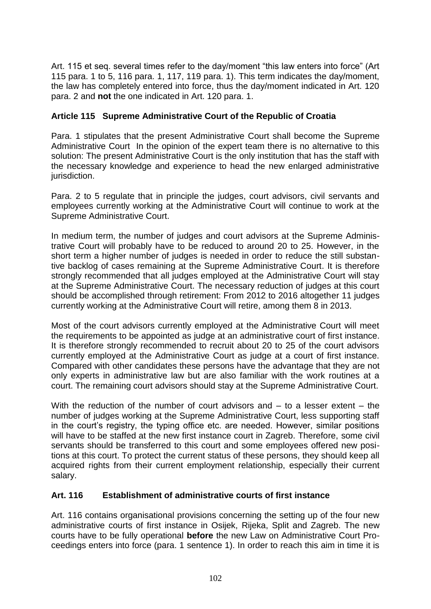Art. 115 et seq. several times refer to the day/moment "this law enters into force" (Art 115 para. 1 to 5, 116 para. 1, 117, 119 para. 1). This term indicates the day/moment, the law has completely entered into force, thus the day/moment indicated in Art. 120 para. 2 and **not** the one indicated in Art. 120 para. 1.

## **Article 115 Supreme Administrative Court of the Republic of Croatia**

Para. 1 stipulates that the present Administrative Court shall become the Supreme Administrative Court In the opinion of the expert team there is no alternative to this solution: The present Administrative Court is the only institution that has the staff with the necessary knowledge and experience to head the new enlarged administrative jurisdiction.

Para. 2 to 5 regulate that in principle the judges, court advisors, civil servants and employees currently working at the Administrative Court will continue to work at the Supreme Administrative Court.

In medium term, the number of judges and court advisors at the Supreme Administrative Court will probably have to be reduced to around 20 to 25. However, in the short term a higher number of judges is needed in order to reduce the still substantive backlog of cases remaining at the Supreme Administrative Court. It is therefore strongly recommended that all judges employed at the Administrative Court will stay at the Supreme Administrative Court. The necessary reduction of judges at this court should be accomplished through retirement: From 2012 to 2016 altogether 11 judges currently working at the Administrative Court will retire, among them 8 in 2013.

Most of the court advisors currently employed at the Administrative Court will meet the requirements to be appointed as judge at an administrative court of first instance. It is therefore strongly recommended to recruit about 20 to 25 of the court advisors currently employed at the Administrative Court as judge at a court of first instance. Compared with other candidates these persons have the advantage that they are not only experts in administrative law but are also familiar with the work routines at a court. The remaining court advisors should stay at the Supreme Administrative Court.

With the reduction of the number of court advisors and – to a lesser extent – the number of judges working at the Supreme Administrative Court, less supporting staff in the court's registry, the typing office etc. are needed. However, similar positions will have to be staffed at the new first instance court in Zagreb. Therefore, some civil servants should be transferred to this court and some employees offered new positions at this court. To protect the current status of these persons, they should keep all acquired rights from their current employment relationship, especially their current salary.

## **Art. 116 Establishment of administrative courts of first instance**

Art. 116 contains organisational provisions concerning the setting up of the four new administrative courts of first instance in Osijek, Rijeka, Split and Zagreb. The new courts have to be fully operational **before** the new Law on Administrative Court Proceedings enters into force (para. 1 sentence 1). In order to reach this aim in time it is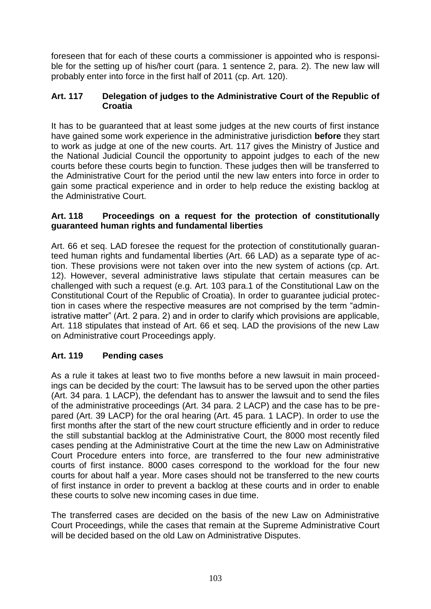foreseen that for each of these courts a commissioner is appointed who is responsible for the setting up of his/her court (para. 1 sentence 2, para. 2). The new law will probably enter into force in the first half of 2011 (cp. Art. 120).

### **Art. 117 Delegation of judges to the Administrative Court of the Republic of Croatia**

It has to be guaranteed that at least some judges at the new courts of first instance have gained some work experience in the administrative jurisdiction **before** they start to work as judge at one of the new courts. Art. 117 gives the Ministry of Justice and the National Judicial Council the opportunity to appoint judges to each of the new courts before these courts begin to function. These judges then will be transferred to the Administrative Court for the period until the new law enters into force in order to gain some practical experience and in order to help reduce the existing backlog at the Administrative Court.

#### **Art. 118 Proceedings on a request for the protection of constitutionally guaranteed human rights and fundamental liberties**

Art. 66 et seq. LAD foresee the request for the protection of constitutionally guaranteed human rights and fundamental liberties (Art. 66 LAD) as a separate type of action. These provisions were not taken over into the new system of actions (cp. Art. 12). However, several administrative laws stipulate that certain measures can be challenged with such a request (e.g. Art. 103 para.1 of the Constitutional Law on the Constitutional Court of the Republic of Croatia). In order to guarantee judicial protection in cases where the respective measures are not comprised by the term "administrative matter" (Art. 2 para. 2) and in order to clarify which provisions are applicable, Art. 118 stipulates that instead of Art. 66 et seq. LAD the provisions of the new Law on Administrative court Proceedings apply.

## **Art. 119 Pending cases**

As a rule it takes at least two to five months before a new lawsuit in main proceedings can be decided by the court: The lawsuit has to be served upon the other parties (Art. 34 para. 1 LACP), the defendant has to answer the lawsuit and to send the files of the administrative proceedings (Art. 34 para. 2 LACP) and the case has to be prepared (Art. 39 LACP) for the oral hearing (Art. 45 para. 1 LACP). In order to use the first months after the start of the new court structure efficiently and in order to reduce the still substantial backlog at the Administrative Court, the 8000 most recently filed cases pending at the Administrative Court at the time the new Law on Administrative Court Procedure enters into force, are transferred to the four new administrative courts of first instance. 8000 cases correspond to the workload for the four new courts for about half a year. More cases should not be transferred to the new courts of first instance in order to prevent a backlog at these courts and in order to enable these courts to solve new incoming cases in due time.

The transferred cases are decided on the basis of the new Law on Administrative Court Proceedings, while the cases that remain at the Supreme Administrative Court will be decided based on the old Law on Administrative Disputes.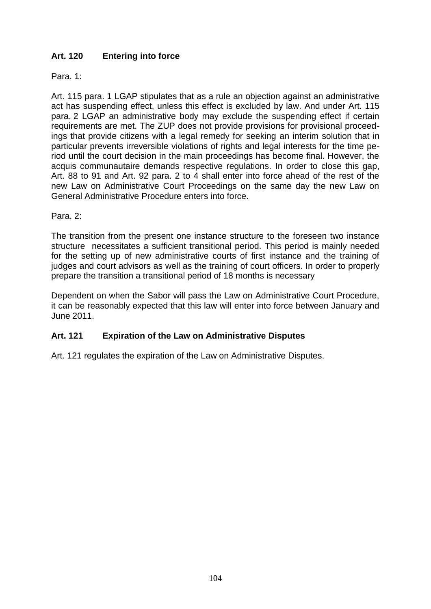# **Art. 120 Entering into force**

Para. 1:

Art. 115 para. 1 LGAP stipulates that as a rule an objection against an administrative act has suspending effect, unless this effect is excluded by law. And under Art. 115 para. 2 LGAP an administrative body may exclude the suspending effect if certain requirements are met. The ZUP does not provide provisions for provisional proceedings that provide citizens with a legal remedy for seeking an interim solution that in particular prevents irreversible violations of rights and legal interests for the time period until the court decision in the main proceedings has become final. However, the acquis communautaire demands respective regulations. In order to close this gap, Art. 88 to 91 and Art. 92 para. 2 to 4 shall enter into force ahead of the rest of the new Law on Administrative Court Proceedings on the same day the new Law on General Administrative Procedure enters into force.

Para. 2:

The transition from the present one instance structure to the foreseen two instance structure necessitates a sufficient transitional period. This period is mainly needed for the setting up of new administrative courts of first instance and the training of judges and court advisors as well as the training of court officers. In order to properly prepare the transition a transitional period of 18 months is necessary

Dependent on when the Sabor will pass the Law on Administrative Court Procedure, it can be reasonably expected that this law will enter into force between January and June 2011.

## **Art. 121 Expiration of the Law on Administrative Disputes**

Art. 121 regulates the expiration of the Law on Administrative Disputes.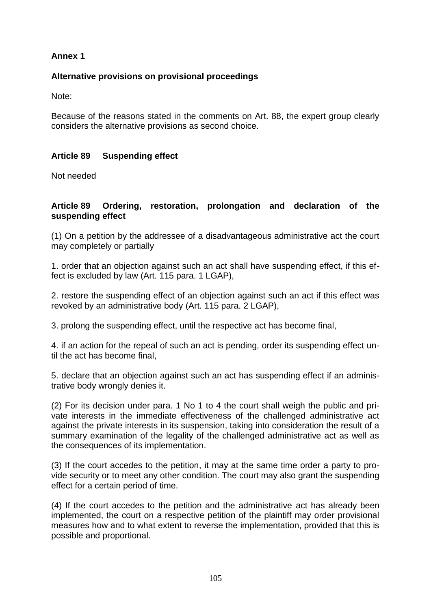## **Annex 1**

## **Alternative provisions on provisional proceedings**

Note:

Because of the reasons stated in the comments on Art. 88, the expert group clearly considers the alternative provisions as second choice.

### **Article 89 Suspending effect**

Not needed

#### **Article 89 Ordering, restoration, prolongation and declaration of the suspending effect**

(1) On a petition by the addressee of a disadvantageous administrative act the court may completely or partially

1. order that an objection against such an act shall have suspending effect, if this effect is excluded by law (Art. 115 para. 1 LGAP),

2. restore the suspending effect of an objection against such an act if this effect was revoked by an administrative body (Art. 115 para. 2 LGAP),

3. prolong the suspending effect, until the respective act has become final,

4. if an action for the repeal of such an act is pending, order its suspending effect until the act has become final,

5. declare that an objection against such an act has suspending effect if an administrative body wrongly denies it.

(2) For its decision under para. 1 No 1 to 4 the court shall weigh the public and private interests in the immediate effectiveness of the challenged administrative act against the private interests in its suspension, taking into consideration the result of a summary examination of the legality of the challenged administrative act as well as the consequences of its implementation.

(3) If the court accedes to the petition, it may at the same time order a party to provide security or to meet any other condition. The court may also grant the suspending effect for a certain period of time.

(4) If the court accedes to the petition and the administrative act has already been implemented, the court on a respective petition of the plaintiff may order provisional measures how and to what extent to reverse the implementation, provided that this is possible and proportional.